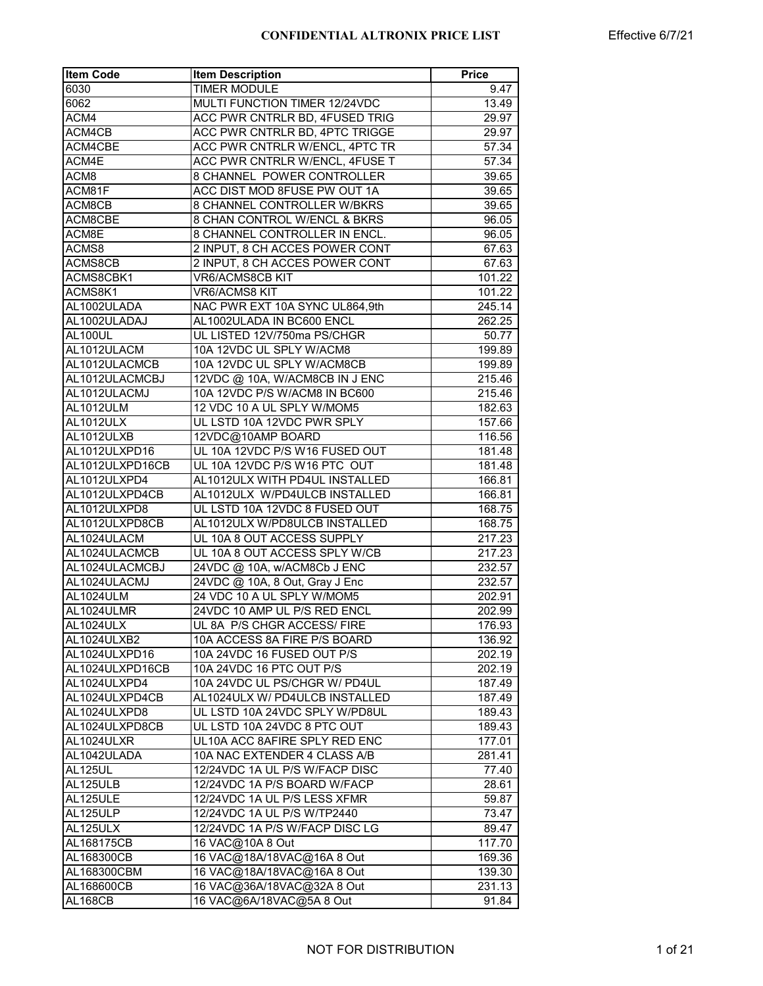| <b>Item Code</b> | <b>Item Description</b>        | <b>Price</b> |
|------------------|--------------------------------|--------------|
| 6030             | <b>TIMER MODULE</b>            | 9.47         |
| 6062             | MULTI FUNCTION TIMER 12/24VDC  | 13.49        |
| ACM4             | ACC PWR CNTRLR BD, 4FUSED TRIG | 29.97        |
| ACM4CB           | ACC PWR CNTRLR BD, 4PTC TRIGGE | 29.97        |
| ACM4CBE          | ACC PWR CNTRLR W/ENCL, 4PTC TR | 57.34        |
| ACM4E            | ACC PWR CNTRLR W/ENCL, 4FUSE T | 57.34        |
| ACM8             | 8 CHANNEL POWER CONTROLLER     | 39.65        |
| ACM81F           | ACC DIST MOD 8FUSE PW OUT 1A   | 39.65        |
| ACM8CB           | 8 CHANNEL CONTROLLER W/BKRS    | 39.65        |
| ACM8CBE          | 8 CHAN CONTROL W/ENCL & BKRS   | 96.05        |
| ACM8E            | 8 CHANNEL CONTROLLER IN ENCL.  | 96.05        |
| ACMS8            | 2 INPUT, 8 CH ACCES POWER CONT | 67.63        |
| ACMS8CB          | 2 INPUT, 8 CH ACCES POWER CONT | 67.63        |
| ACMS8CBK1        | VR6/ACMS8CB KIT                | 101.22       |
| ACMS8K1          | VR6/ACMS8 KIT                  | 101.22       |
| AL1002ULADA      | NAC PWR EXT 10A SYNC UL864,9th | 245.14       |
| AL1002ULADAJ     | AL1002ULADA IN BC600 ENCL      | 262.25       |
| AL100UL          | UL LISTED 12V/750ma PS/CHGR    | 50.77        |
| AL1012ULACM      | 10A 12VDC UL SPLY W/ACM8       | 199.89       |
| AL1012ULACMCB    | 10A 12VDC UL SPLY W/ACM8CB     | 199.89       |
| AL1012ULACMCBJ   | 12VDC @ 10A, W/ACM8CB IN J ENC | 215.46       |
| AL1012ULACMJ     | 10A 12VDC P/S W/ACM8 IN BC600  | 215.46       |
| AL1012ULM        | 12 VDC 10 A UL SPLY W/MOM5     | 182.63       |
| AL1012ULX        | UL LSTD 10A 12VDC PWR SPLY     | 157.66       |
| AL1012ULXB       | 12VDC@10AMP BOARD              | 116.56       |
| AL1012ULXPD16    | UL 10A 12VDC P/S W16 FUSED OUT | 181.48       |
| AL1012ULXPD16CB  | UL 10A 12VDC P/S W16 PTC OUT   | 181.48       |
| AL1012ULXPD4     | AL1012ULX WITH PD4UL INSTALLED | 166.81       |
| AL1012ULXPD4CB   | AL1012ULX W/PD4ULCB INSTALLED  | 166.81       |
| AL1012ULXPD8     | UL LSTD 10A 12VDC 8 FUSED OUT  | 168.75       |
| AL1012ULXPD8CB   | AL1012ULX W/PD8ULCB INSTALLED  | 168.75       |
| AL1024ULACM      | UL 10A 8 OUT ACCESS SUPPLY     | 217.23       |
| AL1024ULACMCB    | UL 10A 8 OUT ACCESS SPLY W/CB  | 217.23       |
| AL1024ULACMCBJ   | 24VDC @ 10A, w/ACM8Cb J ENC    | 232.57       |
| AL1024ULACMJ     | 24VDC @ 10A, 8 Out, Gray J Enc | 232.57       |
| AL1024ULM        | 24 VDC 10 A UL SPLY W/MOM5     | 202.91       |
| AL1024ULMR       | 24VDC 10 AMP UL P/S RED ENCL   | 202.99       |
| AL1024ULX        | UL 8A P/S CHGR ACCESS/ FIRE    | 176.93       |
| AL1024ULXB2      | 10A ACCESS 8A FIRE P/S BOARD   | 136.92       |
| AL1024ULXPD16    | 10A 24VDC 16 FUSED OUT P/S     | 202.19       |
| AL1024ULXPD16CB  | 10A 24VDC 16 PTC OUT P/S       | 202.19       |
| AL1024ULXPD4     | 10A 24VDC UL PS/CHGR W/ PD4UL  | 187.49       |
| AL1024ULXPD4CB   | AL1024ULX W/ PD4ULCB INSTALLED | 187.49       |
| AL1024ULXPD8     | UL LSTD 10A 24VDC SPLY W/PD8UL | 189.43       |
| AL1024ULXPD8CB   | UL LSTD 10A 24VDC 8 PTC OUT    | 189.43       |
| AL1024ULXR       | UL10A ACC 8AFIRE SPLY RED ENC  | 177.01       |
| AL1042ULADA      | 10A NAC EXTENDER 4 CLASS A/B   | 281.41       |
| <b>AL125UL</b>   | 12/24VDC 1A UL P/S W/FACP DISC | 77.40        |
| AL125ULB         | 12/24VDC 1A P/S BOARD W/FACP   | 28.61        |
| AL125ULE         | 12/24VDC 1A UL P/S LESS XFMR   | 59.87        |
| AL125ULP         | 12/24VDC 1A UL P/S W/TP2440    | 73.47        |
| AL125ULX         | 12/24VDC 1A P/S W/FACP DISC LG |              |
| AL168175CB       | 16 VAC@10A 8 Out               | 89.47        |
|                  | 16 VAC@18A/18VAC@16A 8 Out     | 117.70       |
| AL168300CB       |                                | 169.36       |
| AL168300CBM      | 16 VAC@18A/18VAC@16A 8 Out     | 139.30       |
| AL168600CB       | 16 VAC@36A/18VAC@32A 8 Out     | 231.13       |
| <b>AL168CB</b>   | 16 VAC@6A/18VAC@5A 8 Out       | 91.84        |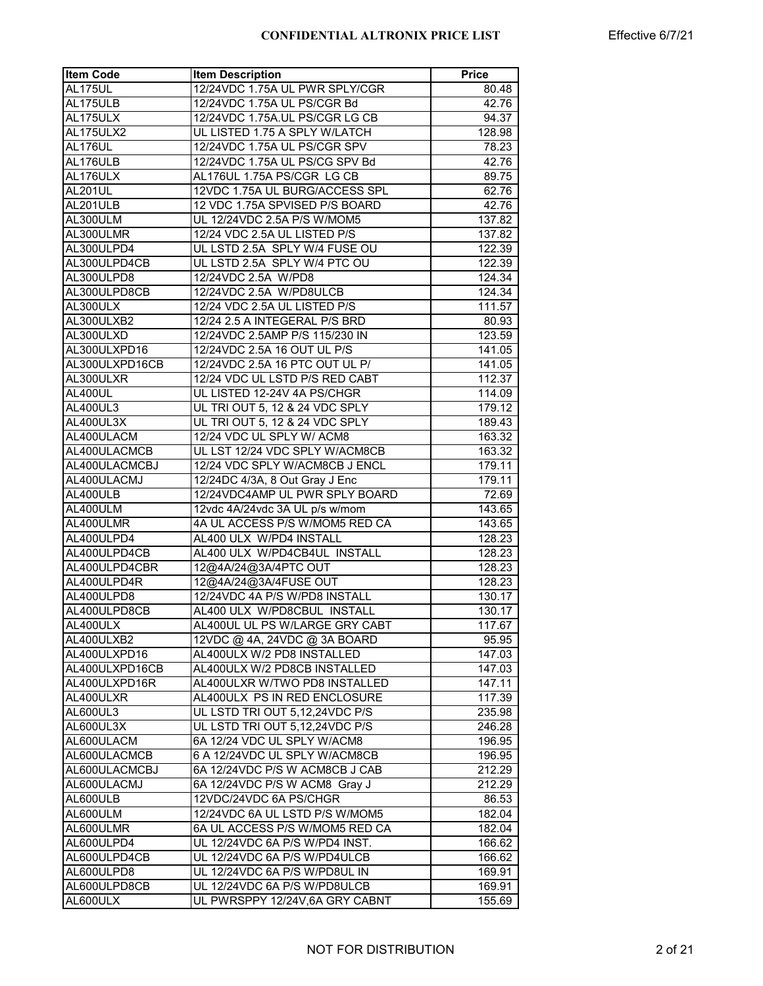| <b>Item Code</b> | <b>Item Description</b>        | <b>Price</b> |
|------------------|--------------------------------|--------------|
| <b>AL175UL</b>   | 12/24VDC 1.75A UL PWR SPLY/CGR | 80.48        |
| AL175ULB         | 12/24VDC 1.75A UL PS/CGR Bd    | 42.76        |
| AL175ULX         | 12/24VDC 1.75A.UL PS/CGR LG CB | 94.37        |
| AL175ULX2        | UL LISTED 1.75 A SPLY W/LATCH  | 128.98       |
| AL176UL          | 12/24VDC 1.75A UL PS/CGR SPV   | 78.23        |
| AL176ULB         | 12/24VDC 1.75A UL PS/CG SPV Bd | 42.76        |
| AL176ULX         | AL176UL 1.75A PS/CGR LG CB     | 89.75        |
| AL201UL          | 12VDC 1.75A UL BURG/ACCESS SPL | 62.76        |
| AL201ULB         | 12 VDC 1.75A SPVISED P/S BOARD | 42.76        |
| AL300ULM         | UL 12/24VDC 2.5A P/S W/MOM5    | 137.82       |
| AL300ULMR        | 12/24 VDC 2.5A UL LISTED P/S   | 137.82       |
| AL300ULPD4       | UL LSTD 2.5A SPLY W/4 FUSE OU  | 122.39       |
| AL300ULPD4CB     | UL LSTD 2.5A SPLY W/4 PTC OU   | 122.39       |
| AL300ULPD8       | 12/24VDC 2.5A W/PD8            | 124.34       |
| AL300ULPD8CB     | 12/24VDC 2.5A W/PD8ULCB        | 124.34       |
| AL300ULX         | 12/24 VDC 2.5A UL LISTED P/S   | 111.57       |
|                  | 12/24 2.5 A INTEGERAL P/S BRD  |              |
| AL300ULXB2       |                                | 80.93        |
| AL300ULXD        | 12/24VDC 2.5AMP P/S 115/230 IN | 123.59       |
| AL300ULXPD16     | 12/24VDC 2.5A 16 OUT UL P/S    | 141.05       |
| AL300ULXPD16CB   | 12/24VDC 2.5A 16 PTC OUT UL P/ | 141.05       |
| AL300ULXR        | 12/24 VDC UL LSTD P/S RED CABT | 112.37       |
| AL400UL          | UL LISTED 12-24V 4A PS/CHGR    | 114.09       |
| AL400UL3         | UL TRI OUT 5, 12 & 24 VDC SPLY | 179.12       |
| AL400UL3X        | UL TRI OUT 5, 12 & 24 VDC SPLY | 189.43       |
| AL400ULACM       | 12/24 VDC UL SPLY W/ ACM8      | 163.32       |
| AL400ULACMCB     | UL LST 12/24 VDC SPLY W/ACM8CB | 163.32       |
| AL400ULACMCBJ    | 12/24 VDC SPLY W/ACM8CB J ENCL | 179.11       |
| AL400ULACMJ      | 12/24DC 4/3A, 8 Out Gray J Enc | 179.11       |
| AL400ULB         | 12/24VDC4AMP UL PWR SPLY BOARD | 72.69        |
| AL400ULM         | 12vdc 4A/24vdc 3A UL p/s w/mom | 143.65       |
| AL400ULMR        | 4A UL ACCESS P/S W/MOM5 RED CA | 143.65       |
| AL400ULPD4       | AL400 ULX W/PD4 INSTALL        | 128.23       |
| AL400ULPD4CB     | AL400 ULX W/PD4CB4UL INSTALL   | 128.23       |
| AL400ULPD4CBR    | 12@4A/24@3A/4PTC OUT           | 128.23       |
| AL400ULPD4R      | 12@4A/24@3A/4FUSE OUT          | 128.23       |
| AL400ULPD8       | 12/24VDC 4A P/S W/PD8 INSTALL  | 130.17       |
| AL400ULPD8CB     | AL400 ULX W/PD8CBUL INSTALL    | 130.17       |
| AL400ULX         | AL400UL UL PS W/LARGE GRY CABT | 117.67       |
| AL400ULXB2       | 12VDC @ 4A, 24VDC @ 3A BOARD   | 95.95        |
| AL400ULXPD16     | AL400ULX W/2 PD8 INSTALLED     | 147.03       |
| AL400ULXPD16CB   | AL400ULX W/2 PD8CB INSTALLED   | 147.03       |
| AL400ULXPD16R    | AL400ULXR W/TWO PD8 INSTALLED  | 147.11       |
| AL400ULXR        | AL400ULX PS IN RED ENCLOSURE   | 117.39       |
| AL600UL3         | UL LSTD TRI OUT 5,12,24VDC P/S | 235.98       |
| AL600UL3X        | UL LSTD TRI OUT 5,12,24VDC P/S | 246.28       |
| AL600ULACM       | 6A 12/24 VDC UL SPLY W/ACM8    | 196.95       |
| AL600ULACMCB     | 6 A 12/24VDC UL SPLY W/ACM8CB  | 196.95       |
| AL600ULACMCBJ    | 6A 12/24VDC P/S W ACM8CB J CAB | 212.29       |
| AL600ULACMJ      | 6A 12/24VDC P/S W ACM8 Gray J  |              |
|                  | 12VDC/24VDC 6A PS/CHGR         | 212.29       |
| AL600ULB         |                                | 86.53        |
| AL600ULM         | 12/24VDC 6A UL LSTD P/S W/MOM5 | 182.04       |
| AL600ULMR        | 6A UL ACCESS P/S W/MOM5 RED CA | 182.04       |
| AL600ULPD4       | UL 12/24VDC 6A P/S W/PD4 INST. | 166.62       |
| AL600ULPD4CB     | UL 12/24VDC 6A P/S W/PD4ULCB   | 166.62       |
| AL600ULPD8       | UL 12/24VDC 6A P/S W/PD8UL IN  | 169.91       |
| AL600ULPD8CB     | UL 12/24VDC 6A P/S W/PD8ULCB   | 169.91       |
| AL600ULX         | UL PWRSPPY 12/24V,6A GRY CABNT | 155.69       |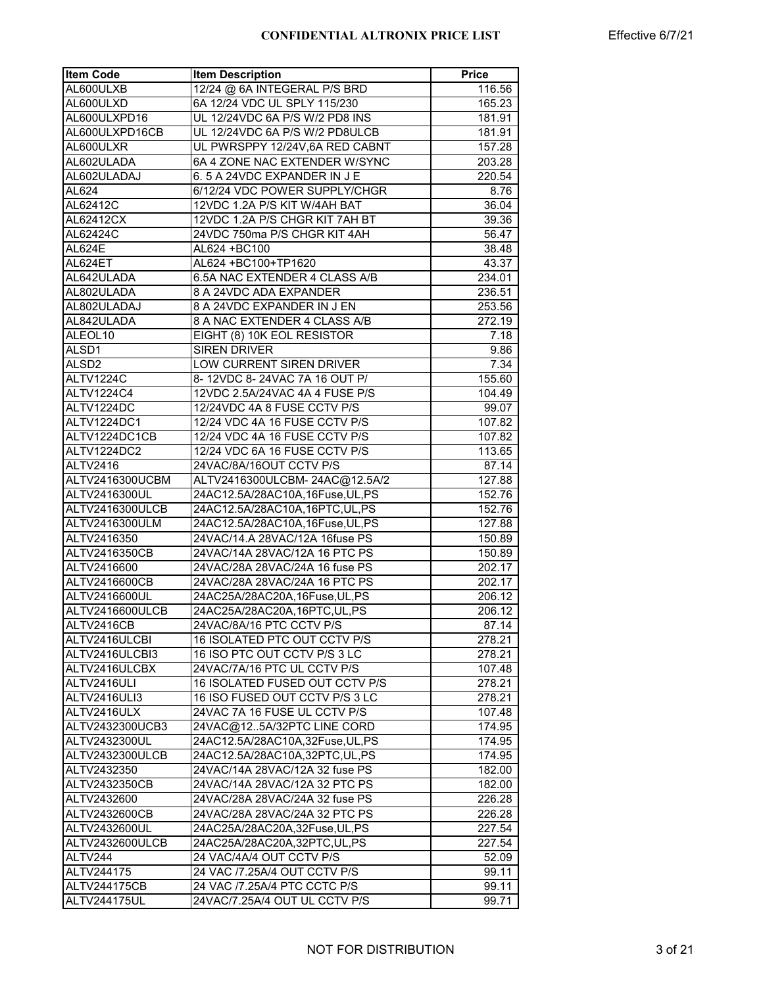| <b>Item Code</b>  | <b>Item Description</b>          | <b>Price</b> |
|-------------------|----------------------------------|--------------|
| AL600ULXB         | 12/24 @ 6A INTEGERAL P/S BRD     | 116.56       |
| AL600ULXD         | 6A 12/24 VDC UL SPLY 115/230     | 165.23       |
| AL600ULXPD16      | UL 12/24VDC 6A P/S W/2 PD8 INS   | 181.91       |
| AL600ULXPD16CB    | UL 12/24VDC 6A P/S W/2 PD8ULCB   | 181.91       |
| AL600ULXR         | UL PWRSPPY 12/24V,6A RED CABNT   | 157.28       |
| AL602ULADA        | 6A 4 ZONE NAC EXTENDER W/SYNC    | 203.28       |
| AL602ULADAJ       | 6.5 A 24VDC EXPANDER IN JE       | 220.54       |
| AL624             | 6/12/24 VDC POWER SUPPLY/CHGR    | 8.76         |
| AL62412C          | 12VDC 1.2A P/S KIT W/4AH BAT     | 36.04        |
| AL62412CX         | 12VDC 1.2A P/S CHGR KIT 7AH BT   | 39.36        |
| AL62424C          | 24VDC 750ma P/S CHGR KIT 4AH     | 56.47        |
| <b>AL624E</b>     | AL624 +BC100                     | 38.48        |
| AL624ET           | AL624 +BC100+TP1620              | 43.37        |
| AL642ULADA        | 6.5A NAC EXTENDER 4 CLASS A/B    | 234.01       |
| AL802ULADA        | 8 A 24VDC ADA EXPANDER           | 236.51       |
| AL802ULADAJ       | 8 A 24VDC EXPANDER IN J EN       | 253.56       |
| AL842ULADA        | 8 A NAC EXTENDER 4 CLASS A/B     | 272.19       |
| ALEOL10           | EIGHT (8) 10K EOL RESISTOR       | 7.18         |
| ALSD1             | <b>SIREN DRIVER</b>              | 9.86         |
| ALSD <sub>2</sub> | LOW CURRENT SIREN DRIVER         | 7.34         |
| ALTV1224C         | 8-12VDC 8-24VAC 7A 16 OUT P/     | 155.60       |
| ALTV1224C4        | 12VDC 2.5A/24VAC 4A 4 FUSE P/S   | 104.49       |
| ALTV1224DC        | 12/24VDC 4A 8 FUSE CCTV P/S      | 99.07        |
| ALTV1224DC1       | 12/24 VDC 4A 16 FUSE CCTV P/S    | 107.82       |
| ALTV1224DC1CB     | 12/24 VDC 4A 16 FUSE CCTV P/S    | 107.82       |
| ALTV1224DC2       | 12/24 VDC 6A 16 FUSE CCTV P/S    | 113.65       |
| ALTV2416          | 24VAC/8A/16OUT CCTV P/S          | 87.14        |
| ALTV2416300UCBM   | ALTV2416300ULCBM-24AC@12.5A/2    | 127.88       |
| ALTV2416300UL     | 24AC12.5A/28AC10A,16Fuse,UL,PS   | 152.76       |
| ALTV2416300ULCB   | 24AC12.5A/28AC10A,16PTC,UL,PS    | 152.76       |
| ALTV2416300ULM    | 24AC12.5A/28AC10A,16Fuse,UL,PS   | 127.88       |
| ALTV2416350       | 24VAC/14.A 28VAC/12A 16fuse PS   | 150.89       |
| ALTV2416350CB     | 24VAC/14A 28VAC/12A 16 PTC PS    | 150.89       |
| ALTV2416600       | 24VAC/28A 28VAC/24A 16 fuse PS   | 202.17       |
| ALTV2416600CB     | 24VAC/28A 28VAC/24A 16 PTC PS    | 202.17       |
| ALTV2416600UL     | 24AC25A/28AC20A,16Fuse,UL,PS     | 206.12       |
| ALTV2416600ULCB   | 24AC25A/28AC20A,16PTC,UL,PS      | 206.12       |
| ALTV2416CB        | 24VAC/8A/16 PTC CCTV P/S         | 87.14        |
| ALTV2416ULCBI     | 16 ISOLATED PTC OUT CCTV P/S     | 278.21       |
| ALTV2416ULCBI3    | 16 ISO PTC OUT CCTV P/S 3 LC     | 278.21       |
| ALTV2416ULCBX     | 24VAC/7A/16 PTC UL CCTV P/S      | 107.48       |
| ALTV2416ULI       | 16 ISOLATED FUSED OUT CCTV P/S   | 278.21       |
| ALTV2416ULI3      | 16 ISO FUSED OUT CCTV P/S 3 LC   | 278.21       |
| ALTV2416ULX       | 24VAC 7A 16 FUSE UL CCTV P/S     | 107.48       |
| ALTV2432300UCB3   | 24VAC@125A/32PTC LINE CORD       | 174.95       |
| ALTV2432300UL     | 24AC12.5A/28AC10A,32Fuse, UL, PS | 174.95       |
| ALTV2432300ULCB   | 24AC12.5A/28AC10A,32PTC,UL,PS    | 174.95       |
| ALTV2432350       | 24VAC/14A 28VAC/12A 32 fuse PS   | 182.00       |
| ALTV2432350CB     | 24VAC/14A 28VAC/12A 32 PTC PS    | 182.00       |
| ALTV2432600       | 24VAC/28A 28VAC/24A 32 fuse PS   | 226.28       |
| ALTV2432600CB     | 24VAC/28A 28VAC/24A 32 PTC PS    | 226.28       |
| ALTV2432600UL     | 24AC25A/28AC20A,32Fuse,UL,PS     | 227.54       |
| ALTV2432600ULCB   | 24AC25A/28AC20A,32PTC,UL,PS      | 227.54       |
| ALTV244           | 24 VAC/4A/4 OUT CCTV P/S         | 52.09        |
| ALTV244175        | 24 VAC /7.25A/4 OUT CCTV P/S     | 99.11        |
| ALTV244175CB      | 24 VAC /7.25A/4 PTC CCTC P/S     | 99.11        |
| ALTV244175UL      | 24VAC/7.25A/4 OUT UL CCTV P/S    | 99.71        |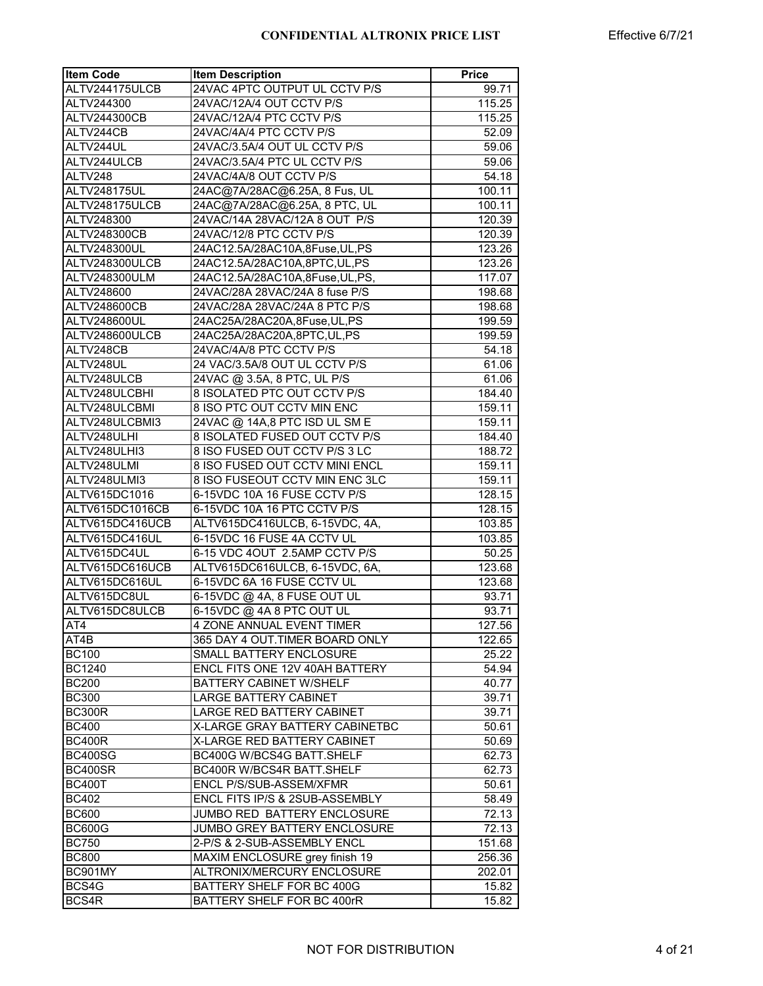| <b>Item Code</b> | <b>Item Description</b>                                      | <b>Price</b> |
|------------------|--------------------------------------------------------------|--------------|
| ALTV244175ULCB   | 24VAC 4PTC OUTPUT UL CCTV P/S                                | 99.71        |
| ALTV244300       | 24VAC/12A/4 OUT CCTV P/S                                     | 115.25       |
| ALTV244300CB     | 24VAC/12A/4 PTC CCTV P/S                                     | 115.25       |
| ALTV244CB        | 24VAC/4A/4 PTC CCTV P/S                                      | 52.09        |
| ALTV244UL        | 24VAC/3.5A/4 OUT UL CCTV P/S                                 | 59.06        |
| ALTV244ULCB      | 24VAC/3.5A/4 PTC UL CCTV P/S                                 | 59.06        |
| ALTV248          | 24VAC/4A/8 OUT CCTV P/S                                      | 54.18        |
| ALTV248175UL     | 24AC@7A/28AC@6.25A, 8 Fus, UL                                | 100.11       |
| ALTV248175ULCB   | 24AC@7A/28AC@6.25A, 8 PTC, UL                                | 100.11       |
| ALTV248300       | 24VAC/14A 28VAC/12A 8 OUT P/S                                | 120.39       |
| ALTV248300CB     | 24VAC/12/8 PTC CCTV P/S                                      | 120.39       |
| ALTV248300UL     | 24AC12.5A/28AC10A,8Fuse,UL,PS                                | 123.26       |
| ALTV248300ULCB   | 24AC12.5A/28AC10A,8PTC,UL,PS                                 | 123.26       |
| ALTV248300ULM    | 24AC12.5A/28AC10A,8Fuse,UL,PS,                               | 117.07       |
| ALTV248600       | 24VAC/28A 28VAC/24A 8 fuse P/S                               | 198.68       |
| ALTV248600CB     | 24VAC/28A 28VAC/24A 8 PTC P/S                                | 198.68       |
| ALTV248600UL     | 24AC25A/28AC20A,8Fuse,UL,PS                                  | 199.59       |
| ALTV248600ULCB   | 24AC25A/28AC20A,8PTC,UL,PS                                   | 199.59       |
| ALTV248CB        | 24VAC/4A/8 PTC CCTV P/S                                      | 54.18        |
| ALTV248UL        | 24 VAC/3.5A/8 OUT UL CCTV P/S                                | 61.06        |
| ALTV248ULCB      | 24VAC @ 3.5A, 8 PTC, UL P/S                                  | 61.06        |
| ALTV248ULCBHI    | 8 ISOLATED PTC OUT CCTV P/S                                  | 184.40       |
| ALTV248ULCBMI    | 8 ISO PTC OUT CCTV MIN ENC                                   | 159.11       |
| ALTV248ULCBMI3   | 24VAC @ 14A,8 PTC ISD UL SM E                                | 159.11       |
| ALTV248ULHI      | 8 ISOLATED FUSED OUT CCTV P/S                                | 184.40       |
| ALTV248ULHI3     | 8 ISO FUSED OUT CCTV P/S 3 LC                                | 188.72       |
| ALTV248ULMI      | 8 ISO FUSED OUT CCTV MINI ENCL                               | 159.11       |
| ALTV248ULMI3     | 8 ISO FUSEOUT CCTV MIN ENC 3LC                               | 159.11       |
| ALTV615DC1016    | 6-15VDC 10A 16 FUSE CCTV P/S                                 |              |
| ALTV615DC1016CB  | 6-15VDC 10A 16 PTC CCTV P/S                                  | 128.15       |
| ALTV615DC416UCB  |                                                              | 128.15       |
|                  | ALTV615DC416ULCB, 6-15VDC, 4A,<br>6-15VDC 16 FUSE 4A CCTV UL | 103.85       |
| ALTV615DC416UL   |                                                              | 103.85       |
| ALTV615DC4UL     | 6-15 VDC 4OUT 2.5AMP CCTV P/S                                | 50.25        |
| ALTV615DC616UCB  | ALTV615DC616ULCB, 6-15VDC, 6A,                               | 123.68       |
| ALTV615DC616UL   | 6-15VDC 6A 16 FUSE CCTV UL                                   | 123.68       |
| ALTV615DC8UL     | 6-15VDC @ 4A, 8 FUSE OUT UL                                  | 93.71        |
| ALTV615DC8ULCB   | 6-15VDC @ 4A 8 PTC OUT UL                                    | 93.71        |
| AT4              | <b>4 ZONE ANNUAL EVENT TIMER</b>                             | 127.56       |
| AT4B             | 365 DAY 4 OUT. TIMER BOARD ONLY                              | 122.65       |
| <b>BC100</b>     | SMALL BATTERY ENCLOSURE                                      | 25.22        |
| <b>BC1240</b>    | ENCL FITS ONE 12V 40AH BATTERY                               | 54.94        |
| <b>BC200</b>     | <b>BATTERY CABINET W/SHELF</b>                               | 40.77        |
| <b>BC300</b>     | <b>LARGE BATTERY CABINET</b>                                 | 39.71        |
| <b>BC300R</b>    | LARGE RED BATTERY CABINET                                    | 39.71        |
| <b>BC400</b>     | X-LARGE GRAY BATTERY CABINETBC                               | 50.61        |
| <b>BC400R</b>    | X-LARGE RED BATTERY CABINET                                  | 50.69        |
| <b>BC400SG</b>   | BC400G W/BCS4G BATT.SHELF                                    | 62.73        |
| BC400SR          | BC400R W/BCS4R BATT.SHELF                                    | 62.73        |
| <b>BC400T</b>    | <b>ENCL P/S/SUB-ASSEM/XFMR</b>                               | 50.61        |
| <b>BC402</b>     | ENCL FITS IP/S & 2SUB-ASSEMBLY                               | 58.49        |
| <b>BC600</b>     | JUMBO RED BATTERY ENCLOSURE                                  | 72.13        |
| <b>BC600G</b>    | JUMBO GREY BATTERY ENCLOSURE                                 | 72.13        |
| <b>BC750</b>     | 2-P/S & 2-SUB-ASSEMBLY ENCL                                  | 151.68       |
| <b>BC800</b>     | MAXIM ENCLOSURE grey finish 19                               | 256.36       |
| BC901MY          | ALTRONIX/MERCURY ENCLOSURE                                   | 202.01       |
| BCS4G            | BATTERY SHELF FOR BC 400G                                    | 15.82        |
| BCS4R            | BATTERY SHELF FOR BC 400rR                                   | 15.82        |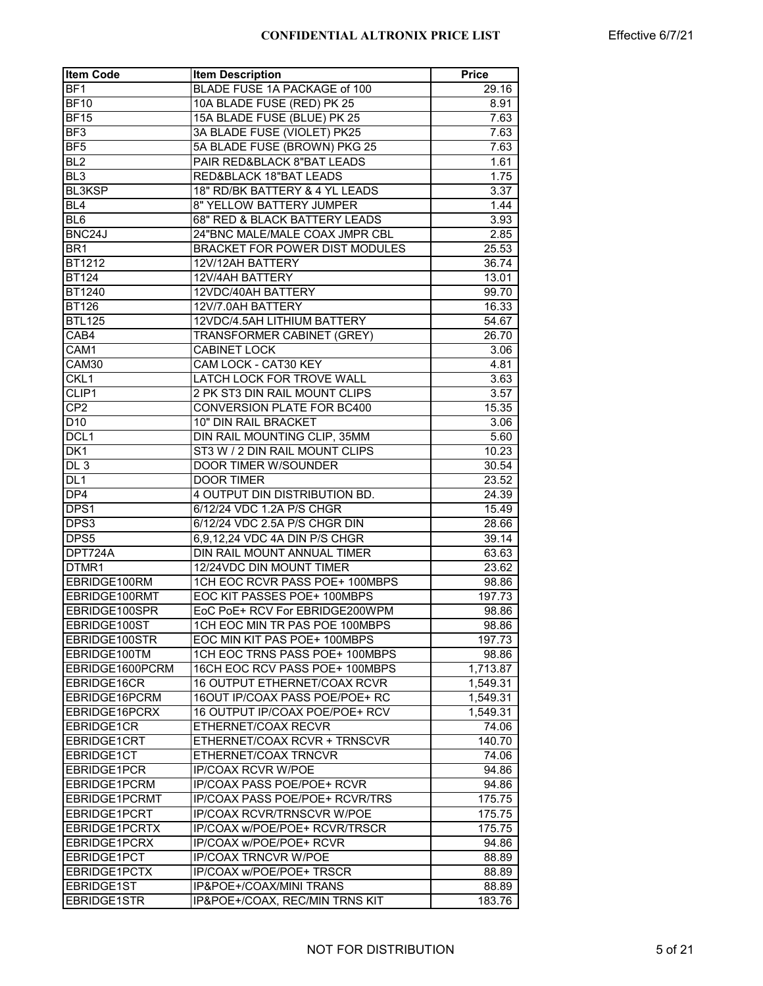| <b>Item Code</b> | <b>Item Description</b>           | <b>Price</b> |
|------------------|-----------------------------------|--------------|
| BF <sub>1</sub>  | BLADE FUSE 1A PACKAGE of 100      | 29.16        |
| <b>BF10</b>      | 10A BLADE FUSE (RED) PK 25        | 8.91         |
| <b>BF15</b>      | 15A BLADE FUSE (BLUE) PK 25       | 7.63         |
| BF <sub>3</sub>  | 3A BLADE FUSE (VIOLET) PK25       | 7.63         |
| BF <sub>5</sub>  | 5A BLADE FUSE (BROWN) PKG 25      | 7.63         |
| BL <sub>2</sub>  | PAIR RED&BLACK 8"BAT LEADS        | 1.61         |
| BL <sub>3</sub>  | RED&BLACK 18"BAT LEADS            | 1.75         |
| <b>BL3KSP</b>    | 18" RD/BK BATTERY & 4 YL LEADS    | 3.37         |
| BL <sub>4</sub>  | 8" YELLOW BATTERY JUMPER          | 1.44         |
| BL <sub>6</sub>  | 68" RED & BLACK BATTERY LEADS     | 3.93         |
| BNC24J           | 24"BNC MALE/MALE COAX JMPR CBL    | 2.85         |
| BR <sub>1</sub>  | BRACKET FOR POWER DIST MODULES    | 25.53        |
| <b>BT1212</b>    | 12V/12AH BATTERY                  | 36.74        |
| <b>BT124</b>     | 12V/4AH BATTERY                   | 13.01        |
| BT1240           | 12VDC/40AH BATTERY                | 99.70        |
|                  | 12V/7.0AH BATTERY                 | 16.33        |
| BT126            |                                   |              |
| <b>BTL125</b>    | 12VDC/4.5AH LITHIUM BATTERY       | 54.67        |
| CAB4             | <b>TRANSFORMER CABINET (GREY)</b> | 26.70        |
| CAM1             | <b>CABINET LOCK</b>               | 3.06         |
| CAM30            | CAM LOCK - CAT30 KEY              | 4.81         |
| CKL1             | LATCH LOCK FOR TROVE WALL         | 3.63         |
| CLIP1            | 2 PK ST3 DIN RAIL MOUNT CLIPS     | 3.57         |
| CP <sub>2</sub>  | <b>CONVERSION PLATE FOR BC400</b> | 15.35        |
| D <sub>10</sub>  | 10" DIN RAIL BRACKET              | 3.06         |
| DCL <sub>1</sub> | DIN RAIL MOUNTING CLIP, 35MM      | 5.60         |
| DK <sub>1</sub>  | ST3 W / 2 DIN RAIL MOUNT CLIPS    | 10.23        |
| DL <sub>3</sub>  | DOOR TIMER W/SOUNDER              | 30.54        |
| DL <sub>1</sub>  | <b>DOOR TIMER</b>                 | 23.52        |
| DP4              | 4 OUTPUT DIN DISTRIBUTION BD.     | 24.39        |
| DPS1             | 6/12/24 VDC 1.2A P/S CHGR         | 15.49        |
| DPS3             | 6/12/24 VDC 2.5A P/S CHGR DIN     | 28.66        |
| DPS5             | 6,9,12,24 VDC 4A DIN P/S CHGR     | 39.14        |
| DPT724A          | DIN RAIL MOUNT ANNUAL TIMER       | 63.63        |
| DTMR1            | 12/24VDC DIN MOUNT TIMER          | 23.62        |
| EBRIDGE100RM     | 1CH EOC RCVR PASS POE+ 100MBPS    | 98.86        |
| EBRIDGE100RMT    | EOC KIT PASSES POE+ 100MBPS       | 197.73       |
| EBRIDGE100SPR    | EoC PoE+ RCV For EBRIDGE200WPM    | 98.86        |
| EBRIDGE100ST     | 1CH EOC MIN TR PAS POE 100MBPS    | 98.86        |
| EBRIDGE100STR    | EOC MIN KIT PAS POE+ 100MBPS      | 197.73       |
| EBRIDGE100TM     | 1CH EOC TRNS PASS POE+ 100MBPS    | 98.86        |
| EBRIDGE1600PCRM  | 16CH EOC RCV PASS POE+ 100MBPS    | 1,713.87     |
| EBRIDGE16CR      | 16 OUTPUT ETHERNET/COAX RCVR      | 1,549.31     |
| EBRIDGE16PCRM    | 16OUT IP/COAX PASS POE/POE+ RC    | 1,549.31     |
| EBRIDGE16PCRX    | 16 OUTPUT IP/COAX POE/POE+ RCV    | 1,549.31     |
| EBRIDGE1CR       | ETHERNET/COAX RECVR               | 74.06        |
| EBRIDGE1CRT      | ETHERNET/COAX RCVR + TRNSCVR      |              |
|                  |                                   | 140.70       |
| EBRIDGE1CT       | ETHERNET/COAX TRNCVR              | 74.06        |
| EBRIDGE1PCR      | <b>IP/COAX RCVR W/POE</b>         | 94.86        |
| EBRIDGE1PCRM     | IP/COAX PASS POE/POE+ RCVR        | 94.86        |
| EBRIDGE1PCRMT    | IP/COAX PASS POE/POE+ RCVR/TRS    | 175.75       |
| EBRIDGE1PCRT     | IP/COAX RCVR/TRNSCVR W/POE        | 175.75       |
| EBRIDGE1PCRTX    | IP/COAX w/POE/POE+ RCVR/TRSCR     | 175.75       |
| EBRIDGE1PCRX     | IP/COAX w/POE/POE+ RCVR           | 94.86        |
| EBRIDGE1PCT      | <b>IP/COAX TRNCVR W/POE</b>       | 88.89        |
| EBRIDGE1PCTX     | IP/COAX w/POE/POE+ TRSCR          | 88.89        |
| EBRIDGE1ST       | IP&POE+/COAX/MINI TRANS           | 88.89        |
| EBRIDGE1STR      | IP&POE+/COAX, REC/MIN TRNS KIT    | 183.76       |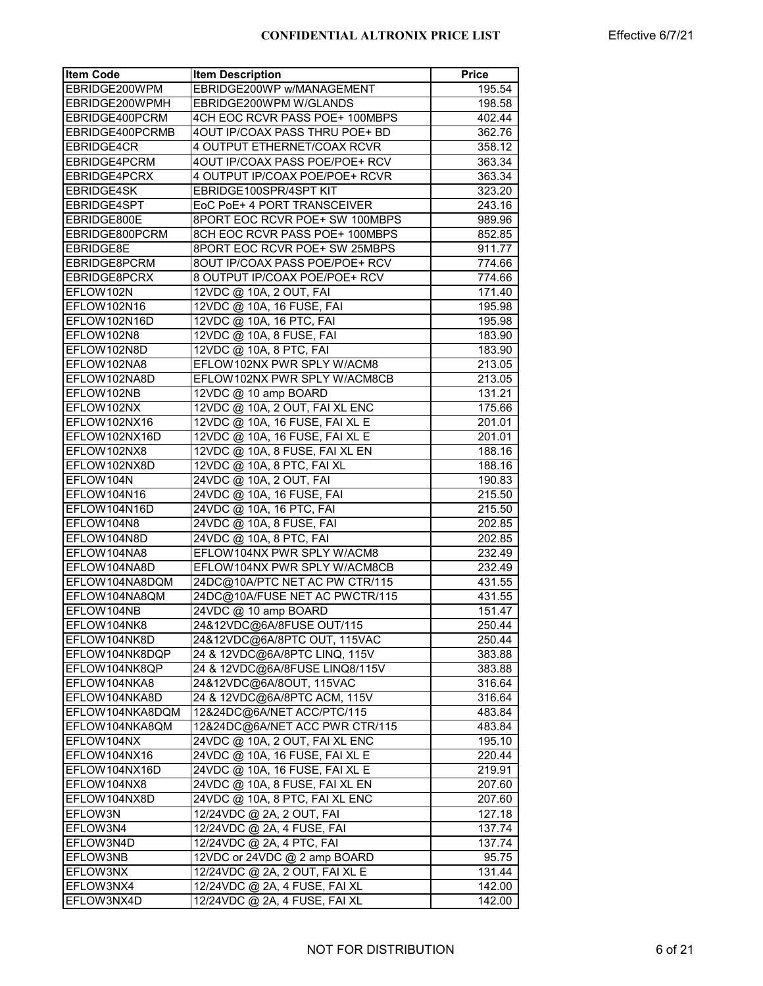| <b>Item Code</b>  | <b>Item Description</b>        | <b>Price</b> |
|-------------------|--------------------------------|--------------|
| EBRIDGE200WPM     | EBRIDGE200WP w/MANAGEMENT      | 195.54       |
| EBRIDGE200WPMH    | EBRIDGE200WPM W/GLANDS         | 198.58       |
| EBRIDGE400PCRM    | 4CH EOC RCVR PASS POE+ 100MBPS | 402.44       |
| EBRIDGE400PCRMB   | 4OUT IP/COAX PASS THRU POE+ BD | 362.76       |
| <b>EBRIDGE4CR</b> | 4 OUTPUT ETHERNET/COAX RCVR    | 358.12       |
| EBRIDGE4PCRM      | 4OUT IP/COAX PASS POE/POE+ RCV | 363.34       |
| EBRIDGE4PCRX      | 4 OUTPUT IP/COAX POE/POE+ RCVR | 363.34       |
| EBRIDGE4SK        | EBRIDGE100SPR/4SPT KIT         | 323.20       |
| EBRIDGE4SPT       | EoC PoE+ 4 PORT TRANSCEIVER    | 243.16       |
| EBRIDGE800E       | 8PORT EOC RCVR POE+ SW 100MBPS | 989.96       |
| EBRIDGE800PCRM    |                                |              |
|                   | 8CH EOC RCVR PASS POE+ 100MBPS | 852.85       |
| EBRIDGE8E         | 8PORT EOC RCVR POE+ SW 25MBPS  | 911.77       |
| EBRIDGE8PCRM      | 8OUT IP/COAX PASS POE/POE+ RCV | 774.66       |
| EBRIDGE8PCRX      | 8 OUTPUT IP/COAX POE/POE+ RCV  | 774.66       |
| EFLOW102N         | 12VDC @ 10A, 2 OUT, FAI        | 171.40       |
| EFLOW102N16       | 12VDC @ 10A, 16 FUSE, FAI      | 195.98       |
| EFLOW102N16D      | 12VDC @ 10A, 16 PTC, FAI       | 195.98       |
| EFLOW102N8        | 12VDC @ 10A, 8 FUSE, FAI       | 183.90       |
| EFLOW102N8D       | 12VDC @ 10A, 8 PTC, FAI        | 183.90       |
| EFLOW102NA8       | EFLOW102NX PWR SPLY W/ACM8     | 213.05       |
| EFLOW102NA8D      | EFLOW102NX PWR SPLY W/ACM8CB   | 213.05       |
| EFLOW102NB        | 12VDC @ 10 amp BOARD           | 131.21       |
| EFLOW102NX        | 12VDC @ 10A, 2 OUT, FAI XL ENC | 175.66       |
| EFLOW102NX16      | 12VDC @ 10A, 16 FUSE, FAI XL E | 201.01       |
| EFLOW102NX16D     | 12VDC @ 10A, 16 FUSE, FAI XL E | 201.01       |
| EFLOW102NX8       | 12VDC @ 10A, 8 FUSE, FAI XL EN | 188.16       |
| EFLOW102NX8D      | 12VDC @ 10A, 8 PTC, FAI XL     | 188.16       |
| EFLOW104N         | 24VDC @ 10A, 2 OUT, FAI        | 190.83       |
| EFLOW104N16       | 24VDC @ 10A, 16 FUSE, FAI      | 215.50       |
| EFLOW104N16D      | 24VDC @ 10A, 16 PTC, FAI       | 215.50       |
| EFLOW104N8        | 24VDC @ 10A, 8 FUSE, FAI       | 202.85       |
| EFLOW104N8D       | $24VDC@$ 10A, 8 PTC, FAI       | 202.85       |
| EFLOW104NA8       | EFLOW104NX PWR SPLY W/ACM8     | 232.49       |
| EFLOW104NA8D      | EFLOW104NX PWR SPLY W/ACM8CB   | 232.49       |
| EFLOW104NA8DQM    | 24DC@10A/PTC NET AC PW CTR/115 | 431.55       |
| EFLOW104NA8QM     | 24DC@10A/FUSE NET AC PWCTR/115 | 431.55       |
| EFLOW104NB        | 24VDC @ 10 amp BOARD           | 151.47       |
| EFLOW104NK8       | 24&12VDC@6A/8FUSE OUT/115      | 250.44       |
| EFLOW104NK8D      | 24&12VDC@6A/8PTC OUT, 115VAC   | 250.44       |
| EFLOW104NK8DQP    | 24 & 12VDC@6A/8PTC LINQ, 115V  | 383.88       |
| EFLOW104NK8QP     | 24 & 12VDC@6A/8FUSE LINQ8/115V | 383.88       |
| EFLOW104NKA8      | 24&12VDC@6A/8OUT, 115VAC       | 316.64       |
| EFLOW104NKA8D     | 24 & 12VDC@6A/8PTC ACM, 115V   | 316.64       |
| EFLOW104NKA8DQM   | 12&24DC@6A/NET ACC/PTC/115     | 483.84       |
| EFLOW104NKA8QM    | 12&24DC@6A/NET ACC PWR CTR/115 | 483.84       |
| EFLOW104NX        | 24VDC @ 10A, 2 OUT, FAI XL ENC | 195.10       |
| EFLOW104NX16      | 24VDC @ 10A, 16 FUSE, FAI XL E | 220.44       |
| EFLOW104NX16D     | 24VDC @ 10A, 16 FUSE, FAI XL E | 219.91       |
| EFLOW104NX8       | 24VDC @ 10A, 8 FUSE, FAI XL EN | 207.60       |
| EFLOW104NX8D      |                                | 207.60       |
|                   | 24VDC @ 10A, 8 PTC, FAI XL ENC |              |
| EFLOW3N           | 12/24VDC @ 2A, 2 OUT, FAI      | 127.18       |
| EFLOW3N4          | 12/24VDC @ 2A, 4 FUSE, FAI     | 137.74       |
| EFLOW3N4D         | 12/24VDC @ 2A, 4 PTC, FAI      | 137.74       |
| EFLOW3NB          | 12VDC or 24VDC @ 2 amp BOARD   | 95.75        |
| EFLOW3NX          | 12/24VDC @ 2A, 2 OUT, FAI XL E | 131.44       |
| EFLOW3NX4         | 12/24VDC @ 2A, 4 FUSE, FAI XL  | 142.00       |
| EFLOW3NX4D        | 12/24VDC @ 2A, 4 FUSE, FAI XL  | 142.00       |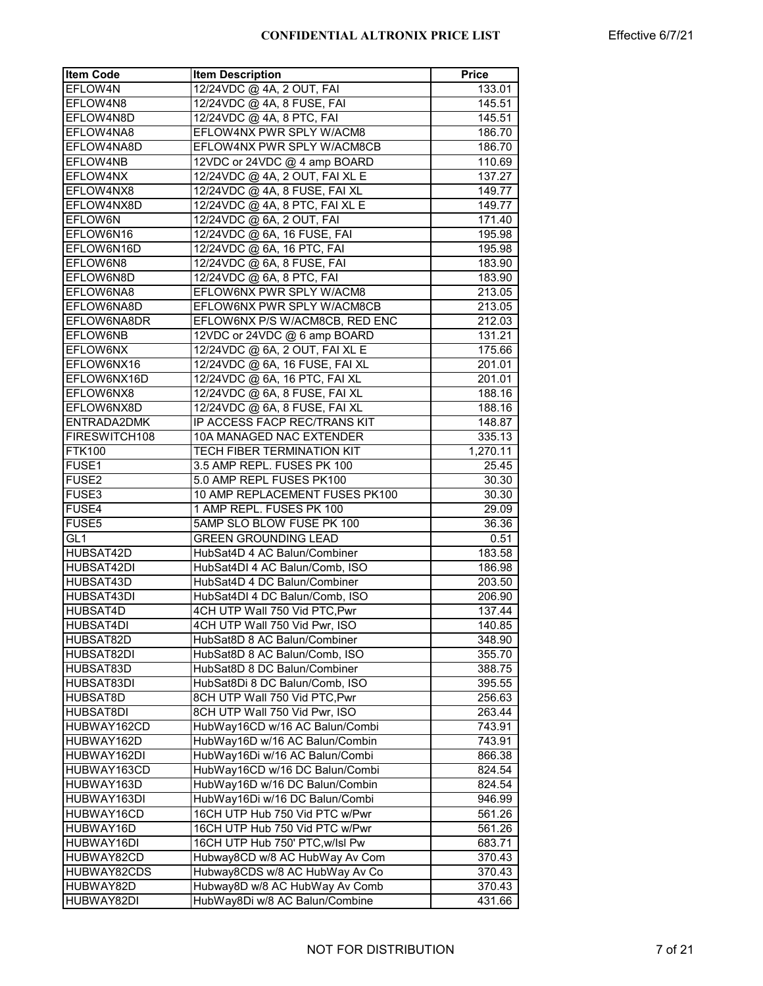| <b>Item Code</b>  | <b>Item Description</b>         | <b>Price</b> |
|-------------------|---------------------------------|--------------|
| EFLOW4N           | 12/24VDC @ 4A, 2 OUT, FAI       | 133.01       |
| EFLOW4N8          | 12/24VDC @ 4A, 8 FUSE, FAI      | 145.51       |
| EFLOW4N8D         | 12/24VDC @ 4A, 8 PTC, FAI       | 145.51       |
| EFLOW4NA8         | EFLOW4NX PWR SPLY W/ACM8        | 186.70       |
| EFLOW4NA8D        | EFLOW4NX PWR SPLY W/ACM8CB      | 186.70       |
| EFLOW4NB          | 12VDC or 24VDC @ 4 amp BOARD    | 110.69       |
| EFLOW4NX          | 12/24VDC @ 4A, 2 OUT, FAI XL E  | 137.27       |
| EFLOW4NX8         | 12/24VDC @ 4A, 8 FUSE, FAI XL   | 149.77       |
| EFLOW4NX8D        | 12/24VDC @ 4A, 8 PTC, FAI XL E  | 149.77       |
| EFLOW6N           | 12/24VDC @ 6A, 2 OUT, FAI       | 171.40       |
| EFLOW6N16         | 12/24VDC @ 6A, 16 FUSE, FAI     | 195.98       |
| EFLOW6N16D        | 12/24VDC @ 6A, 16 PTC, FAI      | 195.98       |
| EFLOW6N8          | 12/24VDC @ 6A, 8 FUSE, FAI      | 183.90       |
| EFLOW6N8D         | 12/24VDC @ 6A, 8 PTC, FAI       | 183.90       |
| EFLOW6NA8         | EFLOW6NX PWR SPLY W/ACM8        | 213.05       |
| EFLOW6NA8D        | EFLOW6NX PWR SPLY W/ACM8CB      | 213.05       |
| EFLOW6NA8DR       | EFLOW6NX P/S W/ACM8CB, RED ENC  | 212.03       |
| EFLOW6NB          | 12VDC or 24VDC @ 6 amp BOARD    | 131.21       |
| EFLOW6NX          | 12/24VDC @ 6A, 2 OUT, FAI XL E  | 175.66       |
| EFLOW6NX16        | 12/24VDC @ 6A, 16 FUSE, FAI XL  | 201.01       |
| EFLOW6NX16D       | 12/24VDC @ 6A, 16 PTC, FAI XL   | 201.01       |
| EFLOW6NX8         | 12/24VDC @ 6A, 8 FUSE, FAI XL   | 188.16       |
| EFLOW6NX8D        | 12/24VDC @ 6A, 8 FUSE, FAI XL   | 188.16       |
| ENTRADA2DMK       | IP ACCESS FACP REC/TRANS KIT    | 148.87       |
| FIRESWITCH108     | 10A MANAGED NAC EXTENDER        | 335.13       |
| <b>FTK100</b>     | TECH FIBER TERMINATION KIT      | 1,270.11     |
| FUSE <sub>1</sub> | 3.5 AMP REPL. FUSES PK 100      | 25.45        |
| FUSE2             | 5.0 AMP REPL FUSES PK100        | 30.30        |
| FUSE3             | 10 AMP REPLACEMENT FUSES PK100  | 30.30        |
| FUSE4             | 1 AMP REPL. FUSES PK 100        | 29.09        |
| FUSE <sub>5</sub> | 5AMP SLO BLOW FUSE PK 100       | 36.36        |
| GI1               | <b>GREEN GROUNDING LEAD</b>     | 0.51         |
| HUBSAT42D         | HubSat4D 4 AC Balun/Combiner    | 183.58       |
| HUBSAT42DI        | HubSat4DI 4 AC Balun/Comb, ISO  | 186.98       |
| HUBSAT43D         | HubSat4D 4 DC Balun/Combiner    | 203.50       |
| HUBSAT43DI        | HubSat4DI 4 DC Balun/Comb, ISO  | 206.90       |
| HUBSAT4D          | 4CH UTP Wall 750 Vid PTC, Pwr   | 137.44       |
| <b>HUBSAT4DI</b>  | 4CH UTP Wall 750 Vid Pwr, ISO   | 140.85       |
| HUBSAT82D         | HubSat8D 8 AC Balun/Combiner    | 348.90       |
| HUBSAT82DI        | HubSat8D 8 AC Balun/Comb, ISO   | 355.70       |
| HUBSAT83D         | HubSat8D 8 DC Balun/Combiner    | 388.75       |
| HUBSAT83DI        | HubSat8Di 8 DC Balun/Comb, ISO  | 395.55       |
| HUBSAT8D          | 8CH UTP Wall 750 Vid PTC, Pwr   | 256.63       |
| HUBSAT8DI         | 8CH UTP Wall 750 Vid Pwr, ISO   | 263.44       |
| HUBWAY162CD       | HubWay16CD w/16 AC Balun/Combi  | 743.91       |
| HUBWAY162D        | HubWay16D w/16 AC Balun/Combin  | 743.91       |
| HUBWAY162DI       | HubWay16Di w/16 AC Balun/Combi  | 866.38       |
| HUBWAY163CD       | HubWay16CD w/16 DC Balun/Combi  | 824.54       |
| HUBWAY163D        | HubWay16D w/16 DC Balun/Combin  | 824.54       |
| HUBWAY163DI       | HubWay16Di w/16 DC Balun/Combi  | 946.99       |
| HUBWAY16CD        | 16CH UTP Hub 750 Vid PTC w/Pwr  | 561.26       |
| HUBWAY16D         | 16CH UTP Hub 750 Vid PTC w/Pwr  | 561.26       |
| HUBWAY16DI        | 16CH UTP Hub 750' PTC, w/lsl Pw | 683.71       |
| HUBWAY82CD        | Hubway8CD w/8 AC HubWay Av Com  | 370.43       |
| HUBWAY82CDS       | Hubway8CDS w/8 AC HubWay Av Co  | 370.43       |
| HUBWAY82D         | Hubway8D w/8 AC HubWay Av Comb  | 370.43       |
| HUBWAY82DI        | HubWay8Di w/8 AC Balun/Combine  | 431.66       |
|                   |                                 |              |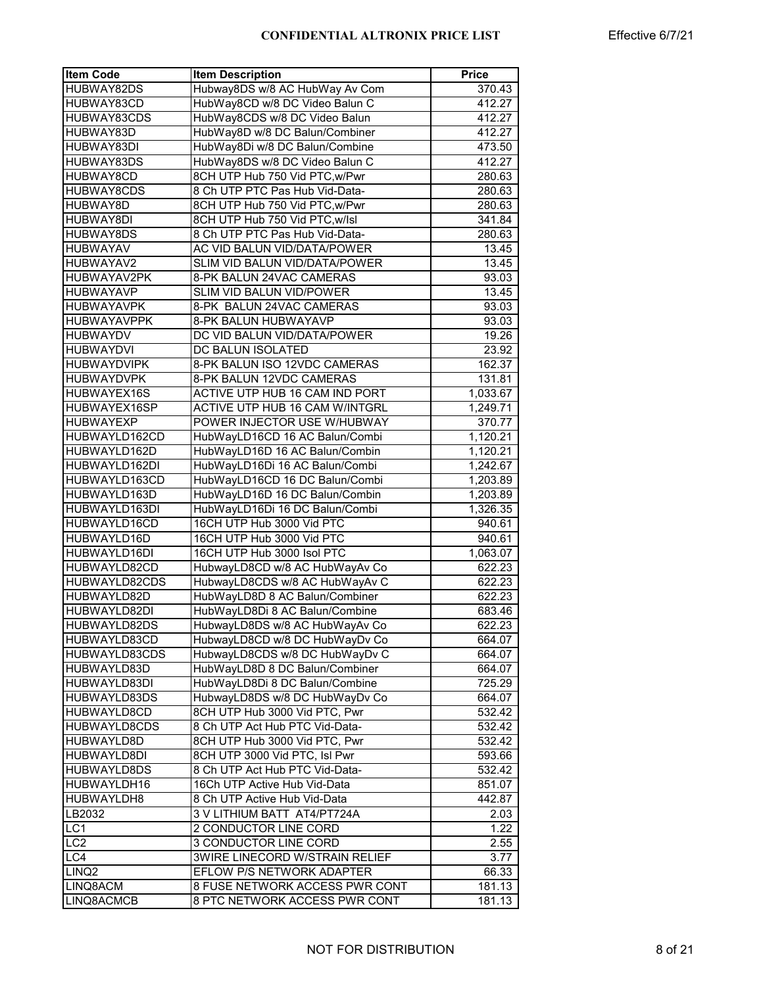| <b>Item Code</b>   | <b>Item Description</b>        | <b>Price</b> |
|--------------------|--------------------------------|--------------|
| HUBWAY82DS         | Hubway8DS w/8 AC HubWay Av Com | 370.43       |
| HUBWAY83CD         | HubWay8CD w/8 DC Video Balun C | 412.27       |
| HUBWAY83CDS        | HubWay8CDS w/8 DC Video Balun  | 412.27       |
| HUBWAY83D          | HubWay8D w/8 DC Balun/Combiner | 412.27       |
| HUBWAY83DI         | HubWay8Di w/8 DC Balun/Combine | 473.50       |
| HUBWAY83DS         | HubWay8DS w/8 DC Video Balun C | 412.27       |
| HUBWAY8CD          | 8CH UTP Hub 750 Vid PTC, w/Pwr | 280.63       |
| HUBWAY8CDS         | 8 Ch UTP PTC Pas Hub Vid-Data- | 280.63       |
| HUBWAY8D           | 8CH UTP Hub 750 Vid PTC, w/Pwr | 280.63       |
| HUBWAY8DI          | 8CH UTP Hub 750 Vid PTC, w/lsl | 341.84       |
| HUBWAY8DS          | 8 Ch UTP PTC Pas Hub Vid-Data- | 280.63       |
| <b>HUBWAYAV</b>    | AC VID BALUN VID/DATA/POWER    | 13.45        |
| HUBWAYAV2          | SLIM VID BALUN VID/DATA/POWER  | 13.45        |
| HUBWAYAV2PK        | 8-PK BALUN 24VAC CAMERAS       | 93.03        |
| <b>HUBWAYAVP</b>   | SLIM VID BALUN VID/POWER       | 13.45        |
| <b>HUBWAYAVPK</b>  | 8-PK BALUN 24VAC CAMERAS       | 93.03        |
| <b>HUBWAYAVPPK</b> | 8-PK BALUN HUBWAYAVP           | 93.03        |
| <b>HUBWAYDV</b>    | DC VID BALUN VID/DATA/POWER    | 19.26        |
| <b>HUBWAYDVI</b>   | DC BALUN ISOLATED              | 23.92        |
| <b>HUBWAYDVIPK</b> | 8-PK BALUN ISO 12VDC CAMERAS   | 162.37       |
| <b>HUBWAYDVPK</b>  | 8-PK BALUN 12VDC CAMERAS       | 131.81       |
| HUBWAYEX16S        | ACTIVE UTP HUB 16 CAM IND PORT | 1,033.67     |
| HUBWAYEX16SP       | ACTIVE UTP HUB 16 CAM W/INTGRL | 1,249.71     |
| <b>HUBWAYEXP</b>   | POWER INJECTOR USE W/HUBWAY    | 370.77       |
| HUBWAYLD162CD      | HubWayLD16CD 16 AC Balun/Combi | 1,120.21     |
| HUBWAYLD162D       | HubWayLD16D 16 AC Balun/Combin | 1,120.21     |
| HUBWAYLD162DI      | HubWayLD16Di 16 AC Balun/Combi | 1,242.67     |
| HUBWAYLD163CD      | HubWayLD16CD 16 DC Balun/Combi | 1,203.89     |
| HUBWAYLD163D       | HubWayLD16D 16 DC Balun/Combin | 1,203.89     |
| HUBWAYLD163DI      | HubWayLD16Di 16 DC Balun/Combi | 1,326.35     |
| HUBWAYLD16CD       | 16CH UTP Hub 3000 Vid PTC      | 940.61       |
| HUBWAYLD16D        | 16CH UTP Hub 3000 Vid PTC      | 940.61       |
| HUBWAYLD16DI       | 16CH UTP Hub 3000 Isol PTC     | 1,063.07     |
| HUBWAYLD82CD       | HubwayLD8CD w/8 AC HubWayAv Co | 622.23       |
| HUBWAYLD82CDS      | HubwayLD8CDS w/8 AC HubWayAv C | 622.23       |
| HUBWAYLD82D        | HubWayLD8D 8 AC Balun/Combiner | 622.23       |
| HUBWAYLD82DI       | HubWayLD8Di 8 AC Balun/Combine | 683.46       |
| HUBWAYLD82DS       | HubwayLD8DS w/8 AC HubWayAv Co | 622.23       |
| HUBWAYLD83CD       | HubwayLD8CD w/8 DC HubWayDv Co | 664.07       |
| HUBWAYLD83CDS      | HubwayLD8CDS w/8 DC HubWayDv C | 664.07       |
| HUBWAYLD83D        | HubWayLD8D 8 DC Balun/Combiner | 664.07       |
| HUBWAYLD83DI       | HubWayLD8Di 8 DC Balun/Combine | 725.29       |
| HUBWAYLD83DS       | HubwayLD8DS w/8 DC HubWayDv Co | 664.07       |
| HUBWAYLD8CD        | 8CH UTP Hub 3000 Vid PTC, Pwr  | 532.42       |
| HUBWAYLD8CDS       | 8 Ch UTP Act Hub PTC Vid-Data- | 532.42       |
| HUBWAYLD8D         | 8CH UTP Hub 3000 Vid PTC, Pwr  | 532.42       |
| HUBWAYLD8DI        | 8CH UTP 3000 Vid PTC, Isl Pwr  | 593.66       |
| HUBWAYLD8DS        | 8 Ch UTP Act Hub PTC Vid-Data- | 532.42       |
| HUBWAYLDH16        | 16Ch UTP Active Hub Vid-Data   | 851.07       |
| HUBWAYLDH8         | 8 Ch UTP Active Hub Vid-Data   | 442.87       |
| LB2032             | 3 V LITHIUM BATT AT4/PT724A    | 2.03         |
| LC <sub>1</sub>    | 2 CONDUCTOR LINE CORD          | 1.22         |
| LC <sub>2</sub>    | 3 CONDUCTOR LINE CORD          | 2.55         |
| LC4                | 3WIRE LINECORD W/STRAIN RELIEF | 3.77         |
| LINQ <sub>2</sub>  | EFLOW P/S NETWORK ADAPTER      | 66.33        |
| LINQ8ACM           | 8 FUSE NETWORK ACCESS PWR CONT | 181.13       |
| LINQ8ACMCB         | 8 PTC NETWORK ACCESS PWR CONT  | 181.13       |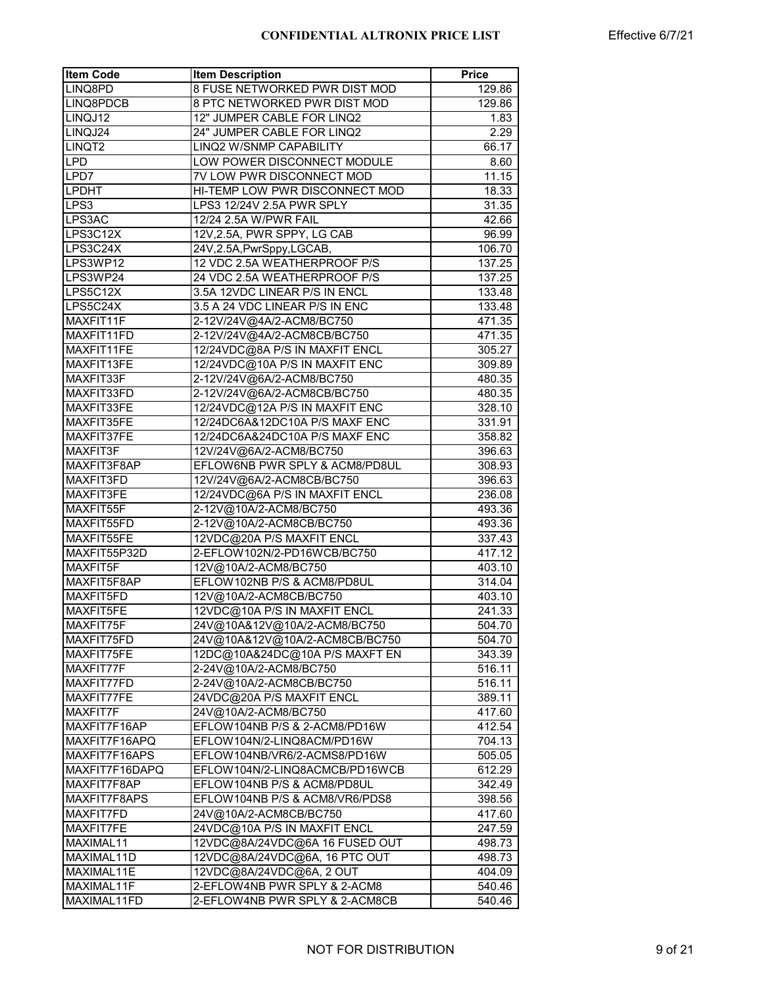| 8 FUSE NETWORKED PWR DIST MOD<br>LINQ8PD<br>129.86<br>8 PTC NETWORKED PWR DIST MOD<br>129.86<br>12" JUMPER CABLE FOR LINQ2<br>1.83<br>24" JUMPER CABLE FOR LINQ2<br>2.29<br>LINQJ24<br>LINQ2 W/SNMP CAPABILITY<br>LINQT2<br>66.17<br><b>LPD</b><br>LOW POWER DISCONNECT MODULE<br>8.60<br>LPD7<br>7V LOW PWR DISCONNECT MOD<br>11.15<br><b>LPDHT</b><br>HI-TEMP LOW PWR DISCONNECT MOD<br>18.33<br>LPS3<br>LPS3 12/24V 2.5A PWR SPLY<br>31.35<br>LPS3AC<br>12/24 2.5A W/PWR FAIL<br>42.66<br>LPS3C12X<br>12V, 2.5A, PWR SPPY, LG CAB<br>96.99<br>LPS3C24X<br>24V, 2.5A, PwrSppy, LGCAB,<br>106.70<br>LPS3WP12<br>12 VDC 2.5A WEATHERPROOF P/S<br>137.25<br>LPS3WP24<br>24 VDC 2.5A WEATHERPROOF P/S<br>137.25<br>LPS5C12X<br>3.5A 12VDC LINEAR P/S IN ENCL<br>133.48<br>LPS5C24X<br>3.5 A 24 VDC LINEAR P/S IN ENC<br>133.48<br>MAXFIT11F<br>2-12V/24V@4A/2-ACM8/BC750<br>471.35<br>MAXFIT11FD<br>2-12V/24V@4A/2-ACM8CB/BC750<br>471.35<br>MAXFIT11FE<br>12/24VDC@8A P/S IN MAXFIT ENCL<br>305.27<br>12/24VDC@10A P/S IN MAXFIT ENC<br>MAXFIT13FE<br>309.89<br>MAXFIT33F<br>2-12V/24V@6A/2-ACM8/BC750<br>480.35<br>2-12V/24V@6A/2-ACM8CB/BC750<br>MAXFIT33FD<br>480.35<br>MAXFIT33FE<br>12/24VDC@12A P/S IN MAXFIT ENC<br>328.10<br>MAXFIT35FE<br>12/24DC6A&12DC10A P/S MAXF ENC<br>331.91<br>MAXFIT37FE<br>12/24DC6A&24DC10A P/S MAXF ENC<br>358.82<br>MAXFIT3F<br>12V/24V@6A/2-ACM8/BC750<br>396.63<br>MAXFIT3F8AP<br>EFLOW6NB PWR SPLY & ACM8/PD8UL<br>308.93<br>MAXFIT3FD<br>12V/24V@6A/2-ACM8CB/BC750<br>396.63<br>MAXFIT3FE<br>12/24VDC@6A P/S IN MAXFIT ENCL<br>236.08<br>MAXFIT55F<br>2-12V@10A/2-ACM8/BC750<br>493.36<br>MAXFIT55FD<br>2-12V@10A/2-ACM8CB/BC750<br>493.36<br>MAXFIT55FE<br>12VDC@20A P/S MAXFIT ENCL<br>337.43<br>2-EFLOW102N/2-PD16WCB/BC750<br>MAXFIT55P32D<br>417.12<br>MAXFIT5F<br>12V@10A/2-ACM8/BC750<br>403.10<br>MAXFIT5F8AP<br>EFLOW102NB P/S & ACM8/PD8UL<br>314.04<br>MAXFIT5FD<br>12V@10A/2-ACM8CB/BC750<br>403.10<br>MAXFIT5FE<br>12VDC@10A P/S IN MAXFIT ENCL<br>241.33<br>MAXFIT75F<br>24V@10A&12V@10A/2-ACM8/BC750<br>504.70<br>MAXFIT75FD<br>24V@10A&12V@10A/2-ACM8CB/BC750<br>504.70<br>MAXFIT75FE<br>12DC@10A&24DC@10A P/S MAXFT EN<br>343.39<br>MAXFIT77F<br>2-24V@10A/2-ACM8/BC750<br>516.11<br>MAXFIT77FD<br>2-24V@10A/2-ACM8CB/BC750<br>516.11<br>MAXFIT77FE<br>24VDC@20A P/S MAXFIT ENCL<br>389.11<br>MAXFIT7F<br>24V@10A/2-ACM8/BC750<br>417.60<br>MAXFIT7F16AP<br>EFLOW104NB P/S & 2-ACM8/PD16W<br>412.54<br>MAXFIT7F16APQ<br>EFLOW104N/2-LINQ8ACM/PD16W<br>704.13<br>MAXFIT7F16APS<br>EFLOW104NB/VR6/2-ACMS8/PD16W<br>505.05<br>MAXFIT7F16DAPQ<br>EFLOW104N/2-LINQ8ACMCB/PD16WCB<br>612.29<br>MAXFIT7F8AP<br>EFLOW104NB P/S & ACM8/PD8UL<br>342.49<br>MAXFIT7F8APS<br>EFLOW104NB P/S & ACM8/VR6/PDS8<br>398.56<br>MAXFIT7FD<br>24V@10A/2-ACM8CB/BC750<br>417.60<br>MAXFIT7FE<br>24VDC@10A P/S IN MAXFIT ENCL<br>247.59<br>MAXIMAL11<br>12VDC@8A/24VDC@6A 16 FUSED OUT<br>498.73<br>MAXIMAL11D<br>12VDC@8A/24VDC@6A, 16 PTC OUT<br>498.73<br>MAXIMAL11E<br>12VDC@8A/24VDC@6A, 2 OUT<br>404.09<br>MAXIMAL11F<br>2-EFLOW4NB PWR SPLY & 2-ACM8<br>540.46<br>MAXIMAL11FD<br>2-EFLOW4NB PWR SPLY & 2-ACM8CB<br>540.46 | <b>Item Code</b> | <b>Item Description</b> | <b>Price</b> |
|---------------------------------------------------------------------------------------------------------------------------------------------------------------------------------------------------------------------------------------------------------------------------------------------------------------------------------------------------------------------------------------------------------------------------------------------------------------------------------------------------------------------------------------------------------------------------------------------------------------------------------------------------------------------------------------------------------------------------------------------------------------------------------------------------------------------------------------------------------------------------------------------------------------------------------------------------------------------------------------------------------------------------------------------------------------------------------------------------------------------------------------------------------------------------------------------------------------------------------------------------------------------------------------------------------------------------------------------------------------------------------------------------------------------------------------------------------------------------------------------------------------------------------------------------------------------------------------------------------------------------------------------------------------------------------------------------------------------------------------------------------------------------------------------------------------------------------------------------------------------------------------------------------------------------------------------------------------------------------------------------------------------------------------------------------------------------------------------------------------------------------------------------------------------------------------------------------------------------------------------------------------------------------------------------------------------------------------------------------------------------------------------------------------------------------------------------------------------------------------------------------------------------------------------------------------------------------------------------------------------------------------------------------------------------------------------------------------------------------------------------------------------------------------------------------------------------------------------------------------------------------------------------------------------------------------------------------------------------------------------------------------------------------------------------------------------------------------------------------------------------------------------------------------------|------------------|-------------------------|--------------|
|                                                                                                                                                                                                                                                                                                                                                                                                                                                                                                                                                                                                                                                                                                                                                                                                                                                                                                                                                                                                                                                                                                                                                                                                                                                                                                                                                                                                                                                                                                                                                                                                                                                                                                                                                                                                                                                                                                                                                                                                                                                                                                                                                                                                                                                                                                                                                                                                                                                                                                                                                                                                                                                                                                                                                                                                                                                                                                                                                                                                                                                                                                                                                                     |                  |                         |              |
|                                                                                                                                                                                                                                                                                                                                                                                                                                                                                                                                                                                                                                                                                                                                                                                                                                                                                                                                                                                                                                                                                                                                                                                                                                                                                                                                                                                                                                                                                                                                                                                                                                                                                                                                                                                                                                                                                                                                                                                                                                                                                                                                                                                                                                                                                                                                                                                                                                                                                                                                                                                                                                                                                                                                                                                                                                                                                                                                                                                                                                                                                                                                                                     | LINQ8PDCB        |                         |              |
|                                                                                                                                                                                                                                                                                                                                                                                                                                                                                                                                                                                                                                                                                                                                                                                                                                                                                                                                                                                                                                                                                                                                                                                                                                                                                                                                                                                                                                                                                                                                                                                                                                                                                                                                                                                                                                                                                                                                                                                                                                                                                                                                                                                                                                                                                                                                                                                                                                                                                                                                                                                                                                                                                                                                                                                                                                                                                                                                                                                                                                                                                                                                                                     | LINQJ12          |                         |              |
|                                                                                                                                                                                                                                                                                                                                                                                                                                                                                                                                                                                                                                                                                                                                                                                                                                                                                                                                                                                                                                                                                                                                                                                                                                                                                                                                                                                                                                                                                                                                                                                                                                                                                                                                                                                                                                                                                                                                                                                                                                                                                                                                                                                                                                                                                                                                                                                                                                                                                                                                                                                                                                                                                                                                                                                                                                                                                                                                                                                                                                                                                                                                                                     |                  |                         |              |
|                                                                                                                                                                                                                                                                                                                                                                                                                                                                                                                                                                                                                                                                                                                                                                                                                                                                                                                                                                                                                                                                                                                                                                                                                                                                                                                                                                                                                                                                                                                                                                                                                                                                                                                                                                                                                                                                                                                                                                                                                                                                                                                                                                                                                                                                                                                                                                                                                                                                                                                                                                                                                                                                                                                                                                                                                                                                                                                                                                                                                                                                                                                                                                     |                  |                         |              |
|                                                                                                                                                                                                                                                                                                                                                                                                                                                                                                                                                                                                                                                                                                                                                                                                                                                                                                                                                                                                                                                                                                                                                                                                                                                                                                                                                                                                                                                                                                                                                                                                                                                                                                                                                                                                                                                                                                                                                                                                                                                                                                                                                                                                                                                                                                                                                                                                                                                                                                                                                                                                                                                                                                                                                                                                                                                                                                                                                                                                                                                                                                                                                                     |                  |                         |              |
|                                                                                                                                                                                                                                                                                                                                                                                                                                                                                                                                                                                                                                                                                                                                                                                                                                                                                                                                                                                                                                                                                                                                                                                                                                                                                                                                                                                                                                                                                                                                                                                                                                                                                                                                                                                                                                                                                                                                                                                                                                                                                                                                                                                                                                                                                                                                                                                                                                                                                                                                                                                                                                                                                                                                                                                                                                                                                                                                                                                                                                                                                                                                                                     |                  |                         |              |
|                                                                                                                                                                                                                                                                                                                                                                                                                                                                                                                                                                                                                                                                                                                                                                                                                                                                                                                                                                                                                                                                                                                                                                                                                                                                                                                                                                                                                                                                                                                                                                                                                                                                                                                                                                                                                                                                                                                                                                                                                                                                                                                                                                                                                                                                                                                                                                                                                                                                                                                                                                                                                                                                                                                                                                                                                                                                                                                                                                                                                                                                                                                                                                     |                  |                         |              |
|                                                                                                                                                                                                                                                                                                                                                                                                                                                                                                                                                                                                                                                                                                                                                                                                                                                                                                                                                                                                                                                                                                                                                                                                                                                                                                                                                                                                                                                                                                                                                                                                                                                                                                                                                                                                                                                                                                                                                                                                                                                                                                                                                                                                                                                                                                                                                                                                                                                                                                                                                                                                                                                                                                                                                                                                                                                                                                                                                                                                                                                                                                                                                                     |                  |                         |              |
|                                                                                                                                                                                                                                                                                                                                                                                                                                                                                                                                                                                                                                                                                                                                                                                                                                                                                                                                                                                                                                                                                                                                                                                                                                                                                                                                                                                                                                                                                                                                                                                                                                                                                                                                                                                                                                                                                                                                                                                                                                                                                                                                                                                                                                                                                                                                                                                                                                                                                                                                                                                                                                                                                                                                                                                                                                                                                                                                                                                                                                                                                                                                                                     |                  |                         |              |
|                                                                                                                                                                                                                                                                                                                                                                                                                                                                                                                                                                                                                                                                                                                                                                                                                                                                                                                                                                                                                                                                                                                                                                                                                                                                                                                                                                                                                                                                                                                                                                                                                                                                                                                                                                                                                                                                                                                                                                                                                                                                                                                                                                                                                                                                                                                                                                                                                                                                                                                                                                                                                                                                                                                                                                                                                                                                                                                                                                                                                                                                                                                                                                     |                  |                         |              |
|                                                                                                                                                                                                                                                                                                                                                                                                                                                                                                                                                                                                                                                                                                                                                                                                                                                                                                                                                                                                                                                                                                                                                                                                                                                                                                                                                                                                                                                                                                                                                                                                                                                                                                                                                                                                                                                                                                                                                                                                                                                                                                                                                                                                                                                                                                                                                                                                                                                                                                                                                                                                                                                                                                                                                                                                                                                                                                                                                                                                                                                                                                                                                                     |                  |                         |              |
|                                                                                                                                                                                                                                                                                                                                                                                                                                                                                                                                                                                                                                                                                                                                                                                                                                                                                                                                                                                                                                                                                                                                                                                                                                                                                                                                                                                                                                                                                                                                                                                                                                                                                                                                                                                                                                                                                                                                                                                                                                                                                                                                                                                                                                                                                                                                                                                                                                                                                                                                                                                                                                                                                                                                                                                                                                                                                                                                                                                                                                                                                                                                                                     |                  |                         |              |
|                                                                                                                                                                                                                                                                                                                                                                                                                                                                                                                                                                                                                                                                                                                                                                                                                                                                                                                                                                                                                                                                                                                                                                                                                                                                                                                                                                                                                                                                                                                                                                                                                                                                                                                                                                                                                                                                                                                                                                                                                                                                                                                                                                                                                                                                                                                                                                                                                                                                                                                                                                                                                                                                                                                                                                                                                                                                                                                                                                                                                                                                                                                                                                     |                  |                         |              |
|                                                                                                                                                                                                                                                                                                                                                                                                                                                                                                                                                                                                                                                                                                                                                                                                                                                                                                                                                                                                                                                                                                                                                                                                                                                                                                                                                                                                                                                                                                                                                                                                                                                                                                                                                                                                                                                                                                                                                                                                                                                                                                                                                                                                                                                                                                                                                                                                                                                                                                                                                                                                                                                                                                                                                                                                                                                                                                                                                                                                                                                                                                                                                                     |                  |                         |              |
|                                                                                                                                                                                                                                                                                                                                                                                                                                                                                                                                                                                                                                                                                                                                                                                                                                                                                                                                                                                                                                                                                                                                                                                                                                                                                                                                                                                                                                                                                                                                                                                                                                                                                                                                                                                                                                                                                                                                                                                                                                                                                                                                                                                                                                                                                                                                                                                                                                                                                                                                                                                                                                                                                                                                                                                                                                                                                                                                                                                                                                                                                                                                                                     |                  |                         |              |
|                                                                                                                                                                                                                                                                                                                                                                                                                                                                                                                                                                                                                                                                                                                                                                                                                                                                                                                                                                                                                                                                                                                                                                                                                                                                                                                                                                                                                                                                                                                                                                                                                                                                                                                                                                                                                                                                                                                                                                                                                                                                                                                                                                                                                                                                                                                                                                                                                                                                                                                                                                                                                                                                                                                                                                                                                                                                                                                                                                                                                                                                                                                                                                     |                  |                         |              |
|                                                                                                                                                                                                                                                                                                                                                                                                                                                                                                                                                                                                                                                                                                                                                                                                                                                                                                                                                                                                                                                                                                                                                                                                                                                                                                                                                                                                                                                                                                                                                                                                                                                                                                                                                                                                                                                                                                                                                                                                                                                                                                                                                                                                                                                                                                                                                                                                                                                                                                                                                                                                                                                                                                                                                                                                                                                                                                                                                                                                                                                                                                                                                                     |                  |                         |              |
|                                                                                                                                                                                                                                                                                                                                                                                                                                                                                                                                                                                                                                                                                                                                                                                                                                                                                                                                                                                                                                                                                                                                                                                                                                                                                                                                                                                                                                                                                                                                                                                                                                                                                                                                                                                                                                                                                                                                                                                                                                                                                                                                                                                                                                                                                                                                                                                                                                                                                                                                                                                                                                                                                                                                                                                                                                                                                                                                                                                                                                                                                                                                                                     |                  |                         |              |
|                                                                                                                                                                                                                                                                                                                                                                                                                                                                                                                                                                                                                                                                                                                                                                                                                                                                                                                                                                                                                                                                                                                                                                                                                                                                                                                                                                                                                                                                                                                                                                                                                                                                                                                                                                                                                                                                                                                                                                                                                                                                                                                                                                                                                                                                                                                                                                                                                                                                                                                                                                                                                                                                                                                                                                                                                                                                                                                                                                                                                                                                                                                                                                     |                  |                         |              |
|                                                                                                                                                                                                                                                                                                                                                                                                                                                                                                                                                                                                                                                                                                                                                                                                                                                                                                                                                                                                                                                                                                                                                                                                                                                                                                                                                                                                                                                                                                                                                                                                                                                                                                                                                                                                                                                                                                                                                                                                                                                                                                                                                                                                                                                                                                                                                                                                                                                                                                                                                                                                                                                                                                                                                                                                                                                                                                                                                                                                                                                                                                                                                                     |                  |                         |              |
|                                                                                                                                                                                                                                                                                                                                                                                                                                                                                                                                                                                                                                                                                                                                                                                                                                                                                                                                                                                                                                                                                                                                                                                                                                                                                                                                                                                                                                                                                                                                                                                                                                                                                                                                                                                                                                                                                                                                                                                                                                                                                                                                                                                                                                                                                                                                                                                                                                                                                                                                                                                                                                                                                                                                                                                                                                                                                                                                                                                                                                                                                                                                                                     |                  |                         |              |
|                                                                                                                                                                                                                                                                                                                                                                                                                                                                                                                                                                                                                                                                                                                                                                                                                                                                                                                                                                                                                                                                                                                                                                                                                                                                                                                                                                                                                                                                                                                                                                                                                                                                                                                                                                                                                                                                                                                                                                                                                                                                                                                                                                                                                                                                                                                                                                                                                                                                                                                                                                                                                                                                                                                                                                                                                                                                                                                                                                                                                                                                                                                                                                     |                  |                         |              |
|                                                                                                                                                                                                                                                                                                                                                                                                                                                                                                                                                                                                                                                                                                                                                                                                                                                                                                                                                                                                                                                                                                                                                                                                                                                                                                                                                                                                                                                                                                                                                                                                                                                                                                                                                                                                                                                                                                                                                                                                                                                                                                                                                                                                                                                                                                                                                                                                                                                                                                                                                                                                                                                                                                                                                                                                                                                                                                                                                                                                                                                                                                                                                                     |                  |                         |              |
|                                                                                                                                                                                                                                                                                                                                                                                                                                                                                                                                                                                                                                                                                                                                                                                                                                                                                                                                                                                                                                                                                                                                                                                                                                                                                                                                                                                                                                                                                                                                                                                                                                                                                                                                                                                                                                                                                                                                                                                                                                                                                                                                                                                                                                                                                                                                                                                                                                                                                                                                                                                                                                                                                                                                                                                                                                                                                                                                                                                                                                                                                                                                                                     |                  |                         |              |
|                                                                                                                                                                                                                                                                                                                                                                                                                                                                                                                                                                                                                                                                                                                                                                                                                                                                                                                                                                                                                                                                                                                                                                                                                                                                                                                                                                                                                                                                                                                                                                                                                                                                                                                                                                                                                                                                                                                                                                                                                                                                                                                                                                                                                                                                                                                                                                                                                                                                                                                                                                                                                                                                                                                                                                                                                                                                                                                                                                                                                                                                                                                                                                     |                  |                         |              |
|                                                                                                                                                                                                                                                                                                                                                                                                                                                                                                                                                                                                                                                                                                                                                                                                                                                                                                                                                                                                                                                                                                                                                                                                                                                                                                                                                                                                                                                                                                                                                                                                                                                                                                                                                                                                                                                                                                                                                                                                                                                                                                                                                                                                                                                                                                                                                                                                                                                                                                                                                                                                                                                                                                                                                                                                                                                                                                                                                                                                                                                                                                                                                                     |                  |                         |              |
|                                                                                                                                                                                                                                                                                                                                                                                                                                                                                                                                                                                                                                                                                                                                                                                                                                                                                                                                                                                                                                                                                                                                                                                                                                                                                                                                                                                                                                                                                                                                                                                                                                                                                                                                                                                                                                                                                                                                                                                                                                                                                                                                                                                                                                                                                                                                                                                                                                                                                                                                                                                                                                                                                                                                                                                                                                                                                                                                                                                                                                                                                                                                                                     |                  |                         |              |
|                                                                                                                                                                                                                                                                                                                                                                                                                                                                                                                                                                                                                                                                                                                                                                                                                                                                                                                                                                                                                                                                                                                                                                                                                                                                                                                                                                                                                                                                                                                                                                                                                                                                                                                                                                                                                                                                                                                                                                                                                                                                                                                                                                                                                                                                                                                                                                                                                                                                                                                                                                                                                                                                                                                                                                                                                                                                                                                                                                                                                                                                                                                                                                     |                  |                         |              |
|                                                                                                                                                                                                                                                                                                                                                                                                                                                                                                                                                                                                                                                                                                                                                                                                                                                                                                                                                                                                                                                                                                                                                                                                                                                                                                                                                                                                                                                                                                                                                                                                                                                                                                                                                                                                                                                                                                                                                                                                                                                                                                                                                                                                                                                                                                                                                                                                                                                                                                                                                                                                                                                                                                                                                                                                                                                                                                                                                                                                                                                                                                                                                                     |                  |                         |              |
|                                                                                                                                                                                                                                                                                                                                                                                                                                                                                                                                                                                                                                                                                                                                                                                                                                                                                                                                                                                                                                                                                                                                                                                                                                                                                                                                                                                                                                                                                                                                                                                                                                                                                                                                                                                                                                                                                                                                                                                                                                                                                                                                                                                                                                                                                                                                                                                                                                                                                                                                                                                                                                                                                                                                                                                                                                                                                                                                                                                                                                                                                                                                                                     |                  |                         |              |
|                                                                                                                                                                                                                                                                                                                                                                                                                                                                                                                                                                                                                                                                                                                                                                                                                                                                                                                                                                                                                                                                                                                                                                                                                                                                                                                                                                                                                                                                                                                                                                                                                                                                                                                                                                                                                                                                                                                                                                                                                                                                                                                                                                                                                                                                                                                                                                                                                                                                                                                                                                                                                                                                                                                                                                                                                                                                                                                                                                                                                                                                                                                                                                     |                  |                         |              |
|                                                                                                                                                                                                                                                                                                                                                                                                                                                                                                                                                                                                                                                                                                                                                                                                                                                                                                                                                                                                                                                                                                                                                                                                                                                                                                                                                                                                                                                                                                                                                                                                                                                                                                                                                                                                                                                                                                                                                                                                                                                                                                                                                                                                                                                                                                                                                                                                                                                                                                                                                                                                                                                                                                                                                                                                                                                                                                                                                                                                                                                                                                                                                                     |                  |                         |              |
|                                                                                                                                                                                                                                                                                                                                                                                                                                                                                                                                                                                                                                                                                                                                                                                                                                                                                                                                                                                                                                                                                                                                                                                                                                                                                                                                                                                                                                                                                                                                                                                                                                                                                                                                                                                                                                                                                                                                                                                                                                                                                                                                                                                                                                                                                                                                                                                                                                                                                                                                                                                                                                                                                                                                                                                                                                                                                                                                                                                                                                                                                                                                                                     |                  |                         |              |
|                                                                                                                                                                                                                                                                                                                                                                                                                                                                                                                                                                                                                                                                                                                                                                                                                                                                                                                                                                                                                                                                                                                                                                                                                                                                                                                                                                                                                                                                                                                                                                                                                                                                                                                                                                                                                                                                                                                                                                                                                                                                                                                                                                                                                                                                                                                                                                                                                                                                                                                                                                                                                                                                                                                                                                                                                                                                                                                                                                                                                                                                                                                                                                     |                  |                         |              |
|                                                                                                                                                                                                                                                                                                                                                                                                                                                                                                                                                                                                                                                                                                                                                                                                                                                                                                                                                                                                                                                                                                                                                                                                                                                                                                                                                                                                                                                                                                                                                                                                                                                                                                                                                                                                                                                                                                                                                                                                                                                                                                                                                                                                                                                                                                                                                                                                                                                                                                                                                                                                                                                                                                                                                                                                                                                                                                                                                                                                                                                                                                                                                                     |                  |                         |              |
|                                                                                                                                                                                                                                                                                                                                                                                                                                                                                                                                                                                                                                                                                                                                                                                                                                                                                                                                                                                                                                                                                                                                                                                                                                                                                                                                                                                                                                                                                                                                                                                                                                                                                                                                                                                                                                                                                                                                                                                                                                                                                                                                                                                                                                                                                                                                                                                                                                                                                                                                                                                                                                                                                                                                                                                                                                                                                                                                                                                                                                                                                                                                                                     |                  |                         |              |
|                                                                                                                                                                                                                                                                                                                                                                                                                                                                                                                                                                                                                                                                                                                                                                                                                                                                                                                                                                                                                                                                                                                                                                                                                                                                                                                                                                                                                                                                                                                                                                                                                                                                                                                                                                                                                                                                                                                                                                                                                                                                                                                                                                                                                                                                                                                                                                                                                                                                                                                                                                                                                                                                                                                                                                                                                                                                                                                                                                                                                                                                                                                                                                     |                  |                         |              |
|                                                                                                                                                                                                                                                                                                                                                                                                                                                                                                                                                                                                                                                                                                                                                                                                                                                                                                                                                                                                                                                                                                                                                                                                                                                                                                                                                                                                                                                                                                                                                                                                                                                                                                                                                                                                                                                                                                                                                                                                                                                                                                                                                                                                                                                                                                                                                                                                                                                                                                                                                                                                                                                                                                                                                                                                                                                                                                                                                                                                                                                                                                                                                                     |                  |                         |              |
|                                                                                                                                                                                                                                                                                                                                                                                                                                                                                                                                                                                                                                                                                                                                                                                                                                                                                                                                                                                                                                                                                                                                                                                                                                                                                                                                                                                                                                                                                                                                                                                                                                                                                                                                                                                                                                                                                                                                                                                                                                                                                                                                                                                                                                                                                                                                                                                                                                                                                                                                                                                                                                                                                                                                                                                                                                                                                                                                                                                                                                                                                                                                                                     |                  |                         |              |
|                                                                                                                                                                                                                                                                                                                                                                                                                                                                                                                                                                                                                                                                                                                                                                                                                                                                                                                                                                                                                                                                                                                                                                                                                                                                                                                                                                                                                                                                                                                                                                                                                                                                                                                                                                                                                                                                                                                                                                                                                                                                                                                                                                                                                                                                                                                                                                                                                                                                                                                                                                                                                                                                                                                                                                                                                                                                                                                                                                                                                                                                                                                                                                     |                  |                         |              |
|                                                                                                                                                                                                                                                                                                                                                                                                                                                                                                                                                                                                                                                                                                                                                                                                                                                                                                                                                                                                                                                                                                                                                                                                                                                                                                                                                                                                                                                                                                                                                                                                                                                                                                                                                                                                                                                                                                                                                                                                                                                                                                                                                                                                                                                                                                                                                                                                                                                                                                                                                                                                                                                                                                                                                                                                                                                                                                                                                                                                                                                                                                                                                                     |                  |                         |              |
|                                                                                                                                                                                                                                                                                                                                                                                                                                                                                                                                                                                                                                                                                                                                                                                                                                                                                                                                                                                                                                                                                                                                                                                                                                                                                                                                                                                                                                                                                                                                                                                                                                                                                                                                                                                                                                                                                                                                                                                                                                                                                                                                                                                                                                                                                                                                                                                                                                                                                                                                                                                                                                                                                                                                                                                                                                                                                                                                                                                                                                                                                                                                                                     |                  |                         |              |
|                                                                                                                                                                                                                                                                                                                                                                                                                                                                                                                                                                                                                                                                                                                                                                                                                                                                                                                                                                                                                                                                                                                                                                                                                                                                                                                                                                                                                                                                                                                                                                                                                                                                                                                                                                                                                                                                                                                                                                                                                                                                                                                                                                                                                                                                                                                                                                                                                                                                                                                                                                                                                                                                                                                                                                                                                                                                                                                                                                                                                                                                                                                                                                     |                  |                         |              |
|                                                                                                                                                                                                                                                                                                                                                                                                                                                                                                                                                                                                                                                                                                                                                                                                                                                                                                                                                                                                                                                                                                                                                                                                                                                                                                                                                                                                                                                                                                                                                                                                                                                                                                                                                                                                                                                                                                                                                                                                                                                                                                                                                                                                                                                                                                                                                                                                                                                                                                                                                                                                                                                                                                                                                                                                                                                                                                                                                                                                                                                                                                                                                                     |                  |                         |              |
|                                                                                                                                                                                                                                                                                                                                                                                                                                                                                                                                                                                                                                                                                                                                                                                                                                                                                                                                                                                                                                                                                                                                                                                                                                                                                                                                                                                                                                                                                                                                                                                                                                                                                                                                                                                                                                                                                                                                                                                                                                                                                                                                                                                                                                                                                                                                                                                                                                                                                                                                                                                                                                                                                                                                                                                                                                                                                                                                                                                                                                                                                                                                                                     |                  |                         |              |
|                                                                                                                                                                                                                                                                                                                                                                                                                                                                                                                                                                                                                                                                                                                                                                                                                                                                                                                                                                                                                                                                                                                                                                                                                                                                                                                                                                                                                                                                                                                                                                                                                                                                                                                                                                                                                                                                                                                                                                                                                                                                                                                                                                                                                                                                                                                                                                                                                                                                                                                                                                                                                                                                                                                                                                                                                                                                                                                                                                                                                                                                                                                                                                     |                  |                         |              |
|                                                                                                                                                                                                                                                                                                                                                                                                                                                                                                                                                                                                                                                                                                                                                                                                                                                                                                                                                                                                                                                                                                                                                                                                                                                                                                                                                                                                                                                                                                                                                                                                                                                                                                                                                                                                                                                                                                                                                                                                                                                                                                                                                                                                                                                                                                                                                                                                                                                                                                                                                                                                                                                                                                                                                                                                                                                                                                                                                                                                                                                                                                                                                                     |                  |                         |              |
|                                                                                                                                                                                                                                                                                                                                                                                                                                                                                                                                                                                                                                                                                                                                                                                                                                                                                                                                                                                                                                                                                                                                                                                                                                                                                                                                                                                                                                                                                                                                                                                                                                                                                                                                                                                                                                                                                                                                                                                                                                                                                                                                                                                                                                                                                                                                                                                                                                                                                                                                                                                                                                                                                                                                                                                                                                                                                                                                                                                                                                                                                                                                                                     |                  |                         |              |
|                                                                                                                                                                                                                                                                                                                                                                                                                                                                                                                                                                                                                                                                                                                                                                                                                                                                                                                                                                                                                                                                                                                                                                                                                                                                                                                                                                                                                                                                                                                                                                                                                                                                                                                                                                                                                                                                                                                                                                                                                                                                                                                                                                                                                                                                                                                                                                                                                                                                                                                                                                                                                                                                                                                                                                                                                                                                                                                                                                                                                                                                                                                                                                     |                  |                         |              |
|                                                                                                                                                                                                                                                                                                                                                                                                                                                                                                                                                                                                                                                                                                                                                                                                                                                                                                                                                                                                                                                                                                                                                                                                                                                                                                                                                                                                                                                                                                                                                                                                                                                                                                                                                                                                                                                                                                                                                                                                                                                                                                                                                                                                                                                                                                                                                                                                                                                                                                                                                                                                                                                                                                                                                                                                                                                                                                                                                                                                                                                                                                                                                                     |                  |                         |              |
|                                                                                                                                                                                                                                                                                                                                                                                                                                                                                                                                                                                                                                                                                                                                                                                                                                                                                                                                                                                                                                                                                                                                                                                                                                                                                                                                                                                                                                                                                                                                                                                                                                                                                                                                                                                                                                                                                                                                                                                                                                                                                                                                                                                                                                                                                                                                                                                                                                                                                                                                                                                                                                                                                                                                                                                                                                                                                                                                                                                                                                                                                                                                                                     |                  |                         |              |
|                                                                                                                                                                                                                                                                                                                                                                                                                                                                                                                                                                                                                                                                                                                                                                                                                                                                                                                                                                                                                                                                                                                                                                                                                                                                                                                                                                                                                                                                                                                                                                                                                                                                                                                                                                                                                                                                                                                                                                                                                                                                                                                                                                                                                                                                                                                                                                                                                                                                                                                                                                                                                                                                                                                                                                                                                                                                                                                                                                                                                                                                                                                                                                     |                  |                         |              |
|                                                                                                                                                                                                                                                                                                                                                                                                                                                                                                                                                                                                                                                                                                                                                                                                                                                                                                                                                                                                                                                                                                                                                                                                                                                                                                                                                                                                                                                                                                                                                                                                                                                                                                                                                                                                                                                                                                                                                                                                                                                                                                                                                                                                                                                                                                                                                                                                                                                                                                                                                                                                                                                                                                                                                                                                                                                                                                                                                                                                                                                                                                                                                                     |                  |                         |              |
|                                                                                                                                                                                                                                                                                                                                                                                                                                                                                                                                                                                                                                                                                                                                                                                                                                                                                                                                                                                                                                                                                                                                                                                                                                                                                                                                                                                                                                                                                                                                                                                                                                                                                                                                                                                                                                                                                                                                                                                                                                                                                                                                                                                                                                                                                                                                                                                                                                                                                                                                                                                                                                                                                                                                                                                                                                                                                                                                                                                                                                                                                                                                                                     |                  |                         |              |
|                                                                                                                                                                                                                                                                                                                                                                                                                                                                                                                                                                                                                                                                                                                                                                                                                                                                                                                                                                                                                                                                                                                                                                                                                                                                                                                                                                                                                                                                                                                                                                                                                                                                                                                                                                                                                                                                                                                                                                                                                                                                                                                                                                                                                                                                                                                                                                                                                                                                                                                                                                                                                                                                                                                                                                                                                                                                                                                                                                                                                                                                                                                                                                     |                  |                         |              |
|                                                                                                                                                                                                                                                                                                                                                                                                                                                                                                                                                                                                                                                                                                                                                                                                                                                                                                                                                                                                                                                                                                                                                                                                                                                                                                                                                                                                                                                                                                                                                                                                                                                                                                                                                                                                                                                                                                                                                                                                                                                                                                                                                                                                                                                                                                                                                                                                                                                                                                                                                                                                                                                                                                                                                                                                                                                                                                                                                                                                                                                                                                                                                                     |                  |                         |              |
|                                                                                                                                                                                                                                                                                                                                                                                                                                                                                                                                                                                                                                                                                                                                                                                                                                                                                                                                                                                                                                                                                                                                                                                                                                                                                                                                                                                                                                                                                                                                                                                                                                                                                                                                                                                                                                                                                                                                                                                                                                                                                                                                                                                                                                                                                                                                                                                                                                                                                                                                                                                                                                                                                                                                                                                                                                                                                                                                                                                                                                                                                                                                                                     |                  |                         |              |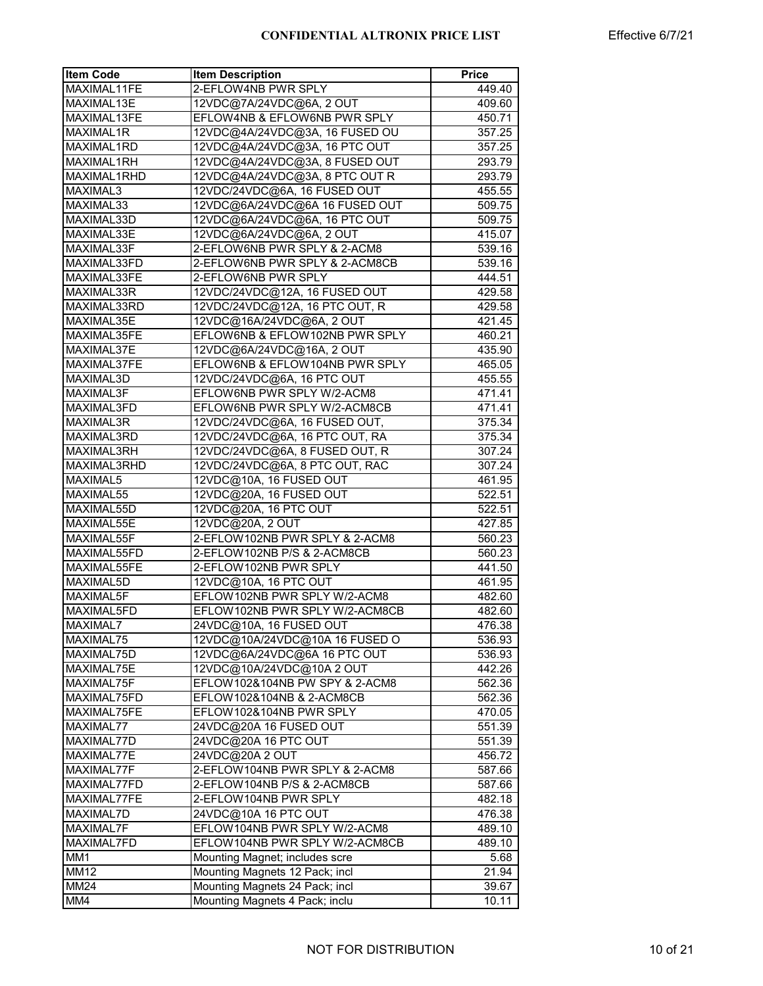| <b>Item Code</b> | <b>Item Description</b>        | <b>Price</b>     |
|------------------|--------------------------------|------------------|
| MAXIMAL11FE      | 2-EFLOW4NB PWR SPLY            | 449.40           |
| MAXIMAL13E       | 12VDC@7A/24VDC@6A, 2 OUT       | 409.60           |
| MAXIMAL13FE      | EFLOW4NB & EFLOW6NB PWR SPLY   | 450.71           |
| MAXIMAL1R        | 12VDC@4A/24VDC@3A, 16 FUSED OU | 357.25           |
| MAXIMAL1RD       | 12VDC@4A/24VDC@3A, 16 PTC OUT  | 357.25           |
| MAXIMAL1RH       | 12VDC@4A/24VDC@3A, 8 FUSED OUT | 293.79           |
| MAXIMAL1RHD      | 12VDC@4A/24VDC@3A, 8 PTC OUT R | 293.79           |
| MAXIMAL3         | 12VDC/24VDC@6A, 16 FUSED OUT   | 455.55           |
| MAXIMAL33        | 12VDC@6A/24VDC@6A 16 FUSED OUT | 509.75           |
| MAXIMAL33D       | 12VDC@6A/24VDC@6A, 16 PTC OUT  | 509.75           |
| MAXIMAL33E       | 12VDC@6A/24VDC@6A, 2 OUT       | 415.07           |
| MAXIMAL33F       | 2-EFLOW6NB PWR SPLY & 2-ACM8   | 539.16           |
| MAXIMAL33FD      | 2-EFLOW6NB PWR SPLY & 2-ACM8CB | 539.16           |
| MAXIMAL33FE      | 2-EFLOW6NB PWR SPLY            | 444.51           |
| MAXIMAL33R       | 12VDC/24VDC@12A, 16 FUSED OUT  | 429.58           |
| MAXIMAL33RD      | 12VDC/24VDC@12A, 16 PTC OUT, R | 429.58           |
| MAXIMAL35E       | 12VDC@16A/24VDC@6A, 2 OUT      | 421.45           |
| MAXIMAL35FE      | EFLOW6NB & EFLOW102NB PWR SPLY |                  |
| MAXIMAL37E       | 12VDC@6A/24VDC@16A, 2 OUT      | 460.21<br>435.90 |
| MAXIMAL37FE      | EFLOW6NB & EFLOW104NB PWR SPLY | 465.05           |
|                  |                                |                  |
| MAXIMAL3D        | 12VDC/24VDC@6A, 16 PTC OUT     | 455.55           |
| MAXIMAL3F        | EFLOW6NB PWR SPLY W/2-ACM8     | 471.41           |
| MAXIMAL3FD       | EFLOW6NB PWR SPLY W/2-ACM8CB   | 471.41           |
| MAXIMAL3R        | 12VDC/24VDC@6A, 16 FUSED OUT,  | 375.34           |
| MAXIMAL3RD       | 12VDC/24VDC@6A, 16 PTC OUT, RA | 375.34           |
| MAXIMAL3RH       | 12VDC/24VDC@6A, 8 FUSED OUT, R | 307.24           |
| MAXIMAL3RHD      | 12VDC/24VDC@6A, 8 PTC OUT, RAC | 307.24           |
| MAXIMAL5         | 12VDC@10A, 16 FUSED OUT        | 461.95           |
| MAXIMAL55        | 12VDC@20A, 16 FUSED OUT        | 522.51           |
| MAXIMAL55D       | 12VDC@20A, 16 PTC OUT          | 522.51           |
| MAXIMAL55E       | 12VDC@20A, 2 OUT               | 427.85           |
| MAXIMAL55F       | 2-EFLOW102NB PWR SPLY & 2-ACM8 | 560.23           |
| MAXIMAL55FD      | 2-EFLOW102NB P/S & 2-ACM8CB    | 560.23           |
| MAXIMAL55FE      | 2-EFLOW102NB PWR SPLY          | 441.50           |
| MAXIMAL5D        | 12VDC@10A, 16 PTC OUT          | 461.95           |
| MAXIMAL5F        | EFLOW102NB PWR SPLY W/2-ACM8   | 482.60           |
| MAXIMAL5FD       | EFLOW102NB PWR SPLY W/2-ACM8CB | 482.60           |
| MAXIMAL7         | 24VDC@10A, 16 FUSED OUT        | 476.38           |
| MAXIMAL75        | 12VDC@10A/24VDC@10A 16 FUSED O | 536.93           |
| MAXIMAL75D       | 12VDC@6A/24VDC@6A 16 PTC OUT   | 536.93           |
| MAXIMAL75E       | 12VDC@10A/24VDC@10A2 OUT       | 442.26           |
| MAXIMAL75F       | EFLOW102&104NB PW SPY & 2-ACM8 | 562.36           |
| MAXIMAL75FD      | EFLOW102&104NB & 2-ACM8CB      | 562.36           |
| MAXIMAL75FE      | EFLOW102&104NB PWR SPLY        | 470.05           |
| MAXIMAL77        | 24VDC@20A 16 FUSED OUT         | 551.39           |
| MAXIMAL77D       | 24VDC@20A 16 PTC OUT           | 551.39           |
| MAXIMAL77E       | 24VDC@20A 2 OUT                | 456.72           |
| MAXIMAL77F       | 2-EFLOW104NB PWR SPLY & 2-ACM8 | 587.66           |
| MAXIMAL77FD      | 2-EFLOW104NB P/S & 2-ACM8CB    |                  |
| MAXIMAL77FE      | 2-EFLOW104NB PWR SPLY          | 587.66<br>482.18 |
|                  |                                |                  |
| MAXIMAL7D        | 24VDC@10A 16 PTC OUT           | 476.38           |
| MAXIMAL7F        | EFLOW104NB PWR SPLY W/2-ACM8   | 489.10           |
| MAXIMAL7FD       | EFLOW104NB PWR SPLY W/2-ACM8CB | 489.10           |
| MM1              | Mounting Magnet; includes scre | 5.68             |
| <b>MM12</b>      | Mounting Magnets 12 Pack; incl | 21.94            |
| <b>MM24</b>      | Mounting Magnets 24 Pack; incl | 39.67            |
| MM4              | Mounting Magnets 4 Pack; inclu | 10.11            |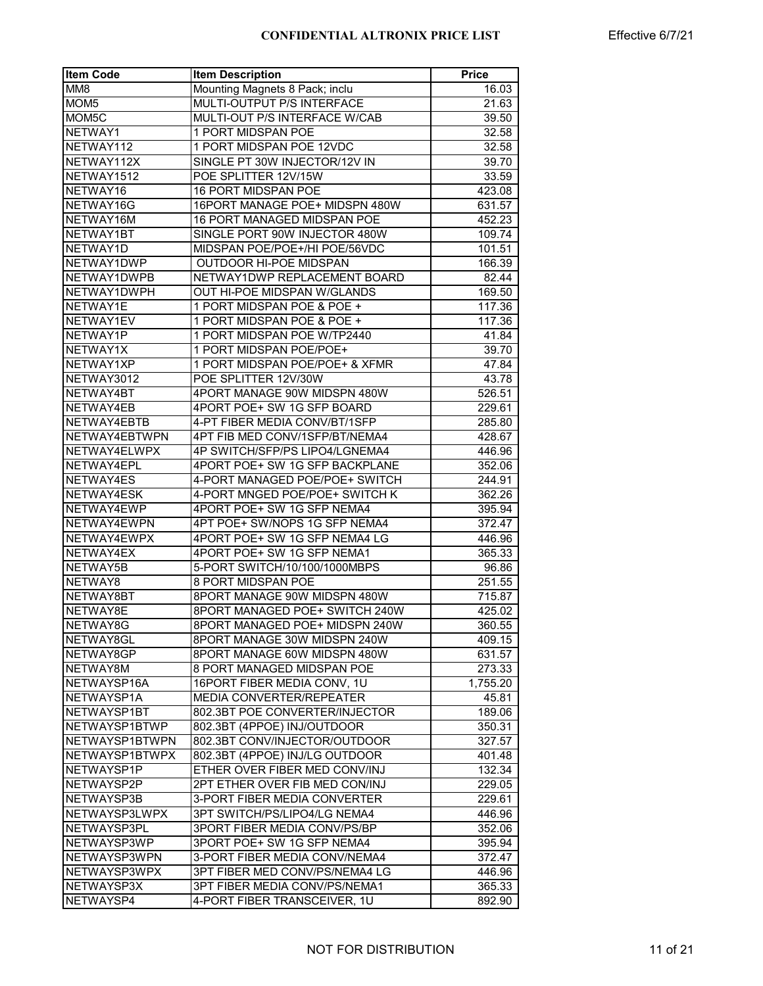| <b>Item Code</b>                | <b>Item Description</b>                                      | <b>Price</b> |
|---------------------------------|--------------------------------------------------------------|--------------|
| MM8                             | Mounting Magnets 8 Pack; inclu                               | 16.03        |
| MOM <sub>5</sub>                | MULTI-OUTPUT P/S INTERFACE                                   | 21.63        |
| MOM5C                           | MULTI-OUT P/S INTERFACE W/CAB                                | 39.50        |
| NETWAY1                         | 1 PORT MIDSPAN POE                                           | 32.58        |
| NETWAY112                       | 1 PORT MIDSPAN POE 12VDC                                     | 32.58        |
| NETWAY112X                      | SINGLE PT 30W INJECTOR/12V IN                                | 39.70        |
| NETWAY1512                      | POE SPLITTER 12V/15W                                         | 33.59        |
| NETWAY16                        | 16 PORT MIDSPAN POE                                          | 423.08       |
| NETWAY16G                       | 16PORT MANAGE POE+ MIDSPN 480W                               | 631.57       |
| NETWAY16M                       | 16 PORT MANAGED MIDSPAN POE                                  | 452.23       |
| NETWAY1BT                       | SINGLE PORT 90W INJECTOR 480W                                | 109.74       |
| NETWAY1D                        | MIDSPAN POE/POE+/HI POE/56VDC                                | 101.51       |
| NETWAY1DWP                      | <b>OUTDOOR HI-POE MIDSPAN</b>                                | 166.39       |
| NETWAY1DWPB                     | NETWAY1DWP REPLACEMENT BOARD                                 | 82.44        |
| NETWAY1DWPH                     | OUT HI-POE MIDSPAN W/GLANDS                                  | 169.50       |
| NETWAY1E                        | 1 PORT MIDSPAN POE & POE +                                   | 117.36       |
| NETWAY1EV                       | 1 PORT MIDSPAN POE & POE +                                   | 117.36       |
| NETWAY1P                        | 1 PORT MIDSPAN POE W/TP2440                                  | 41.84        |
| NETWAY1X                        | 1 PORT MIDSPAN POE/POE+                                      | 39.70        |
| NETWAY1XP                       | 1 PORT MIDSPAN POE/POE+ & XFMR                               | 47.84        |
| NETWAY3012                      | POE SPLITTER 12V/30W                                         | 43.78        |
| NETWAY4BT                       | 4PORT MANAGE 90W MIDSPN 480W                                 | 526.51       |
| NETWAY4EB                       | 4PORT POE+ SW 1G SFP BOARD                                   | 229.61       |
| NETWAY4EBTB                     | 4-PT FIBER MEDIA CONV/BT/1SFP                                | 285.80       |
| NETWAY4EBTWPN                   | 4PT FIB MED CONV/1SFP/BT/NEMA4                               | 428.67       |
| NETWAY4ELWPX                    | 4P SWITCH/SFP/PS LIPO4/LGNEMA4                               | 446.96       |
| NETWAY4EPL                      | 4PORT POE+ SW 1G SFP BACKPLANE                               | 352.06       |
| NETWAY4ES                       | 4-PORT MANAGED POE/POE+ SWITCH                               | 244.91       |
| NETWAY4ESK                      | 4-PORT MNGED POE/POE+ SWITCH K                               | 362.26       |
| NETWAY4EWP                      | 4PORT POE+ SW 1G SFP NEMA4                                   | 395.94       |
| NETWAY4EWPN                     | 4PT POE+ SW/NOPS 1G SFP NEMA4                                | 372.47       |
| NETWAY4EWPX                     | 4PORT POE+ SW 1G SFP NEMA4 LG                                | 446.96       |
| NETWAY4EX                       | 4PORT POE+ SW 1G SFP NEMA1                                   | 365.33       |
| NETWAY5B                        | 5-PORT SWITCH/10/100/1000MBPS                                | 96.86        |
| NETWAY8                         | 8 PORT MIDSPAN POE                                           | 251.55       |
| NETWAY8BT                       | 8PORT MANAGE 90W MIDSPN 480W                                 | 715.87       |
| NETWAY8E                        | 8PORT MANAGED POE+ SWITCH 240W                               | 425.02       |
| NETWAY8G                        | 8PORT MANAGED POE+ MIDSPN 240W                               |              |
|                                 |                                                              | 360.55       |
| NETWAY8GL                       | 8PORT MANAGE 30W MIDSPN 240W                                 | 409.15       |
| NETWAY8GP                       | 8PORT MANAGE 60W MIDSPN 480W                                 | 631.57       |
| NETWAY8M                        | 8 PORT MANAGED MIDSPAN POE                                   | 273.33       |
| NETWAYSP16A                     | 16PORT FIBER MEDIA CONV, 1U                                  | 1,755.20     |
| NETWAYSP1A                      | <b>MEDIA CONVERTER/REPEATER</b>                              | 45.81        |
| NETWAYSP1BT                     | 802.3BT POE CONVERTER/INJECTOR                               | 189.06       |
| NETWAYSP1BTWP<br>NETWAYSP1BTWPN | 802.3BT (4PPOE) INJ/OUTDOOR<br>802.3BT CONV/INJECTOR/OUTDOOR | 350.31       |
|                                 |                                                              | 327.57       |
| NETWAYSP1BTWPX                  | 802.3BT (4PPOE) INJ/LG OUTDOOR                               | 401.48       |
| NETWAYSP1P                      | ETHER OVER FIBER MED CONV/INJ                                | 132.34       |
| NETWAYSP2P                      | 2PT ETHER OVER FIB MED CON/INJ                               | 229.05       |
| NETWAYSP3B                      | 3-PORT FIBER MEDIA CONVERTER                                 | 229.61       |
| NETWAYSP3LWPX                   | 3PT SWITCH/PS/LIPO4/LG NEMA4                                 | 446.96       |
| NETWAYSP3PL                     | 3PORT FIBER MEDIA CONV/PS/BP                                 | 352.06       |
| NETWAYSP3WP                     | 3PORT POE+ SW 1G SFP NEMA4                                   | 395.94       |
| NETWAYSP3WPN                    | 3-PORT FIBER MEDIA CONV/NEMA4                                | 372.47       |
| NETWAYSP3WPX                    | 3PT FIBER MED CONV/PS/NEMA4 LG                               | 446.96       |
| NETWAYSP3X                      | 3PT FIBER MEDIA CONV/PS/NEMA1                                | 365.33       |
| NETWAYSP4                       | 4-PORT FIBER TRANSCEIVER, 1U                                 | 892.90       |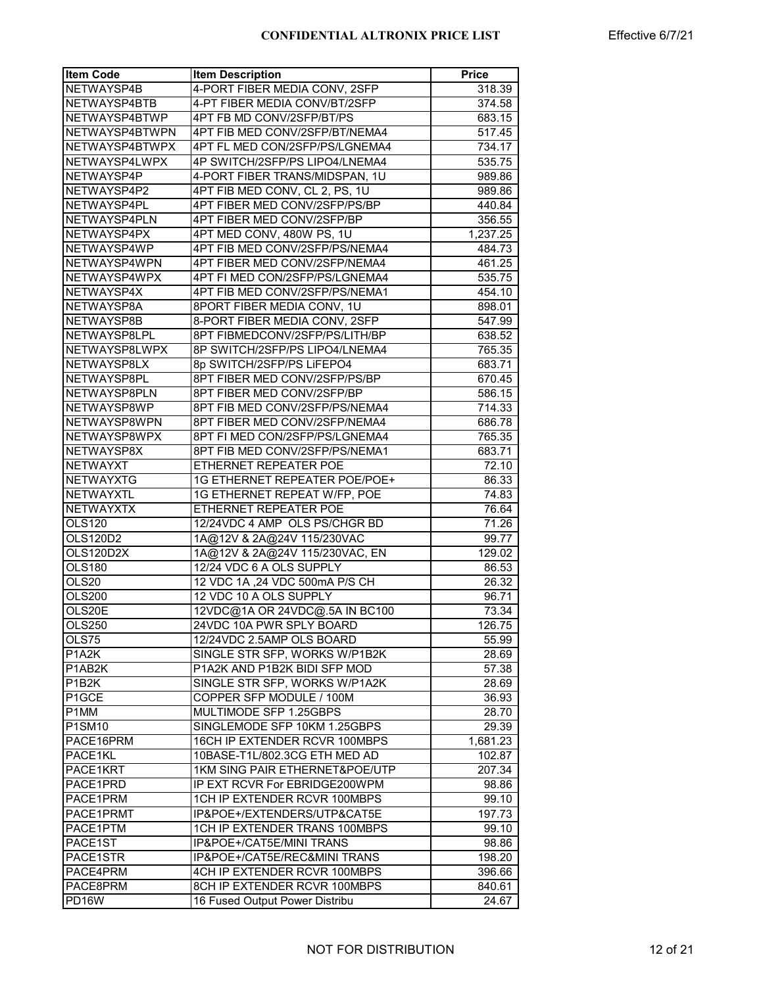| <b>Item Code</b> | <b>Item Description</b>              | <b>Price</b> |
|------------------|--------------------------------------|--------------|
| NETWAYSP4B       | 4-PORT FIBER MEDIA CONV, 2SFP        | 318.39       |
| NETWAYSP4BTB     | 4-PT FIBER MEDIA CONV/BT/2SFP        | 374.58       |
| NETWAYSP4BTWP    | 4PT FB MD CONV/2SFP/BT/PS            | 683.15       |
| NETWAYSP4BTWPN   | 4PT FIB MED CONV/2SFP/BT/NEMA4       | 517.45       |
| NETWAYSP4BTWPX   | 4PT FL MED CON/2SFP/PS/LGNEMA4       | 734.17       |
| NETWAYSP4LWPX    | 4P SWITCH/2SFP/PS LIPO4/LNEMA4       | 535.75       |
| NETWAYSP4P       | 4-PORT FIBER TRANS/MIDSPAN, 1U       | 989.86       |
| NETWAYSP4P2      | 4PT FIB MED CONV, CL 2, PS, 1U       | 989.86       |
| NETWAYSP4PL      | 4PT FIBER MED CONV/2SFP/PS/BP        | 440.84       |
| NETWAYSP4PLN     | 4PT FIBER MED CONV/2SFP/BP           | 356.55       |
| NETWAYSP4PX      | 4PT MED CONV, 480W PS, 1U            | 1,237.25     |
| NETWAYSP4WP      | 4PT FIB MED CONV/2SFP/PS/NEMA4       | 484.73       |
| NETWAYSP4WPN     | 4PT FIBER MED CONV/2SFP/NEMA4        | 461.25       |
| NETWAYSP4WPX     | 4PT FI MED CON/2SFP/PS/LGNEMA4       | 535.75       |
| NETWAYSP4X       | 4PT FIB MED CONV/2SFP/PS/NEMA1       | 454.10       |
| NETWAYSP8A       | 8PORT FIBER MEDIA CONV, 1U           | 898.01       |
|                  |                                      |              |
| NETWAYSP8B       | 8-PORT FIBER MEDIA CONV, 2SFP        | 547.99       |
| NETWAYSP8LPL     | 8PT FIBMEDCONV/2SFP/PS/LITH/BP       | 638.52       |
| NETWAYSP8LWPX    | 8P SWITCH/2SFP/PS LIPO4/LNEMA4       | 765.35       |
| NETWAYSP8LX      | 8p SWITCH/2SFP/PS LiFEPO4            | 683.71       |
| NETWAYSP8PL      | 8PT FIBER MED CONV/2SFP/PS/BP        | 670.45       |
| NETWAYSP8PLN     | 8PT FIBER MED CONV/2SFP/BP           | 586.15       |
| NETWAYSP8WP      | 8PT FIB MED CONV/2SFP/PS/NEMA4       | 714.33       |
| NETWAYSP8WPN     | 8PT FIBER MED CONV/2SFP/NEMA4        | 686.78       |
| NETWAYSP8WPX     | 8PT FI MED CON/2SFP/PS/LGNEMA4       | 765.35       |
| NETWAYSP8X       | 8PT FIB MED CONV/2SFP/PS/NEMA1       | 683.71       |
| <b>NETWAYXT</b>  | ETHERNET REPEATER POE                | 72.10        |
| <b>NETWAYXTG</b> | <b>1G ETHERNET REPEATER POE/POE+</b> | 86.33        |
| NETWAYXTL        | 1G ETHERNET REPEAT W/FP, POE         | 74.83        |
| <b>NETWAYXTX</b> | ETHERNET REPEATER POE                | 76.64        |
| OLS120           | 12/24VDC 4 AMP OLS PS/CHGR BD        | 71.26        |
| <b>OLS120D2</b>  | 1A@12V & 2A@24V 115/230VAC           | 99.77        |
| OLS120D2X        | 1A@12V & 2A@24V 115/230VAC, EN       | 129.02       |
| <b>OLS180</b>    | 12/24 VDC 6 A OLS SUPPLY             | 86.53        |
| <b>OLS20</b>     | 12 VDC 1A, 24 VDC 500mA P/S CH       | 26.32        |
| OLS200           | 12 VDC 10 A OLS SUPPLY               | 96.71        |
| OLS20E           | 12VDC@1A OR 24VDC@.5A IN BC100       | 73.34        |
| <b>OLS250</b>    | 24VDC 10A PWR SPLY BOARD             | 126.75       |
| OLS75            | 12/24VDC 2.5AMP OLS BOARD            | 55.99        |
| P1A2K            | SINGLE STR SFP, WORKS W/P1B2K        | 28.69        |
| P1AB2K           | P1A2K AND P1B2K BIDI SFP MOD         | 57.38        |
| P1B2K            | SINGLE STR SFP, WORKS W/P1A2K        | 28.69        |
| P1GCE            | COPPER SFP MODULE / 100M             | 36.93        |
| P1MM             | MULTIMODE SFP 1.25GBPS               | 28.70        |
| P1SM10           | SINGLEMODE SFP 10KM 1.25GBPS         | 29.39        |
| PACE16PRM        | 16CH IP EXTENDER RCVR 100MBPS        | 1,681.23     |
| PACE1KL          | 10BASE-T1L/802.3CG ETH MED AD        | 102.87       |
| PACE1KRT         | 1KM SING PAIR ETHERNET&POE/UTP       | 207.34       |
| PACE1PRD         | IP EXT RCVR For EBRIDGE200WPM        | 98.86        |
|                  | 1CH IP EXTENDER RCVR 100MBPS         |              |
| PACE1PRM         |                                      | 99.10        |
| PACE1PRMT        | IP&POE+/EXTENDERS/UTP&CAT5E          | 197.73       |
| PACE1PTM         | 1CH IP EXTENDER TRANS 100MBPS        | 99.10        |
| PACE1ST          | IP&POE+/CAT5E/MINI TRANS             | 98.86        |
| PACE1STR         | IP&POE+/CAT5E/REC&MINI TRANS         | 198.20       |
| PACE4PRM         | 4CH IP EXTENDER RCVR 100MBPS         | 396.66       |
| PACE8PRM         | 8CH IP EXTENDER RCVR 100MBPS         | 840.61       |
| PD16W            | 16 Fused Output Power Distribu       | 24.67        |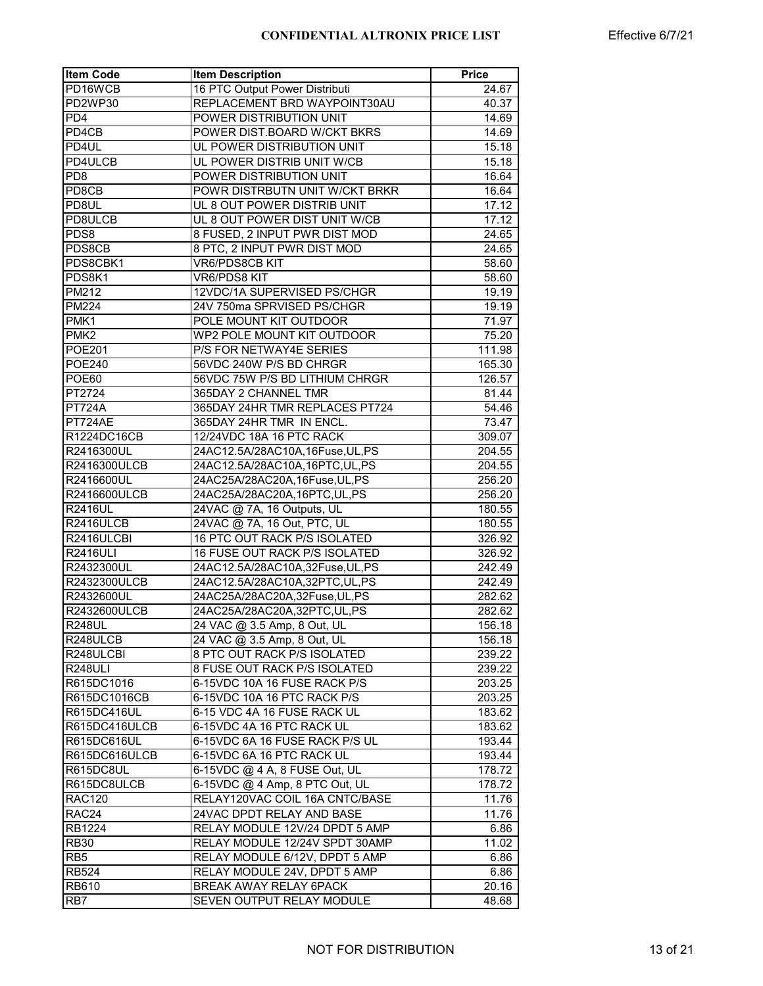| <b>Item Code</b>    | <b>Item Description</b>          | Price  |
|---------------------|----------------------------------|--------|
| PD16WCB             | 16 PTC Output Power Distributi   | 24.67  |
| PD2WP30             | REPLACEMENT BRD WAYPOINT30AU     | 40.37  |
| PD <sub>4</sub>     | POWER DISTRIBUTION UNIT          | 14.69  |
| PD4CB               | POWER DIST.BOARD W/CKT BKRS      | 14.69  |
| PD4UL               | UL POWER DISTRIBUTION UNIT       | 15.18  |
| PD4ULCB             | UL POWER DISTRIB UNIT W/CB       | 15.18  |
| PD <sub>8</sub>     | POWER DISTRIBUTION UNIT          | 16.64  |
| PD8CB               | POWR DISTRBUTN UNIT W/CKT BRKR   | 16.64  |
| PD8UL               | UL 8 OUT POWER DISTRIB UNIT      | 17.12  |
| PD8ULCB             | UL 8 OUT POWER DIST UNIT W/CB    | 17.12  |
| PDS8                | 8 FUSED, 2 INPUT PWR DIST MOD    | 24.65  |
| PDS8CB              | 8 PTC, 2 INPUT PWR DIST MOD      | 24.65  |
| PDS8CBK1            | VR6/PDS8CB KIT                   | 58.60  |
| PDS8K1              | VR6/PDS8 KIT                     | 58.60  |
| PM212               | 12VDC/1A SUPERVISED PS/CHGR      | 19.19  |
| PM224               | 24V 750ma SPRVISED PS/CHGR       | 19.19  |
| PMK1                | POLE MOUNT KIT OUTDOOR           | 71.97  |
| PMK <sub>2</sub>    | WP2 POLE MOUNT KIT OUTDOOR       | 75.20  |
| <b>POE201</b>       | P/S FOR NETWAY4E SERIES          | 111.98 |
| <b>POE240</b>       | 56VDC 240W P/S BD CHRGR          | 165.30 |
| POE60               | 56VDC 75W P/S BD LITHIUM CHRGR   | 126.57 |
| PT2724              | 365DAY 2 CHANNEL TMR             | 81.44  |
| $\overline{PT724A}$ | 365DAY 24HR TMR REPLACES PT724   | 54.46  |
| PT724AE             | 365DAY 24HR TMR IN ENCL.         | 73.47  |
| R1224DC16CB         | 12/24VDC 18A 16 PTC RACK         | 309.07 |
| R2416300UL          | 24AC12.5A/28AC10A,16Fuse,UL,PS   | 204.55 |
| R2416300ULCB        | 24AC12.5A/28AC10A,16PTC,UL,PS    | 204.55 |
| R2416600UL          | 24AC25A/28AC20A,16Fuse,UL,PS     | 256.20 |
| R2416600ULCB        | 24AC25A/28AC20A,16PTC,UL,PS      | 256.20 |
| <b>R2416UL</b>      | 24VAC @ 7A, 16 Outputs, UL       | 180.55 |
| R2416ULCB           | 24VAC @ 7A, 16 Out, PTC, UL      | 180.55 |
| R2416ULCBI          | 16 PTC OUT RACK P/S ISOLATED     | 326.92 |
| <b>R2416ULI</b>     | 16 FUSE OUT RACK P/S ISOLATED    | 326.92 |
| R2432300UL          | 24AC12.5A/28AC10A,32Fuse, UL, PS | 242.49 |
| R2432300ULCB        | 24AC12.5A/28AC10A,32PTC,UL,PS    | 242.49 |
| R2432600UL          | 24AC25A/28AC20A,32Fuse, UL, PS   | 282.62 |
| R2432600ULCB        | 24AC25A/28AC20A,32PTC,UL,PS      | 282.62 |
| <b>R248UL</b>       | 24 VAC @ 3.5 Amp, 8 Out, UL      | 156.18 |
| R248ULCB            | 24 VAC @ 3.5 Amp, 8 Out, UL      | 156.18 |
| R248ULCBI           | 8 PTC OUT RACK P/S ISOLATED      | 239.22 |
| R248ULI             | 8 FUSE OUT RACK P/S ISOLATED     | 239.22 |
| R615DC1016          | 6-15VDC 10A 16 FUSE RACK P/S     | 203.25 |
| R615DC1016CB        | 6-15VDC 10A 16 PTC RACK P/S      | 203.25 |
| R615DC416UL         | 6-15 VDC 4A 16 FUSE RACK UL      | 183.62 |
| R615DC416ULCB       | 6-15VDC 4A 16 PTC RACK UL        | 183.62 |
| R615DC616UL         | 6-15VDC 6A 16 FUSE RACK P/S UL   | 193.44 |
| R615DC616ULCB       | 6-15VDC 6A 16 PTC RACK UL        | 193.44 |
| R615DC8UL           | 6-15VDC @ 4 A, 8 FUSE Out, UL    | 178.72 |
| R615DC8ULCB         | 6-15VDC @ 4 Amp, 8 PTC Out, UL   | 178.72 |
| <b>RAC120</b>       | RELAY120VAC COIL 16A CNTC/BASE   | 11.76  |
| RAC24               | 24VAC DPDT RELAY AND BASE        | 11.76  |
| RB1224              | RELAY MODULE 12V/24 DPDT 5 AMP   | 6.86   |
| <b>RB30</b>         | RELAY MODULE 12/24V SPDT 30AMP   | 11.02  |
| RB <sub>5</sub>     | RELAY MODULE 6/12V, DPDT 5 AMP   | 6.86   |
| <b>RB524</b>        | RELAY MODULE 24V, DPDT 5 AMP     | 6.86   |
| RB610               | BREAK AWAY RELAY 6PACK           | 20.16  |
| RB7                 | SEVEN OUTPUT RELAY MODULE        | 48.68  |
|                     |                                  |        |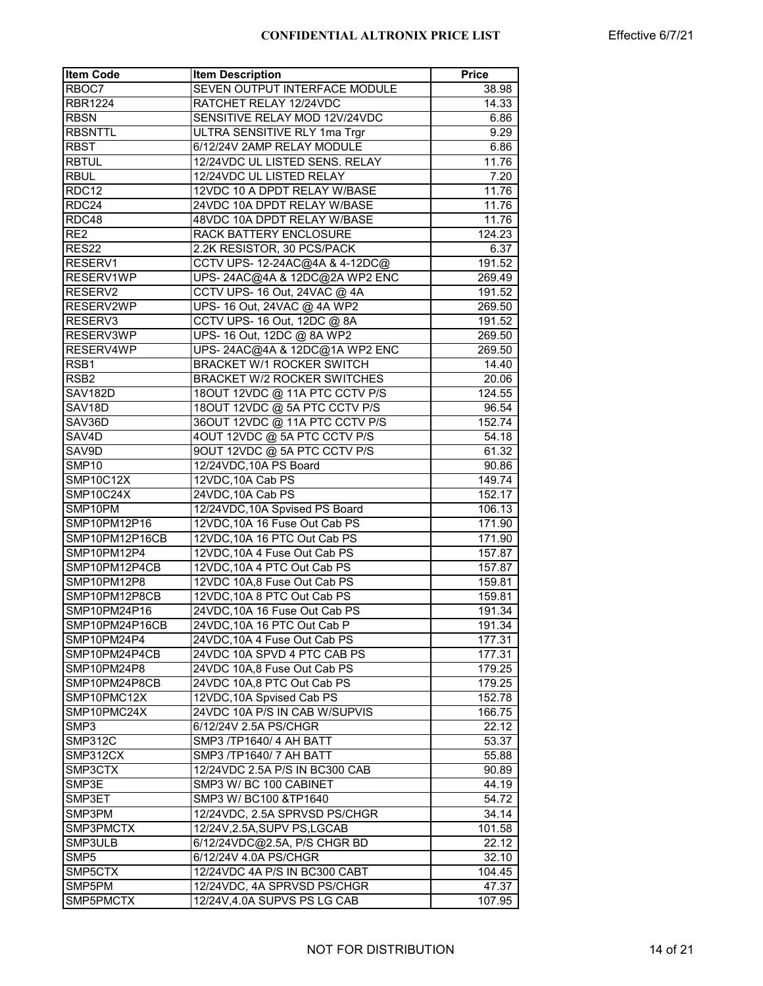| <b>Item Code</b>   | <b>Item Description</b>             | <b>Price</b> |
|--------------------|-------------------------------------|--------------|
| RBOC7              | SEVEN OUTPUT INTERFACE MODULE       | 38.98        |
| <b>RBR1224</b>     | RATCHET RELAY 12/24VDC              | 14.33        |
| <b>RBSN</b>        | SENSITIVE RELAY MOD 12V/24VDC       | 6.86         |
| <b>RBSNTTL</b>     | <b>ULTRA SENSITIVE RLY 1ma Trgr</b> | 9.29         |
| <b>RBST</b>        | 6/12/24V 2AMP RELAY MODULE          | 6.86         |
| <b>RBTUL</b>       | 12/24VDC UL LISTED SENS. RELAY      | 11.76        |
| <b>RBUL</b>        | 12/24VDC UL LISTED RELAY            | 7.20         |
| RDC12              | 12VDC 10 A DPDT RELAY W/BASE        | 11.76        |
| RDC24              | 24VDC 10A DPDT RELAY W/BASE         | 11.76        |
| RDC48              | 48VDC 10A DPDT RELAY W/BASE         | 11.76        |
| RE2                | RACK BATTERY ENCLOSURE              | 124.23       |
| <b>RES22</b>       | 2.2K RESISTOR, 30 PCS/PACK          | 6.37         |
| RESERV1            | CCTV UPS-12-24AC@4A & 4-12DC@       | 191.52       |
| RESERV1WP          | UPS-24AC@4A & 12DC@2A WP2 ENC       | 269.49       |
| RESERV2            | CCTV UPS- 16 Out, 24VAC @ 4A        | 191.52       |
| RESERV2WP          | UPS- 16 Out, 24VAC @ 4A WP2         | 269.50       |
| RESERV3            | CCTV UPS- 16 Out, 12DC @ 8A         | 191.52       |
| RESERV3WP          | UPS- 16 Out, 12DC @ 8A WP2          | 269.50       |
| RESERV4WP          | UPS-24AC@4A & 12DC@1A WP2 ENC       | 269.50       |
| RSB1               | <b>BRACKET W/1 ROCKER SWITCH</b>    | 14.40        |
| RSB <sub>2</sub>   | <b>BRACKET W/2 ROCKER SWITCHES</b>  | 20.06        |
| SAV182D            | 180UT 12VDC @ 11A PTC CCTV P/S      | 124.55       |
| SAV <sub>18D</sub> | 18OUT 12VDC @ 5A PTC CCTV P/S       | 96.54        |
| SAV36D             | 36OUT 12VDC @ 11A PTC CCTV P/S      | 152.74       |
| SAV4D              | 4OUT 12VDC @ 5A PTC CCTV P/S        | 54.18        |
| SAV9D              | 9OUT 12VDC @ 5A PTC CCTV P/S        | 61.32        |
| SMP10              | 12/24VDC, 10A PS Board              | 90.86        |
| <b>SMP10C12X</b>   | 12VDC, 10A Cab PS                   | 149.74       |
| SMP10C24X          | 24VDC, 10A Cab PS                   | 152.17       |
| SMP10PM            | 12/24VDC, 10A Spvised PS Board      | 106.13       |
| SMP10PM12P16       | 12VDC, 10A 16 Fuse Out Cab PS       | 171.90       |
| SMP10PM12P16CB     | 12VDC, 10A 16 PTC Out Cab PS        | 171.90       |
| SMP10PM12P4        | 12VDC, 10A 4 Fuse Out Cab PS        | 157.87       |
| SMP10PM12P4CB      | 12VDC, 10A 4 PTC Out Cab PS         | 157.87       |
| SMP10PM12P8        | 12VDC 10A,8 Fuse Out Cab PS         | 159.81       |
| SMP10PM12P8CB      | 12VDC, 10A 8 PTC Out Cab PS         | 159.81       |
| SMP10PM24P16       | 24VDC, 10A 16 Fuse Out Cab PS       | 191.34       |
| SMP10PM24P16CB     | 24VDC, 10A 16 PTC Out Cab P         | 191.34       |
| SMP10PM24P4        | 24VDC, 10A 4 Fuse Out Cab PS        | 177.31       |
| SMP10PM24P4CB      | 24VDC 10A SPVD 4 PTC CAB PS         | 177.31       |
| SMP10PM24P8        | 24VDC 10A,8 Fuse Out Cab PS         | 179.25       |
| SMP10PM24P8CB      | 24VDC 10A,8 PTC Out Cab PS          | 179.25       |
| SMP10PMC12X        | 12VDC, 10A Spvised Cab PS           | 152.78       |
| SMP10PMC24X        | 24VDC 10A P/S IN CAB W/SUPVIS       | 166.75       |
| SMP3               | 6/12/24V 2.5A PS/CHGR               | 22.12        |
| <b>SMP312C</b>     | SMP3 /TP1640/ 4 AH BATT             | 53.37        |
| SMP312CX           | SMP3 /TP1640/ 7 AH BATT             | 55.88        |
| SMP3CTX            | 12/24VDC 2.5A P/S IN BC300 CAB      | 90.89        |
| SMP3E              | SMP3 W/ BC 100 CABINET              | 44.19        |
| SMP3ET             | SMP3 W/ BC100 &TP1640               | 54.72        |
| SMP3PM             | 12/24VDC, 2.5A SPRVSD PS/CHGR       | 34.14        |
| SMP3PMCTX          | 12/24V,2.5A,SUPV PS,LGCAB           | 101.58       |
| SMP3ULB            | 6/12/24VDC@2.5A, P/S CHGR BD        | 22.12        |
| SMP <sub>5</sub>   | 6/12/24V 4.0A PS/CHGR               | 32.10        |
| SMP5CTX            | 12/24VDC 4A P/S IN BC300 CABT       | 104.45       |
| SMP5PM             | 12/24VDC, 4A SPRVSD PS/CHGR         | 47.37        |
| SMP5PMCTX          | 12/24V,4.0A SUPVS PS LG CAB         | 107.95       |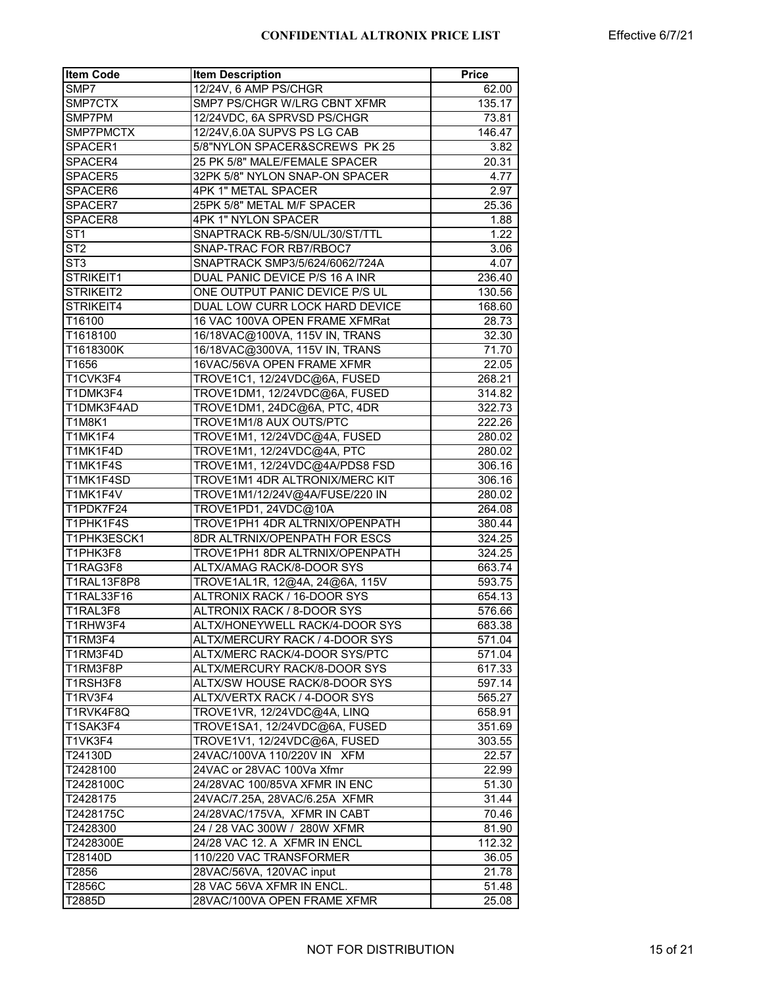| 12/24V, 6 AMP PS/CHGR<br>SMP7<br>62.00<br>SMP7CTX<br>SMP7 PS/CHGR W/LRG CBNT XFMR<br>135.17<br>12/24VDC, 6A SPRVSD PS/CHGR<br>SMP7PM<br>73.81<br>SMP7PMCTX<br>12/24V,6.0A SUPVS PS LG CAB<br>146.47<br>SPACER1<br>5/8"NYLON SPACER&SCREWS PK 25<br>3.82<br>25 PK 5/8" MALE/FEMALE SPACER<br>SPACER4<br>20.31<br>32PK 5/8" NYLON SNAP-ON SPACER<br>SPACER5<br>4.77<br>4PK 1" METAL SPACER<br>SPACER6<br>2.97<br>25PK 5/8" METAL M/F SPACER<br>25.36<br>SPACER7<br>SPACER8<br><b>4PK 1" NYLON SPACER</b><br>1.88<br>$\overline{\text{ST1}}$<br>SNAPTRACK RB-5/SN/UL/30/ST/TTL<br>1.22<br>ST2<br>SNAP-TRAC FOR RB7/RBOC7<br>3.06<br>ST <sub>3</sub><br>SNAPTRACK SMP3/5/624/6062/724A<br>4.07<br>STRIKEIT1<br>DUAL PANIC DEVICE P/S 16 A INR<br>236.40<br>STRIKEIT2<br>ONE OUTPUT PANIC DEVICE P/S UL<br>130.56<br>DUAL LOW CURR LOCK HARD DEVICE<br>STRIKEIT4<br>168.60<br>T16100<br>16 VAC 100VA OPEN FRAME XFMRat<br>28.73<br>T1618100<br>16/18VAC@100VA, 115V IN, TRANS<br>32.30<br>T1618300K<br>16/18VAC@300VA, 115V IN, TRANS<br>71.70<br>16VAC/56VA OPEN FRAME XFMR<br>T1656<br>22.05<br>TROVE1C1, 12/24VDC@6A, FUSED<br>T1CVK3F4<br>268.21<br>TROVE1DM1, 12/24VDC@6A, FUSED<br>T1DMK3F4<br>314.82<br>T1DMK3F4AD<br>TROVE1DM1, 24DC@6A, PTC, 4DR<br>322.73<br>TROVE1M1/8 AUX OUTS/PTC<br>T1M8K1<br>222.26<br><b>T1MK1F4</b><br>TROVE1M1, 12/24VDC@4A, FUSED<br>280.02<br>T1MK1F4D<br>TROVE1M1, 12/24VDC@4A, PTC<br>280.02<br>T1MK1F4S<br>TROVE1M1, 12/24VDC@4A/PDS8 FSD<br>306.16<br>T1MK1F4SD<br>TROVE1M1 4DR ALTRONIX/MERC KIT<br>306.16<br>T1MK1F4V<br>TROVE1M1/12/24V@4A/FUSE/220 IN<br>280.02<br>T1PDK7F24<br>TROVE1PD1, 24VDC@10A<br>264.08<br>T1PHK1F4S<br>TROVE1PH1 4DR ALTRNIX/OPENPATH<br>380.44<br>T1PHK3ESCK1<br>8DR ALTRNIX/OPENPATH FOR ESCS<br>324.25<br>T1PHK3F8<br>TROVE1PH1 8DR ALTRNIX/OPENPATH<br>324.25<br>ALTX/AMAG RACK/8-DOOR SYS<br>T1RAG3F8<br>663.74<br><b>T1RAL13F8P8</b><br>TROVE1AL1R, 12@4A, 24@6A, 115V<br>593.75<br>T1RAL33F16<br>ALTRONIX RACK / 16-DOOR SYS<br>654.13<br>ALTRONIX RACK / 8-DOOR SYS<br>T1RAL3F8<br>576.66<br>T1RHW3F4<br>ALTX/HONEYWELL RACK/4-DOOR SYS<br>683.38<br>T1RM3F4<br>ALTX/MERCURY RACK / 4-DOOR SYS<br>571.04<br>ALTX/MERC RACK/4-DOOR SYS/PTC<br>T1RM3F4D<br>571.04<br>T1RM3F8P<br>ALTX/MERCURY RACK/8-DOOR SYS<br>617.33<br>ALTX/SW HOUSE RACK/8-DOOR SYS<br>T1RSH3F8<br>597.14<br>T1RV3F4<br>ALTX/VERTX RACK / 4-DOOR SYS<br>565.27<br>T1RVK4F8Q<br>TROVE1VR, 12/24VDC@4A, LINQ<br>658.91<br>T1SAK3F4<br>TROVE1SA1, 12/24VDC@6A, FUSED<br>351.69<br>T1VK3F4<br>TROVE1V1, 12/24VDC@6A, FUSED<br>303.55<br>T24130D<br>24VAC/100VA 110/220V IN XFM<br>22.57<br>24VAC or 28VAC 100Va Xfmr<br>T2428100<br>22.99<br>T2428100C<br>24/28VAC 100/85VA XFMR IN ENC<br>51.30<br>T2428175<br>24VAC/7.25A, 28VAC/6.25A XFMR<br>31.44<br>T2428175C<br>24/28VAC/175VA, XFMR IN CABT<br>70.46<br>24 / 28 VAC 300W / 280W XFMR<br>T2428300<br>81.90<br>24/28 VAC 12. A XFMR IN ENCL<br>T2428300E<br>112.32<br>110/220 VAC TRANSFORMER<br>T28140D<br>36.05<br>28VAC/56VA, 120VAC input<br>T2856<br>21.78<br>28 VAC 56VA XFMR IN ENCL.<br>T2856C<br>51.48<br>28VAC/100VA OPEN FRAME XFMR<br>T2885D<br>25.08 | <b>Item Code</b> | <b>Item Description</b> | Price |
|---------------------------------------------------------------------------------------------------------------------------------------------------------------------------------------------------------------------------------------------------------------------------------------------------------------------------------------------------------------------------------------------------------------------------------------------------------------------------------------------------------------------------------------------------------------------------------------------------------------------------------------------------------------------------------------------------------------------------------------------------------------------------------------------------------------------------------------------------------------------------------------------------------------------------------------------------------------------------------------------------------------------------------------------------------------------------------------------------------------------------------------------------------------------------------------------------------------------------------------------------------------------------------------------------------------------------------------------------------------------------------------------------------------------------------------------------------------------------------------------------------------------------------------------------------------------------------------------------------------------------------------------------------------------------------------------------------------------------------------------------------------------------------------------------------------------------------------------------------------------------------------------------------------------------------------------------------------------------------------------------------------------------------------------------------------------------------------------------------------------------------------------------------------------------------------------------------------------------------------------------------------------------------------------------------------------------------------------------------------------------------------------------------------------------------------------------------------------------------------------------------------------------------------------------------------------------------------------------------------------------------------------------------------------------------------------------------------------------------------------------------------------------------------------------------------------------------------------------------------------------------------------------------------------------------------------------------------------------------------------------------------------------------------------------------------------------------------------------------------------------------------------------------------|------------------|-------------------------|-------|
|                                                                                                                                                                                                                                                                                                                                                                                                                                                                                                                                                                                                                                                                                                                                                                                                                                                                                                                                                                                                                                                                                                                                                                                                                                                                                                                                                                                                                                                                                                                                                                                                                                                                                                                                                                                                                                                                                                                                                                                                                                                                                                                                                                                                                                                                                                                                                                                                                                                                                                                                                                                                                                                                                                                                                                                                                                                                                                                                                                                                                                                                                                                                                               |                  |                         |       |
|                                                                                                                                                                                                                                                                                                                                                                                                                                                                                                                                                                                                                                                                                                                                                                                                                                                                                                                                                                                                                                                                                                                                                                                                                                                                                                                                                                                                                                                                                                                                                                                                                                                                                                                                                                                                                                                                                                                                                                                                                                                                                                                                                                                                                                                                                                                                                                                                                                                                                                                                                                                                                                                                                                                                                                                                                                                                                                                                                                                                                                                                                                                                                               |                  |                         |       |
|                                                                                                                                                                                                                                                                                                                                                                                                                                                                                                                                                                                                                                                                                                                                                                                                                                                                                                                                                                                                                                                                                                                                                                                                                                                                                                                                                                                                                                                                                                                                                                                                                                                                                                                                                                                                                                                                                                                                                                                                                                                                                                                                                                                                                                                                                                                                                                                                                                                                                                                                                                                                                                                                                                                                                                                                                                                                                                                                                                                                                                                                                                                                                               |                  |                         |       |
|                                                                                                                                                                                                                                                                                                                                                                                                                                                                                                                                                                                                                                                                                                                                                                                                                                                                                                                                                                                                                                                                                                                                                                                                                                                                                                                                                                                                                                                                                                                                                                                                                                                                                                                                                                                                                                                                                                                                                                                                                                                                                                                                                                                                                                                                                                                                                                                                                                                                                                                                                                                                                                                                                                                                                                                                                                                                                                                                                                                                                                                                                                                                                               |                  |                         |       |
|                                                                                                                                                                                                                                                                                                                                                                                                                                                                                                                                                                                                                                                                                                                                                                                                                                                                                                                                                                                                                                                                                                                                                                                                                                                                                                                                                                                                                                                                                                                                                                                                                                                                                                                                                                                                                                                                                                                                                                                                                                                                                                                                                                                                                                                                                                                                                                                                                                                                                                                                                                                                                                                                                                                                                                                                                                                                                                                                                                                                                                                                                                                                                               |                  |                         |       |
|                                                                                                                                                                                                                                                                                                                                                                                                                                                                                                                                                                                                                                                                                                                                                                                                                                                                                                                                                                                                                                                                                                                                                                                                                                                                                                                                                                                                                                                                                                                                                                                                                                                                                                                                                                                                                                                                                                                                                                                                                                                                                                                                                                                                                                                                                                                                                                                                                                                                                                                                                                                                                                                                                                                                                                                                                                                                                                                                                                                                                                                                                                                                                               |                  |                         |       |
|                                                                                                                                                                                                                                                                                                                                                                                                                                                                                                                                                                                                                                                                                                                                                                                                                                                                                                                                                                                                                                                                                                                                                                                                                                                                                                                                                                                                                                                                                                                                                                                                                                                                                                                                                                                                                                                                                                                                                                                                                                                                                                                                                                                                                                                                                                                                                                                                                                                                                                                                                                                                                                                                                                                                                                                                                                                                                                                                                                                                                                                                                                                                                               |                  |                         |       |
|                                                                                                                                                                                                                                                                                                                                                                                                                                                                                                                                                                                                                                                                                                                                                                                                                                                                                                                                                                                                                                                                                                                                                                                                                                                                                                                                                                                                                                                                                                                                                                                                                                                                                                                                                                                                                                                                                                                                                                                                                                                                                                                                                                                                                                                                                                                                                                                                                                                                                                                                                                                                                                                                                                                                                                                                                                                                                                                                                                                                                                                                                                                                                               |                  |                         |       |
|                                                                                                                                                                                                                                                                                                                                                                                                                                                                                                                                                                                                                                                                                                                                                                                                                                                                                                                                                                                                                                                                                                                                                                                                                                                                                                                                                                                                                                                                                                                                                                                                                                                                                                                                                                                                                                                                                                                                                                                                                                                                                                                                                                                                                                                                                                                                                                                                                                                                                                                                                                                                                                                                                                                                                                                                                                                                                                                                                                                                                                                                                                                                                               |                  |                         |       |
|                                                                                                                                                                                                                                                                                                                                                                                                                                                                                                                                                                                                                                                                                                                                                                                                                                                                                                                                                                                                                                                                                                                                                                                                                                                                                                                                                                                                                                                                                                                                                                                                                                                                                                                                                                                                                                                                                                                                                                                                                                                                                                                                                                                                                                                                                                                                                                                                                                                                                                                                                                                                                                                                                                                                                                                                                                                                                                                                                                                                                                                                                                                                                               |                  |                         |       |
|                                                                                                                                                                                                                                                                                                                                                                                                                                                                                                                                                                                                                                                                                                                                                                                                                                                                                                                                                                                                                                                                                                                                                                                                                                                                                                                                                                                                                                                                                                                                                                                                                                                                                                                                                                                                                                                                                                                                                                                                                                                                                                                                                                                                                                                                                                                                                                                                                                                                                                                                                                                                                                                                                                                                                                                                                                                                                                                                                                                                                                                                                                                                                               |                  |                         |       |
|                                                                                                                                                                                                                                                                                                                                                                                                                                                                                                                                                                                                                                                                                                                                                                                                                                                                                                                                                                                                                                                                                                                                                                                                                                                                                                                                                                                                                                                                                                                                                                                                                                                                                                                                                                                                                                                                                                                                                                                                                                                                                                                                                                                                                                                                                                                                                                                                                                                                                                                                                                                                                                                                                                                                                                                                                                                                                                                                                                                                                                                                                                                                                               |                  |                         |       |
|                                                                                                                                                                                                                                                                                                                                                                                                                                                                                                                                                                                                                                                                                                                                                                                                                                                                                                                                                                                                                                                                                                                                                                                                                                                                                                                                                                                                                                                                                                                                                                                                                                                                                                                                                                                                                                                                                                                                                                                                                                                                                                                                                                                                                                                                                                                                                                                                                                                                                                                                                                                                                                                                                                                                                                                                                                                                                                                                                                                                                                                                                                                                                               |                  |                         |       |
|                                                                                                                                                                                                                                                                                                                                                                                                                                                                                                                                                                                                                                                                                                                                                                                                                                                                                                                                                                                                                                                                                                                                                                                                                                                                                                                                                                                                                                                                                                                                                                                                                                                                                                                                                                                                                                                                                                                                                                                                                                                                                                                                                                                                                                                                                                                                                                                                                                                                                                                                                                                                                                                                                                                                                                                                                                                                                                                                                                                                                                                                                                                                                               |                  |                         |       |
|                                                                                                                                                                                                                                                                                                                                                                                                                                                                                                                                                                                                                                                                                                                                                                                                                                                                                                                                                                                                                                                                                                                                                                                                                                                                                                                                                                                                                                                                                                                                                                                                                                                                                                                                                                                                                                                                                                                                                                                                                                                                                                                                                                                                                                                                                                                                                                                                                                                                                                                                                                                                                                                                                                                                                                                                                                                                                                                                                                                                                                                                                                                                                               |                  |                         |       |
|                                                                                                                                                                                                                                                                                                                                                                                                                                                                                                                                                                                                                                                                                                                                                                                                                                                                                                                                                                                                                                                                                                                                                                                                                                                                                                                                                                                                                                                                                                                                                                                                                                                                                                                                                                                                                                                                                                                                                                                                                                                                                                                                                                                                                                                                                                                                                                                                                                                                                                                                                                                                                                                                                                                                                                                                                                                                                                                                                                                                                                                                                                                                                               |                  |                         |       |
|                                                                                                                                                                                                                                                                                                                                                                                                                                                                                                                                                                                                                                                                                                                                                                                                                                                                                                                                                                                                                                                                                                                                                                                                                                                                                                                                                                                                                                                                                                                                                                                                                                                                                                                                                                                                                                                                                                                                                                                                                                                                                                                                                                                                                                                                                                                                                                                                                                                                                                                                                                                                                                                                                                                                                                                                                                                                                                                                                                                                                                                                                                                                                               |                  |                         |       |
|                                                                                                                                                                                                                                                                                                                                                                                                                                                                                                                                                                                                                                                                                                                                                                                                                                                                                                                                                                                                                                                                                                                                                                                                                                                                                                                                                                                                                                                                                                                                                                                                                                                                                                                                                                                                                                                                                                                                                                                                                                                                                                                                                                                                                                                                                                                                                                                                                                                                                                                                                                                                                                                                                                                                                                                                                                                                                                                                                                                                                                                                                                                                                               |                  |                         |       |
|                                                                                                                                                                                                                                                                                                                                                                                                                                                                                                                                                                                                                                                                                                                                                                                                                                                                                                                                                                                                                                                                                                                                                                                                                                                                                                                                                                                                                                                                                                                                                                                                                                                                                                                                                                                                                                                                                                                                                                                                                                                                                                                                                                                                                                                                                                                                                                                                                                                                                                                                                                                                                                                                                                                                                                                                                                                                                                                                                                                                                                                                                                                                                               |                  |                         |       |
|                                                                                                                                                                                                                                                                                                                                                                                                                                                                                                                                                                                                                                                                                                                                                                                                                                                                                                                                                                                                                                                                                                                                                                                                                                                                                                                                                                                                                                                                                                                                                                                                                                                                                                                                                                                                                                                                                                                                                                                                                                                                                                                                                                                                                                                                                                                                                                                                                                                                                                                                                                                                                                                                                                                                                                                                                                                                                                                                                                                                                                                                                                                                                               |                  |                         |       |
|                                                                                                                                                                                                                                                                                                                                                                                                                                                                                                                                                                                                                                                                                                                                                                                                                                                                                                                                                                                                                                                                                                                                                                                                                                                                                                                                                                                                                                                                                                                                                                                                                                                                                                                                                                                                                                                                                                                                                                                                                                                                                                                                                                                                                                                                                                                                                                                                                                                                                                                                                                                                                                                                                                                                                                                                                                                                                                                                                                                                                                                                                                                                                               |                  |                         |       |
|                                                                                                                                                                                                                                                                                                                                                                                                                                                                                                                                                                                                                                                                                                                                                                                                                                                                                                                                                                                                                                                                                                                                                                                                                                                                                                                                                                                                                                                                                                                                                                                                                                                                                                                                                                                                                                                                                                                                                                                                                                                                                                                                                                                                                                                                                                                                                                                                                                                                                                                                                                                                                                                                                                                                                                                                                                                                                                                                                                                                                                                                                                                                                               |                  |                         |       |
|                                                                                                                                                                                                                                                                                                                                                                                                                                                                                                                                                                                                                                                                                                                                                                                                                                                                                                                                                                                                                                                                                                                                                                                                                                                                                                                                                                                                                                                                                                                                                                                                                                                                                                                                                                                                                                                                                                                                                                                                                                                                                                                                                                                                                                                                                                                                                                                                                                                                                                                                                                                                                                                                                                                                                                                                                                                                                                                                                                                                                                                                                                                                                               |                  |                         |       |
|                                                                                                                                                                                                                                                                                                                                                                                                                                                                                                                                                                                                                                                                                                                                                                                                                                                                                                                                                                                                                                                                                                                                                                                                                                                                                                                                                                                                                                                                                                                                                                                                                                                                                                                                                                                                                                                                                                                                                                                                                                                                                                                                                                                                                                                                                                                                                                                                                                                                                                                                                                                                                                                                                                                                                                                                                                                                                                                                                                                                                                                                                                                                                               |                  |                         |       |
|                                                                                                                                                                                                                                                                                                                                                                                                                                                                                                                                                                                                                                                                                                                                                                                                                                                                                                                                                                                                                                                                                                                                                                                                                                                                                                                                                                                                                                                                                                                                                                                                                                                                                                                                                                                                                                                                                                                                                                                                                                                                                                                                                                                                                                                                                                                                                                                                                                                                                                                                                                                                                                                                                                                                                                                                                                                                                                                                                                                                                                                                                                                                                               |                  |                         |       |
|                                                                                                                                                                                                                                                                                                                                                                                                                                                                                                                                                                                                                                                                                                                                                                                                                                                                                                                                                                                                                                                                                                                                                                                                                                                                                                                                                                                                                                                                                                                                                                                                                                                                                                                                                                                                                                                                                                                                                                                                                                                                                                                                                                                                                                                                                                                                                                                                                                                                                                                                                                                                                                                                                                                                                                                                                                                                                                                                                                                                                                                                                                                                                               |                  |                         |       |
|                                                                                                                                                                                                                                                                                                                                                                                                                                                                                                                                                                                                                                                                                                                                                                                                                                                                                                                                                                                                                                                                                                                                                                                                                                                                                                                                                                                                                                                                                                                                                                                                                                                                                                                                                                                                                                                                                                                                                                                                                                                                                                                                                                                                                                                                                                                                                                                                                                                                                                                                                                                                                                                                                                                                                                                                                                                                                                                                                                                                                                                                                                                                                               |                  |                         |       |
|                                                                                                                                                                                                                                                                                                                                                                                                                                                                                                                                                                                                                                                                                                                                                                                                                                                                                                                                                                                                                                                                                                                                                                                                                                                                                                                                                                                                                                                                                                                                                                                                                                                                                                                                                                                                                                                                                                                                                                                                                                                                                                                                                                                                                                                                                                                                                                                                                                                                                                                                                                                                                                                                                                                                                                                                                                                                                                                                                                                                                                                                                                                                                               |                  |                         |       |
|                                                                                                                                                                                                                                                                                                                                                                                                                                                                                                                                                                                                                                                                                                                                                                                                                                                                                                                                                                                                                                                                                                                                                                                                                                                                                                                                                                                                                                                                                                                                                                                                                                                                                                                                                                                                                                                                                                                                                                                                                                                                                                                                                                                                                                                                                                                                                                                                                                                                                                                                                                                                                                                                                                                                                                                                                                                                                                                                                                                                                                                                                                                                                               |                  |                         |       |
|                                                                                                                                                                                                                                                                                                                                                                                                                                                                                                                                                                                                                                                                                                                                                                                                                                                                                                                                                                                                                                                                                                                                                                                                                                                                                                                                                                                                                                                                                                                                                                                                                                                                                                                                                                                                                                                                                                                                                                                                                                                                                                                                                                                                                                                                                                                                                                                                                                                                                                                                                                                                                                                                                                                                                                                                                                                                                                                                                                                                                                                                                                                                                               |                  |                         |       |
|                                                                                                                                                                                                                                                                                                                                                                                                                                                                                                                                                                                                                                                                                                                                                                                                                                                                                                                                                                                                                                                                                                                                                                                                                                                                                                                                                                                                                                                                                                                                                                                                                                                                                                                                                                                                                                                                                                                                                                                                                                                                                                                                                                                                                                                                                                                                                                                                                                                                                                                                                                                                                                                                                                                                                                                                                                                                                                                                                                                                                                                                                                                                                               |                  |                         |       |
|                                                                                                                                                                                                                                                                                                                                                                                                                                                                                                                                                                                                                                                                                                                                                                                                                                                                                                                                                                                                                                                                                                                                                                                                                                                                                                                                                                                                                                                                                                                                                                                                                                                                                                                                                                                                                                                                                                                                                                                                                                                                                                                                                                                                                                                                                                                                                                                                                                                                                                                                                                                                                                                                                                                                                                                                                                                                                                                                                                                                                                                                                                                                                               |                  |                         |       |
|                                                                                                                                                                                                                                                                                                                                                                                                                                                                                                                                                                                                                                                                                                                                                                                                                                                                                                                                                                                                                                                                                                                                                                                                                                                                                                                                                                                                                                                                                                                                                                                                                                                                                                                                                                                                                                                                                                                                                                                                                                                                                                                                                                                                                                                                                                                                                                                                                                                                                                                                                                                                                                                                                                                                                                                                                                                                                                                                                                                                                                                                                                                                                               |                  |                         |       |
|                                                                                                                                                                                                                                                                                                                                                                                                                                                                                                                                                                                                                                                                                                                                                                                                                                                                                                                                                                                                                                                                                                                                                                                                                                                                                                                                                                                                                                                                                                                                                                                                                                                                                                                                                                                                                                                                                                                                                                                                                                                                                                                                                                                                                                                                                                                                                                                                                                                                                                                                                                                                                                                                                                                                                                                                                                                                                                                                                                                                                                                                                                                                                               |                  |                         |       |
|                                                                                                                                                                                                                                                                                                                                                                                                                                                                                                                                                                                                                                                                                                                                                                                                                                                                                                                                                                                                                                                                                                                                                                                                                                                                                                                                                                                                                                                                                                                                                                                                                                                                                                                                                                                                                                                                                                                                                                                                                                                                                                                                                                                                                                                                                                                                                                                                                                                                                                                                                                                                                                                                                                                                                                                                                                                                                                                                                                                                                                                                                                                                                               |                  |                         |       |
|                                                                                                                                                                                                                                                                                                                                                                                                                                                                                                                                                                                                                                                                                                                                                                                                                                                                                                                                                                                                                                                                                                                                                                                                                                                                                                                                                                                                                                                                                                                                                                                                                                                                                                                                                                                                                                                                                                                                                                                                                                                                                                                                                                                                                                                                                                                                                                                                                                                                                                                                                                                                                                                                                                                                                                                                                                                                                                                                                                                                                                                                                                                                                               |                  |                         |       |
|                                                                                                                                                                                                                                                                                                                                                                                                                                                                                                                                                                                                                                                                                                                                                                                                                                                                                                                                                                                                                                                                                                                                                                                                                                                                                                                                                                                                                                                                                                                                                                                                                                                                                                                                                                                                                                                                                                                                                                                                                                                                                                                                                                                                                                                                                                                                                                                                                                                                                                                                                                                                                                                                                                                                                                                                                                                                                                                                                                                                                                                                                                                                                               |                  |                         |       |
|                                                                                                                                                                                                                                                                                                                                                                                                                                                                                                                                                                                                                                                                                                                                                                                                                                                                                                                                                                                                                                                                                                                                                                                                                                                                                                                                                                                                                                                                                                                                                                                                                                                                                                                                                                                                                                                                                                                                                                                                                                                                                                                                                                                                                                                                                                                                                                                                                                                                                                                                                                                                                                                                                                                                                                                                                                                                                                                                                                                                                                                                                                                                                               |                  |                         |       |
|                                                                                                                                                                                                                                                                                                                                                                                                                                                                                                                                                                                                                                                                                                                                                                                                                                                                                                                                                                                                                                                                                                                                                                                                                                                                                                                                                                                                                                                                                                                                                                                                                                                                                                                                                                                                                                                                                                                                                                                                                                                                                                                                                                                                                                                                                                                                                                                                                                                                                                                                                                                                                                                                                                                                                                                                                                                                                                                                                                                                                                                                                                                                                               |                  |                         |       |
|                                                                                                                                                                                                                                                                                                                                                                                                                                                                                                                                                                                                                                                                                                                                                                                                                                                                                                                                                                                                                                                                                                                                                                                                                                                                                                                                                                                                                                                                                                                                                                                                                                                                                                                                                                                                                                                                                                                                                                                                                                                                                                                                                                                                                                                                                                                                                                                                                                                                                                                                                                                                                                                                                                                                                                                                                                                                                                                                                                                                                                                                                                                                                               |                  |                         |       |
|                                                                                                                                                                                                                                                                                                                                                                                                                                                                                                                                                                                                                                                                                                                                                                                                                                                                                                                                                                                                                                                                                                                                                                                                                                                                                                                                                                                                                                                                                                                                                                                                                                                                                                                                                                                                                                                                                                                                                                                                                                                                                                                                                                                                                                                                                                                                                                                                                                                                                                                                                                                                                                                                                                                                                                                                                                                                                                                                                                                                                                                                                                                                                               |                  |                         |       |
|                                                                                                                                                                                                                                                                                                                                                                                                                                                                                                                                                                                                                                                                                                                                                                                                                                                                                                                                                                                                                                                                                                                                                                                                                                                                                                                                                                                                                                                                                                                                                                                                                                                                                                                                                                                                                                                                                                                                                                                                                                                                                                                                                                                                                                                                                                                                                                                                                                                                                                                                                                                                                                                                                                                                                                                                                                                                                                                                                                                                                                                                                                                                                               |                  |                         |       |
|                                                                                                                                                                                                                                                                                                                                                                                                                                                                                                                                                                                                                                                                                                                                                                                                                                                                                                                                                                                                                                                                                                                                                                                                                                                                                                                                                                                                                                                                                                                                                                                                                                                                                                                                                                                                                                                                                                                                                                                                                                                                                                                                                                                                                                                                                                                                                                                                                                                                                                                                                                                                                                                                                                                                                                                                                                                                                                                                                                                                                                                                                                                                                               |                  |                         |       |
|                                                                                                                                                                                                                                                                                                                                                                                                                                                                                                                                                                                                                                                                                                                                                                                                                                                                                                                                                                                                                                                                                                                                                                                                                                                                                                                                                                                                                                                                                                                                                                                                                                                                                                                                                                                                                                                                                                                                                                                                                                                                                                                                                                                                                                                                                                                                                                                                                                                                                                                                                                                                                                                                                                                                                                                                                                                                                                                                                                                                                                                                                                                                                               |                  |                         |       |
|                                                                                                                                                                                                                                                                                                                                                                                                                                                                                                                                                                                                                                                                                                                                                                                                                                                                                                                                                                                                                                                                                                                                                                                                                                                                                                                                                                                                                                                                                                                                                                                                                                                                                                                                                                                                                                                                                                                                                                                                                                                                                                                                                                                                                                                                                                                                                                                                                                                                                                                                                                                                                                                                                                                                                                                                                                                                                                                                                                                                                                                                                                                                                               |                  |                         |       |
|                                                                                                                                                                                                                                                                                                                                                                                                                                                                                                                                                                                                                                                                                                                                                                                                                                                                                                                                                                                                                                                                                                                                                                                                                                                                                                                                                                                                                                                                                                                                                                                                                                                                                                                                                                                                                                                                                                                                                                                                                                                                                                                                                                                                                                                                                                                                                                                                                                                                                                                                                                                                                                                                                                                                                                                                                                                                                                                                                                                                                                                                                                                                                               |                  |                         |       |
|                                                                                                                                                                                                                                                                                                                                                                                                                                                                                                                                                                                                                                                                                                                                                                                                                                                                                                                                                                                                                                                                                                                                                                                                                                                                                                                                                                                                                                                                                                                                                                                                                                                                                                                                                                                                                                                                                                                                                                                                                                                                                                                                                                                                                                                                                                                                                                                                                                                                                                                                                                                                                                                                                                                                                                                                                                                                                                                                                                                                                                                                                                                                                               |                  |                         |       |
|                                                                                                                                                                                                                                                                                                                                                                                                                                                                                                                                                                                                                                                                                                                                                                                                                                                                                                                                                                                                                                                                                                                                                                                                                                                                                                                                                                                                                                                                                                                                                                                                                                                                                                                                                                                                                                                                                                                                                                                                                                                                                                                                                                                                                                                                                                                                                                                                                                                                                                                                                                                                                                                                                                                                                                                                                                                                                                                                                                                                                                                                                                                                                               |                  |                         |       |
|                                                                                                                                                                                                                                                                                                                                                                                                                                                                                                                                                                                                                                                                                                                                                                                                                                                                                                                                                                                                                                                                                                                                                                                                                                                                                                                                                                                                                                                                                                                                                                                                                                                                                                                                                                                                                                                                                                                                                                                                                                                                                                                                                                                                                                                                                                                                                                                                                                                                                                                                                                                                                                                                                                                                                                                                                                                                                                                                                                                                                                                                                                                                                               |                  |                         |       |
|                                                                                                                                                                                                                                                                                                                                                                                                                                                                                                                                                                                                                                                                                                                                                                                                                                                                                                                                                                                                                                                                                                                                                                                                                                                                                                                                                                                                                                                                                                                                                                                                                                                                                                                                                                                                                                                                                                                                                                                                                                                                                                                                                                                                                                                                                                                                                                                                                                                                                                                                                                                                                                                                                                                                                                                                                                                                                                                                                                                                                                                                                                                                                               |                  |                         |       |
|                                                                                                                                                                                                                                                                                                                                                                                                                                                                                                                                                                                                                                                                                                                                                                                                                                                                                                                                                                                                                                                                                                                                                                                                                                                                                                                                                                                                                                                                                                                                                                                                                                                                                                                                                                                                                                                                                                                                                                                                                                                                                                                                                                                                                                                                                                                                                                                                                                                                                                                                                                                                                                                                                                                                                                                                                                                                                                                                                                                                                                                                                                                                                               |                  |                         |       |
|                                                                                                                                                                                                                                                                                                                                                                                                                                                                                                                                                                                                                                                                                                                                                                                                                                                                                                                                                                                                                                                                                                                                                                                                                                                                                                                                                                                                                                                                                                                                                                                                                                                                                                                                                                                                                                                                                                                                                                                                                                                                                                                                                                                                                                                                                                                                                                                                                                                                                                                                                                                                                                                                                                                                                                                                                                                                                                                                                                                                                                                                                                                                                               |                  |                         |       |
|                                                                                                                                                                                                                                                                                                                                                                                                                                                                                                                                                                                                                                                                                                                                                                                                                                                                                                                                                                                                                                                                                                                                                                                                                                                                                                                                                                                                                                                                                                                                                                                                                                                                                                                                                                                                                                                                                                                                                                                                                                                                                                                                                                                                                                                                                                                                                                                                                                                                                                                                                                                                                                                                                                                                                                                                                                                                                                                                                                                                                                                                                                                                                               |                  |                         |       |
|                                                                                                                                                                                                                                                                                                                                                                                                                                                                                                                                                                                                                                                                                                                                                                                                                                                                                                                                                                                                                                                                                                                                                                                                                                                                                                                                                                                                                                                                                                                                                                                                                                                                                                                                                                                                                                                                                                                                                                                                                                                                                                                                                                                                                                                                                                                                                                                                                                                                                                                                                                                                                                                                                                                                                                                                                                                                                                                                                                                                                                                                                                                                                               |                  |                         |       |
|                                                                                                                                                                                                                                                                                                                                                                                                                                                                                                                                                                                                                                                                                                                                                                                                                                                                                                                                                                                                                                                                                                                                                                                                                                                                                                                                                                                                                                                                                                                                                                                                                                                                                                                                                                                                                                                                                                                                                                                                                                                                                                                                                                                                                                                                                                                                                                                                                                                                                                                                                                                                                                                                                                                                                                                                                                                                                                                                                                                                                                                                                                                                                               |                  |                         |       |
|                                                                                                                                                                                                                                                                                                                                                                                                                                                                                                                                                                                                                                                                                                                                                                                                                                                                                                                                                                                                                                                                                                                                                                                                                                                                                                                                                                                                                                                                                                                                                                                                                                                                                                                                                                                                                                                                                                                                                                                                                                                                                                                                                                                                                                                                                                                                                                                                                                                                                                                                                                                                                                                                                                                                                                                                                                                                                                                                                                                                                                                                                                                                                               |                  |                         |       |
|                                                                                                                                                                                                                                                                                                                                                                                                                                                                                                                                                                                                                                                                                                                                                                                                                                                                                                                                                                                                                                                                                                                                                                                                                                                                                                                                                                                                                                                                                                                                                                                                                                                                                                                                                                                                                                                                                                                                                                                                                                                                                                                                                                                                                                                                                                                                                                                                                                                                                                                                                                                                                                                                                                                                                                                                                                                                                                                                                                                                                                                                                                                                                               |                  |                         |       |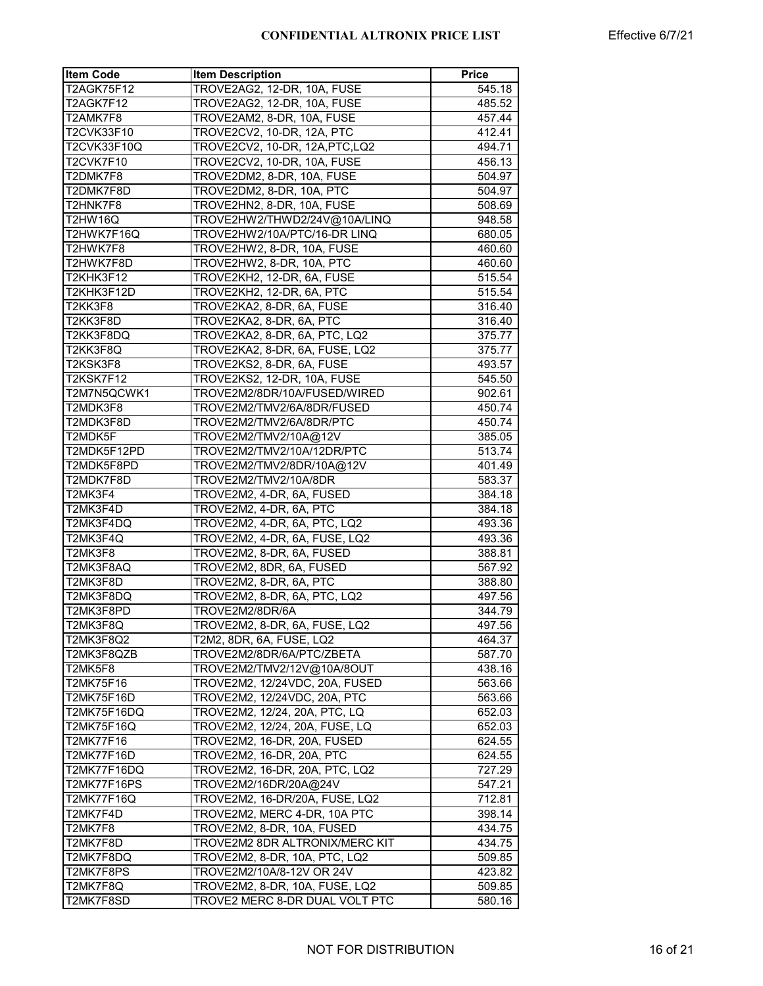| <b>Item Code</b>   | <b>Item Description</b>         | <b>Price</b> |
|--------------------|---------------------------------|--------------|
| T2AGK75F12         | TROVE2AG2, 12-DR, 10A, FUSE     | 545.18       |
| T2AGK7F12          | TROVE2AG2, 12-DR, 10A, FUSE     | 485.52       |
| T2AMK7F8           | TROVE2AM2, 8-DR, 10A, FUSE      | 457.44       |
| T2CVK33F10         | TROVE2CV2, 10-DR, 12A, PTC      | 412.41       |
| T2CVK33F10Q        | TROVE2CV2, 10-DR, 12A, PTC, LQ2 | 494.71       |
| T2CVK7F10          | TROVE2CV2, 10-DR, 10A, FUSE     | 456.13       |
| T2DMK7F8           | TROVE2DM2, 8-DR, 10A, FUSE      | 504.97       |
| T2DMK7F8D          | TROVE2DM2, 8-DR, 10A, PTC       | 504.97       |
| T2HNK7F8           | TROVE2HN2, 8-DR, 10A, FUSE      | 508.69       |
| <b>T2HW16Q</b>     | TROVE2HW2/THWD2/24V@10A/LINQ    | 948.58       |
| T2HWK7F16Q         | TROVE2HW2/10A/PTC/16-DR LINQ    | 680.05       |
| T2HWK7F8           | TROVE2HW2, 8-DR, 10A, FUSE      | 460.60       |
| T2HWK7F8D          | TROVE2HW2, 8-DR, 10A, PTC       | 460.60       |
| T2KHK3F12          | TROVE2KH2, 12-DR, 6A, FUSE      | 515.54       |
| T2KHK3F12D         | TROVE2KH2, 12-DR, 6A, PTC       | 515.54       |
| T2KK3F8            | TROVE2KA2, 8-DR, 6A, FUSE       | 316.40       |
| T2KK3F8D           | TROVE2KA2, 8-DR, 6A, PTC        | 316.40       |
|                    |                                 |              |
| T2KK3F8DQ          | TROVE2KA2, 8-DR, 6A, PTC, LQ2   | 375.77       |
| T2KK3F8Q           | TROVE2KA2, 8-DR, 6A, FUSE, LQ2  | 375.77       |
| T2KSK3F8           | TROVE2KS2, 8-DR, 6A, FUSE       | 493.57       |
| T2KSK7F12          | TROVE2KS2, 12-DR, 10A, FUSE     | 545.50       |
| T2M7N5QCWK1        | TROVE2M2/8DR/10A/FUSED/WIRED    | 902.61       |
| T2MDK3F8           | TROVE2M2/TMV2/6A/8DR/FUSED      | 450.74       |
| T2MDK3F8D          | TROVE2M2/TMV2/6A/8DR/PTC        | 450.74       |
| T2MDK5F            | TROVE2M2/TMV2/10A@12V           | 385.05       |
| T2MDK5F12PD        | TROVE2M2/TMV2/10A/12DR/PTC      | 513.74       |
| T2MDK5F8PD         | TROVE2M2/TMV2/8DR/10A@12V       | 401.49       |
| T2MDK7F8D          | TROVE2M2/TMV2/10A/8DR           | 583.37       |
| T2MK3F4            | TROVE2M2, 4-DR, 6A, FUSED       | 384.18       |
| T2MK3F4D           | TROVE2M2, 4-DR, 6A, PTC         | 384.18       |
| T2MK3F4DQ          | TROVE2M2, 4-DR, 6A, PTC, LQ2    | 493.36       |
| T2MK3F4Q           | TROVE2M2, 4-DR, 6A, FUSE, LQ2   | 493.36       |
| T2MK3F8            | TROVE2M2, 8-DR, 6A, FUSED       | 388.81       |
| T2MK3F8AQ          | TROVE2M2, 8DR, 6A, FUSED        | 567.92       |
| T2MK3F8D           | TROVE2M2, 8-DR, 6A, PTC         | 388.80       |
| T2MK3F8DQ          | TROVE2M2, 8-DR, 6A, PTC, LQ2    | 497.56       |
| T2MK3F8PD          | TROVE2M2/8DR/6A                 | 344.79       |
| T2MK3F8Q           | TROVE2M2, 8-DR, 6A, FUSE, LQ2   | 497.56       |
| T2MK3F8Q2          | T2M2, 8DR, 6A, FUSE, LQ2        | 464.37       |
| T2MK3F8QZB         | TROVE2M2/8DR/6A/PTC/ZBETA       | 587.70       |
| T2MK5F8            | TROVE2M2/TMV2/12V@10A/8OUT      | 438.16       |
| T2MK75F16          | TROVE2M2, 12/24VDC, 20A, FUSED  | 563.66       |
| T2MK75F16D         | TROVE2M2, 12/24VDC, 20A, PTC    | 563.66       |
| <b>T2MK75F16DQ</b> | TROVE2M2, 12/24, 20A, PTC, LQ   | 652.03       |
| T2MK75F16Q         | TROVE2M2, 12/24, 20A, FUSE, LQ  | 652.03       |
| <b>T2MK77F16</b>   | TROVE2M2, 16-DR, 20A, FUSED     | 624.55       |
| <b>T2MK77F16D</b>  | TROVE2M2, 16-DR, 20A, PTC       | 624.55       |
| T2MK77F16DQ        | TROVE2M2, 16-DR, 20A, PTC, LQ2  |              |
|                    | TROVE2M2/16DR/20A@24V           | 727.29       |
| <b>T2MK77F16PS</b> |                                 | 547.21       |
| T2MK77F16Q         | TROVE2M2, 16-DR/20A, FUSE, LQ2  | 712.81       |
| T2MK7F4D           | TROVE2M2, MERC 4-DR, 10A PTC    | 398.14       |
| T2MK7F8            | TROVE2M2, 8-DR, 10A, FUSED      | 434.75       |
| T2MK7F8D           | TROVE2M2 8DR ALTRONIX/MERC KIT  | 434.75       |
| T2MK7F8DQ          | TROVE2M2, 8-DR, 10A, PTC, LQ2   | 509.85       |
| T2MK7F8PS          | TROVE2M2/10A/8-12V OR 24V       | 423.82       |
| T2MK7F8Q           | TROVE2M2, 8-DR, 10A, FUSE, LQ2  | 509.85       |
| T2MK7F8SD          | TROVE2 MERC 8-DR DUAL VOLT PTC  | 580.16       |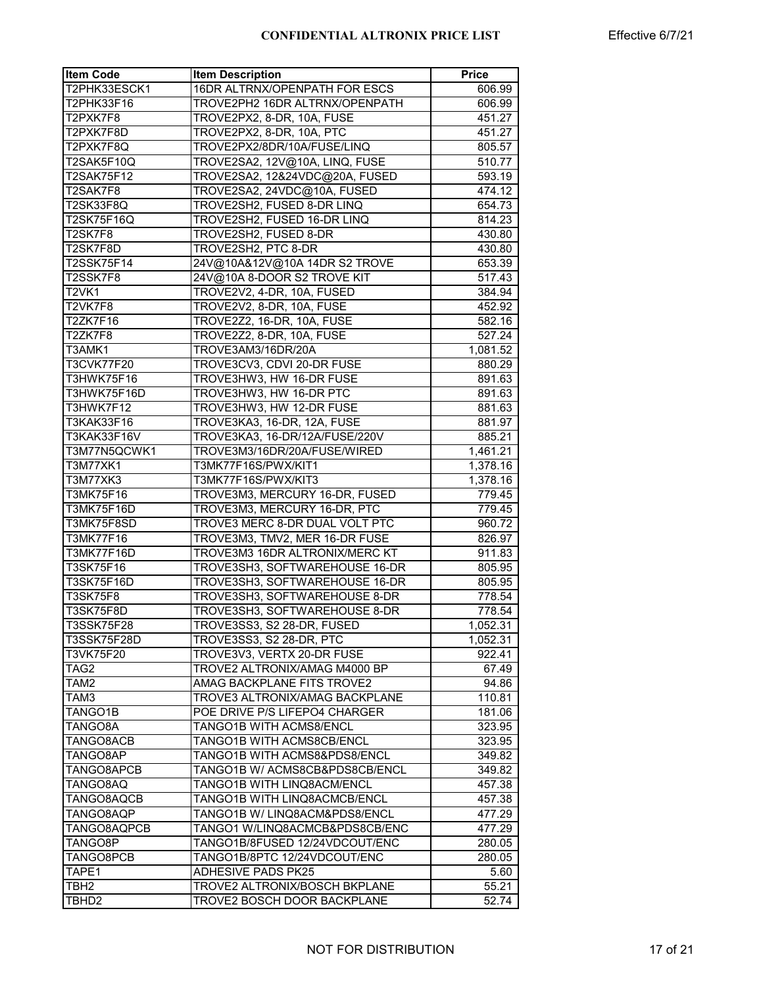| <b>Item Code</b>    | <b>Item Description</b>          | <b>Price</b> |
|---------------------|----------------------------------|--------------|
| T2PHK33ESCK1        | 16DR ALTRNX/OPENPATH FOR ESCS    | 606.99       |
| T2PHK33F16          | TROVE2PH2 16DR ALTRNX/OPENPATH   | 606.99       |
| T2PXK7F8            | TROVE2PX2, 8-DR, 10A, FUSE       | 451.27       |
| T2PXK7F8D           | TROVE2PX2, 8-DR, 10A, PTC        | 451.27       |
| T2PXK7F8Q           | TROVE2PX2/8DR/10A/FUSE/LINQ      | 805.57       |
| T2SAK5F10Q          | TROVE2SA2, 12V@10A, LINQ, FUSE   | 510.77       |
| T2SAK75F12          | TROVE2SA2, 12&24VDC@20A, FUSED   | 593.19       |
| T2SAK7F8            | TROVE2SA2, 24VDC@10A, FUSED      | 474.12       |
| T2SK33F8Q           | TROVE2SH2, FUSED 8-DR LINQ       | 654.73       |
| T2SK75F16Q          | TROVE2SH2, FUSED 16-DR LINQ      | 814.23       |
| <b>T2SK7F8</b>      | TROVE2SH2, FUSED 8-DR            | 430.80       |
| T2SK7F8D            | TROVE2SH <sub>2</sub> , PTC 8-DR | 430.80       |
| <b>T2SSK75F14</b>   | 24V@10A&12V@10A 14DR S2 TROVE    | 653.39       |
| T2SSK7F8            | 24V@10A 8-DOOR S2 TROVE KIT      | 517.43       |
| $T2VK$ <sup>1</sup> | TROVE2V2, 4-DR, 10A, FUSED       | 384.94       |
| <b>T2VK7F8</b>      | TROVE2V2, 8-DR, 10A, FUSE        | 452.92       |
| T2ZK7F16            | TROVE2Z2, 16-DR, 10A, FUSE       | 582.16       |
| T2ZK7F8             | TROVE2Z2, 8-DR, 10A, FUSE        | 527.24       |
| T3AMK1              | TROVE3AM3/16DR/20A               | 1,081.52     |
| T3CVK77F20          | TROVE3CV3, CDVI 20-DR FUSE       | 880.29       |
| T3HWK75F16          | TROVE3HW3, HW 16-DR FUSE         | 891.63       |
| T3HWK75F16D         | TROVE3HW3, HW 16-DR PTC          | 891.63       |
| T3HWK7F12           | TROVE3HW3, HW 12-DR FUSE         | 881.63       |
| T3KAK33F16          | TROVE3KA3, 16-DR, 12A, FUSE      | 881.97       |
| T3KAK33F16V         | TROVE3KA3, 16-DR/12A/FUSE/220V   | 885.21       |
| T3M77N5QCWK1        | TROVE3M3/16DR/20A/FUSE/WIRED     | 1,461.21     |
| T3M77XK1            | T3MK77F16S/PWX/KIT1              | 1,378.16     |
| T3M77XK3            | T3MK77F16S/PWX/KIT3              | 1,378.16     |
| T3MK75F16           | TROVE3M3, MERCURY 16-DR, FUSED   | 779.45       |
| T3MK75F16D          | TROVE3M3, MERCURY 16-DR, PTC     | 779.45       |
| T3MK75F8SD          | TROVE3 MERC 8-DR DUAL VOLT PTC   | 960.72       |
| T3MK77F16           | TROVE3M3, TMV2, MER 16-DR FUSE   | 826.97       |
| T3MK77F16D          | TROVE3M3 16DR ALTRONIX/MERC KT   | 911.83       |
| <b>T3SK75F16</b>    | TROVE3SH3, SOFTWAREHOUSE 16-DR   | 805.95       |
| T3SK75F16D          | TROVE3SH3, SOFTWAREHOUSE 16-DR   | 805.95       |
| T3SK75F8            | TROVE3SH3, SOFTWAREHOUSE 8-DR    | 778.54       |
| <b>T3SK75F8D</b>    | TROVE3SH3, SOFTWAREHOUSE 8-DR    | 778.54       |
| <b>T3SSK75F28</b>   | TROVE3SS3, S2 28-DR, FUSED       | 1,052.31     |
| T3SSK75F28D         | TROVE3SS3, S2 28-DR, PTC         | 1,052.31     |
| T3VK75F20           | TROVE3V3, VERTX 20-DR FUSE       | 922.41       |
| TAG2                | TROVE2 ALTRONIX/AMAG M4000 BP    | 67.49        |
| TAM2                | AMAG BACKPLANE FITS TROVE2       | 94.86        |
| TAM3                | TROVE3 ALTRONIX/AMAG BACKPLANE   | 110.81       |
| TANGO1B             | POE DRIVE P/S LIFEPO4 CHARGER    | 181.06       |
| TANGO8A             | TANGO1B WITH ACMS8/ENCL          | 323.95       |
| TANGO8ACB           | TANGO1B WITH ACMS8CB/ENCL        | 323.95       |
| TANGO8AP            | TANGO1B WITH ACMS8&PDS8/ENCL     | 349.82       |
| TANGO8APCB          | TANGO1B W/ ACMS8CB&PDS8CB/ENCL   | 349.82       |
| TANGO8AQ            | TANGO1B WITH LINQ8ACM/ENCL       | 457.38       |
| TANGO8AQCB          | TANGO1B WITH LINQ8ACMCB/ENCL     | 457.38       |
| TANGO8AQP           | TANGO1B W/ LINQ8ACM&PDS8/ENCL    | 477.29       |
| TANGO8AQPCB         | TANGO1 W/LINQ8ACMCB&PDS8CB/ENC   | 477.29       |
| TANGO8P             | TANGO1B/8FUSED 12/24VDCOUT/ENC   | 280.05       |
| TANGO8PCB           | TANGO1B/8PTC 12/24VDCOUT/ENC     | 280.05       |
| TAPE1               | <b>ADHESIVE PADS PK25</b>        | 5.60         |
| TBH <sub>2</sub>    | TROVE2 ALTRONIX/BOSCH BKPLANE    | 55.21        |
| TBHD2               | TROVE2 BOSCH DOOR BACKPLANE      | 52.74        |
|                     |                                  |              |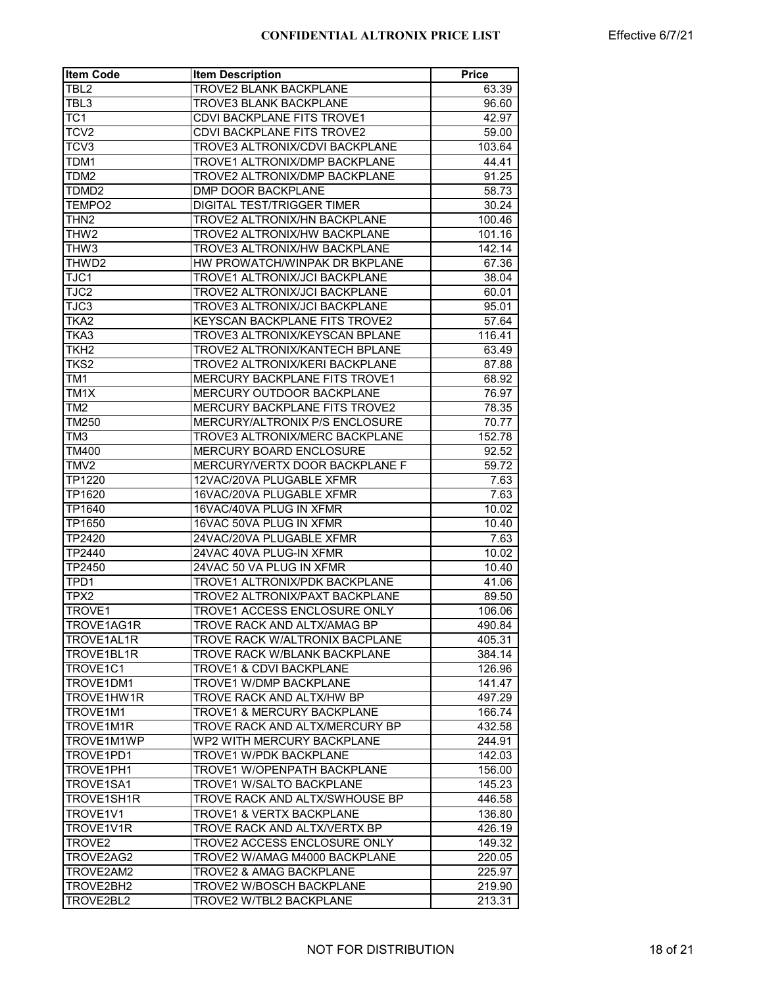| <b>Item Code</b>   | <b>Item Description</b>               | <b>Price</b> |
|--------------------|---------------------------------------|--------------|
| TBL2               | <b>TROVE2 BLANK BACKPLANE</b>         | 63.39        |
| TBL3               | <b>TROVE3 BLANK BACKPLANE</b>         | 96.60        |
| TC <sub>1</sub>    | CDVI BACKPLANE FITS TROVE1            | 42.97        |
| TCV <sub>2</sub>   | <b>CDVI BACKPLANE FITS TROVE2</b>     | 59.00        |
| TCV3               | TROVE3 ALTRONIX/CDVI BACKPLANE        | 103.64       |
| TDM1               | TROVE1 ALTRONIX/DMP BACKPLANE         | 44.41        |
| TDM2               | TROVE2 ALTRONIX/DMP BACKPLANE         | 91.25        |
| TDMD2              | DMP DOOR BACKPLANE                    | 58.73        |
| TEMPO2             | <b>DIGITAL TEST/TRIGGER TIMER</b>     | 30.24        |
| THN2               | TROVE2 ALTRONIX/HN BACKPLANE          | 100.46       |
| THW <sub>2</sub>   | TROVE2 ALTRONIX/HW BACKPLANE          | 101.16       |
| THW3               | TROVE3 ALTRONIX/HW BACKPLANE          | 142.14       |
| THWD2              | HW PROWATCH/WINPAK DR BKPLANE         | 67.36        |
| TJC1               | TROVE1 ALTRONIX/JCI BACKPLANE         | 38.04        |
| TJC2               | TROVE2 ALTRONIX/JCI BACKPLANE         | 60.01        |
| TJC3               | TROVE3 ALTRONIX/JCI BACKPLANE         | 95.01        |
| TKA <sub>2</sub>   | KEYSCAN BACKPLANE FITS TROVE2         | 57.64        |
| TKA3               | TROVE3 ALTRONIX/KEYSCAN BPLANE        | 116.41       |
| TKH2               | TROVE2 ALTRONIX/KANTECH BPLANE        | 63.49        |
| TKS2               | TROVE2 ALTRONIX/KERI BACKPLANE        | 87.88        |
| TM1                | MERCURY BACKPLANE FITS TROVE1         | 68.92        |
| TM1X               | MERCURY OUTDOOR BACKPLANE             | 76.97        |
| TM <sub>2</sub>    | MERCURY BACKPLANE FITS TROVE2         | 78.35        |
| TM250              | MERCURY/ALTRONIX P/S ENCLOSURE        | 70.77        |
| TM3                | TROVE3 ALTRONIX/MERC BACKPLANE        | 152.78       |
| TM400              | <b>MERCURY BOARD ENCLOSURE</b>        | 92.52        |
| TMV2               | MERCURY/VERTX DOOR BACKPLANE F        | 59.72        |
| TP1220             | 12VAC/20VA PLUGABLE XFMR              | 7.63         |
| TP1620             | 16VAC/20VA PLUGABLE XFMR              | 7.63         |
| TP1640             | 16VAC/40VA PLUG IN XFMR               | 10.02        |
| TP1650             | 16VAC 50VA PLUG IN XFMR               | 10.40        |
| TP2420             | 24VAC/20VA PLUGABLE XFMR              | 7.63         |
| TP2440             | 24VAC 40VA PLUG-IN XFMR               | 10.02        |
| TP2450             | 24VAC 50 VA PLUG IN XFMR              | 10.40        |
| TPD1               | TROVE1 ALTRONIX/PDK BACKPLANE         | 41.06        |
| TPX2               | TROVE2 ALTRONIX/PAXT BACKPLANE        | 89.50        |
| TROVE1             | TROVE1 ACCESS ENCLOSURE ONLY          | 106.06       |
| TROVE1AG1R         | TROVE RACK AND ALTX/AMAG BP           | 490.84       |
| TROVE1AL1R         | TROVE RACK W/ALTRONIX BACPLANE        | 405.31       |
| TROVE1BL1R         | TROVE RACK W/BLANK BACKPLANE          | 384.14       |
| TROVE1C1           | TROVE1 & CDVI BACKPLANE               | 126.96       |
| TROVE1DM1          | <b>TROVE1 W/DMP BACKPLANE</b>         | 141.47       |
| TROVE1HW1R         | TROVE RACK AND ALTX/HW BP             | 497.29       |
| TROVE1M1           | <b>TROVE1 &amp; MERCURY BACKPLANE</b> | 166.74       |
| TROVE1M1R          | TROVE RACK AND ALTX/MERCURY BP        | 432.58       |
| TROVE1M1WP         | WP2 WITH MERCURY BACKPLANE            | 244.91       |
| TROVE1PD1          | <b>TROVE1 W/PDK BACKPLANE</b>         | 142.03       |
| TROVE1PH1          | TROVE1 W/OPENPATH BACKPLANE           | 156.00       |
| TROVE1SA1          | TROVE1 W/SALTO BACKPLANE              | 145.23       |
| TROVE1SH1R         | TROVE RACK AND ALTX/SWHOUSE BP        | 446.58       |
| TROVE1V1           | <b>TROVE1 &amp; VERTX BACKPLANE</b>   | 136.80       |
| TROVE1V1R          | TROVE RACK AND ALTX/VERTX BP          | 426.19       |
| TROVE <sub>2</sub> | TROVE2 ACCESS ENCLOSURE ONLY          | 149.32       |
| TROVE2AG2          | TROVE2 W/AMAG M4000 BACKPLANE         | 220.05       |
| TROVE2AM2          | <b>TROVE2 &amp; AMAG BACKPLANE</b>    | 225.97       |
| TROVE2BH2          | TROVE2 W/BOSCH BACKPLANE              | 219.90       |
| TROVE2BL2          | TROVE2 W/TBL2 BACKPLANE               | 213.31       |
|                    |                                       |              |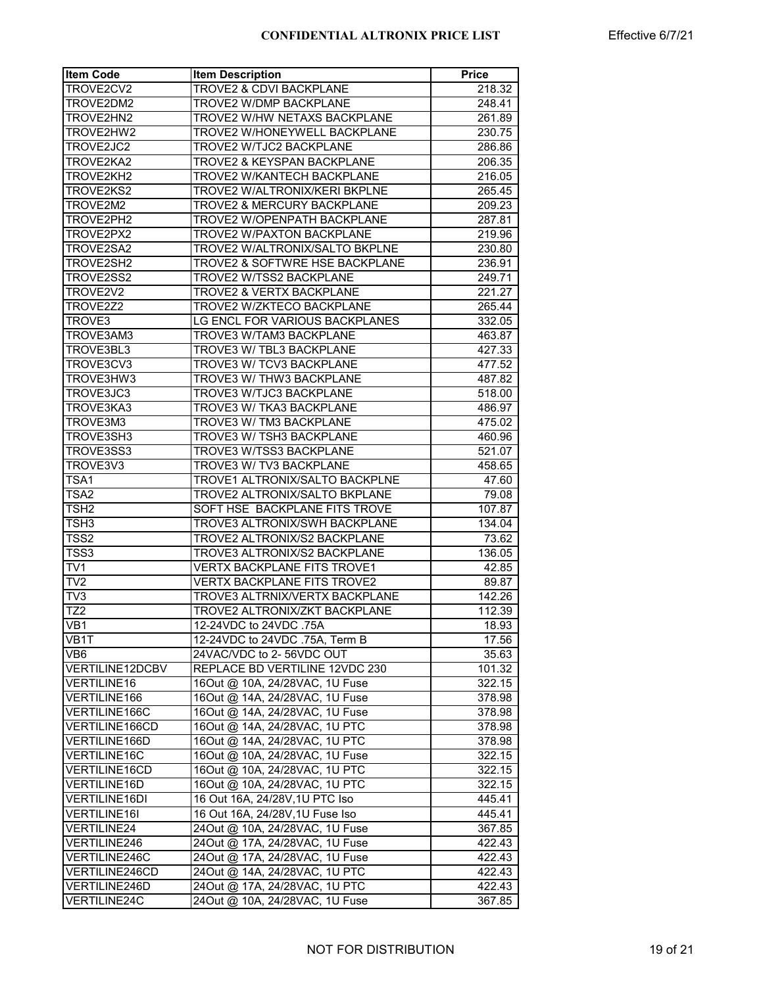| <b>Item Code</b>        | <b>Item Description</b>              | <b>Price</b> |
|-------------------------|--------------------------------------|--------------|
| TROVE2CV2               | TROVE2 & CDVI BACKPLANE              | 218.32       |
| TROVE2DM2               | TROVE2 W/DMP BACKPLANE               | 248.41       |
| TROVE2HN2               | TROVE2 W/HW NETAXS BACKPLANE         | 261.89       |
| TROVE2HW2               | TROVE2 W/HONEYWELL BACKPLANE         | 230.75       |
| TROVE2JC2               | TROVE2 W/TJC2 BACKPLANE              | 286.86       |
| TROVE2KA2               | TROVE2 & KEYSPAN BACKPLANE           | 206.35       |
| TROVE2KH2               | TROVE2 W/KANTECH BACKPLANE           | 216.05       |
| TROVE2KS2               | TROVE2 W/ALTRONIX/KERI BKPLNE        | 265.45       |
| TROVE2M2                | TROVE2 & MERCURY BACKPLANE           | 209.23       |
| TROVE2PH2               | TROVE2 W/OPENPATH BACKPLANE          | 287.81       |
| TROVE2PX2               | <b>TROVE2 W/PAXTON BACKPLANE</b>     | 219.96       |
| TROVE2SA2               | TROVE2 W/ALTRONIX/SALTO BKPLNE       | 230.80       |
| TROVE2SH2               | TROVE2 & SOFTWRE HSE BACKPLANE       | 236.91       |
| TROVE2SS2               | TROVE2 W/TSS2 BACKPLANE              | 249.71       |
| TROVE2V2                | TROVE2 & VERTX BACKPLANE             | 221.27       |
| TROVE2Z2                | TROVE2 W/ZKTECO BACKPLANE            | 265.44       |
| TROVE3                  | LG ENCL FOR VARIOUS BACKPLANES       | 332.05       |
| TROVE3AM3               | TROVE3 W/TAM3 BACKPLANE              | 463.87       |
| TROVE3BL3               | TROVE3 W/ TBL3 BACKPLANE             | 427.33       |
| TROVE3CV3               | TROVE3 W/ TCV3 BACKPLANE             |              |
|                         |                                      | 477.52       |
| TROVE3HW3               | TROVE3 W/ THW3 BACKPLANE             | 487.82       |
| TROVE3JC3               | TROVE3 W/TJC3 BACKPLANE              | 518.00       |
| TROVE3KA3               | TROVE3 W/ TKA3 BACKPLANE             | 486.97       |
| TROVE3M3                | TROVE3 W/ TM3 BACKPLANE              | 475.02       |
| TROVE3SH3               | TROVE3 W/ TSH3 BACKPLANE             | 460.96       |
| TROVE3SS3               | TROVE3 W/TSS3 BACKPLANE              | 521.07       |
| TROVE3V3                | TROVE3 W/ TV3 BACKPLANE              | 458.65       |
| TSA1                    | TROVE1 ALTRONIX/SALTO BACKPLNE       | 47.60        |
| TSA2                    | <b>TROVE2 ALTRONIX/SALTO BKPLANE</b> | 79.08        |
| TSH2                    | SOFT HSE BACKPLANE FITS TROVE        | 107.87       |
| TSH3                    | TROVE3 ALTRONIX/SWH BACKPLANE        | 134.04       |
| TSS <sub>2</sub>        | TROVE2 ALTRONIX/S2 BACKPLANE         | 73.62        |
| TSS3                    | TROVE3 ALTRONIX/S2 BACKPLANE         | 136.05       |
| $\overline{\text{TV1}}$ | <b>VERTX BACKPLANE FITS TROVE1</b>   | 42.85        |
| $\overline{\text{TV2}}$ | <b>VERTX BACKPLANE FITS TROVE2</b>   | 89.87        |
| $\overline{\text{TV3}}$ | TROVE3 ALTRNIX/VERTX BACKPLANE       | 142.26       |
| TZ <sub>2</sub>         | TROVE2 ALTRONIX/ZKT BACKPLANE        | 112.39       |
| VB <sub>1</sub>         | 12-24VDC to 24VDC .75A               | 18.93        |
| VB1T                    | 12-24VDC to 24VDC .75A, Term B       | 17.56        |
| VB <sub>6</sub>         | 24VAC/VDC to 2-56VDC OUT             | 35.63        |
| <b>VERTILINE12DCBV</b>  | REPLACE BD VERTILINE 12VDC 230       | 101.32       |
| <b>VERTILINE16</b>      | 16Out @ 10A, 24/28VAC, 1U Fuse       | 322.15       |
| VERTILINE166            | 16Out @ 14A, 24/28VAC, 1U Fuse       | 378.98       |
| VERTILINE166C           | 16Out @ 14A, 24/28VAC, 1U Fuse       | 378.98       |
| VERTILINE166CD          | 16Out @ 14A, 24/28VAC, 1U PTC        | 378.98       |
| VERTILINE166D           | 16Out @ 14A, 24/28VAC, 1U PTC        | 378.98       |
| VERTILINE16C            | 16Out @ 10A, 24/28VAC, 1U Fuse       | 322.15       |
| <b>VERTILINE16CD</b>    | 16Out @ 10A, 24/28VAC, 1U PTC        | 322.15       |
| VERTILINE16D            | 16Out @ 10A, 24/28VAC, 1U PTC        | 322.15       |
| <b>VERTILINE16DI</b>    | 16 Out 16A, 24/28V, 1U PTC Iso       | 445.41       |
| <b>VERTILINE16I</b>     | 16 Out 16A, 24/28V, 1U Fuse Iso      | 445.41       |
| <b>VERTILINE24</b>      | 24Out @ 10A, 24/28VAC, 1U Fuse       |              |
|                         | 24Out @ 17A, 24/28VAC, 1U Fuse       | 367.85       |
| VERTILINE246            |                                      | 422.43       |
| VERTILINE246C           | 24Out @ 17A, 24/28VAC, 1U Fuse       | 422.43       |
| VERTILINE246CD          | 24Out @ 14A, 24/28VAC, 1U PTC        | 422.43       |
| VERTILINE246D           | 24Out @ 17A, 24/28VAC, 1U PTC        | 422.43       |
| <b>VERTILINE24C</b>     | 24Out @ 10A, 24/28VAC, 1U Fuse       | 367.85       |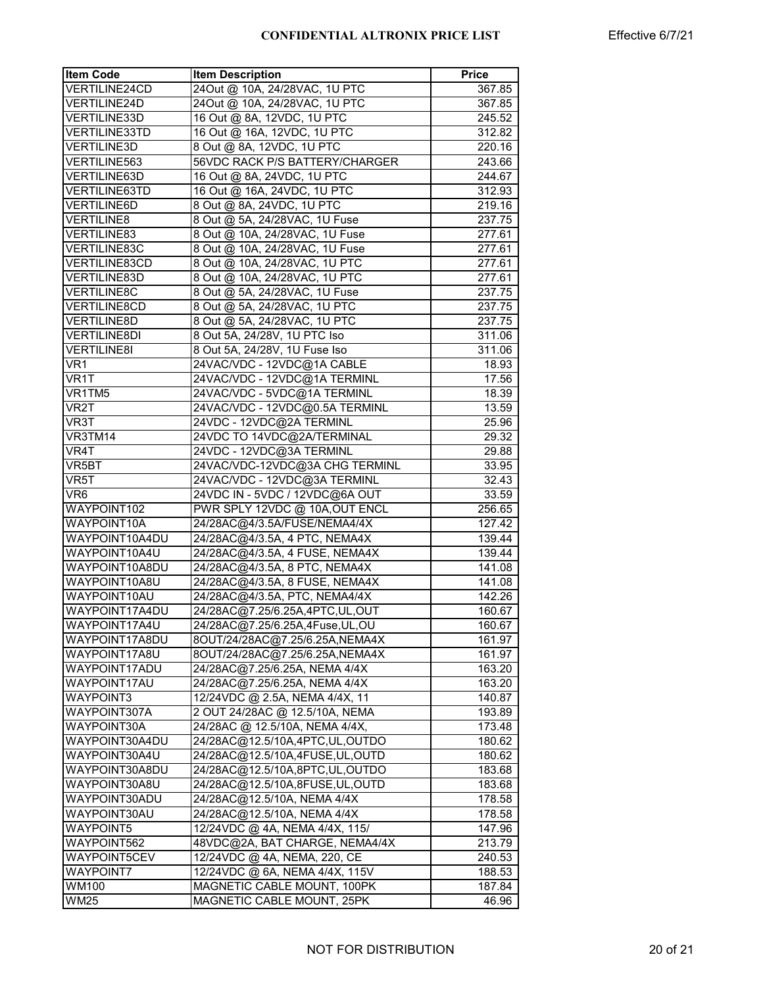| <b>Item Code</b>     | <b>Item Description</b>        | <b>Price</b> |
|----------------------|--------------------------------|--------------|
| <b>VERTILINE24CD</b> | 24Out @ 10A, 24/28VAC, 1U PTC  | 367.85       |
| <b>VERTILINE24D</b>  | 24Out @ 10A, 24/28VAC, 1U PTC  | 367.85       |
| VERTILINE33D         | 16 Out @ 8A, 12VDC, 1U PTC     | 245.52       |
| <b>VERTILINE33TD</b> | 16 Out @ 16A, 12VDC, 1U PTC    | 312.82       |
| <b>VERTILINE3D</b>   | 8 Out @ 8A, 12VDC, 1U PTC      | 220.16       |
| VERTILINE563         | 56VDC RACK P/S BATTERY/CHARGER | 243.66       |
| VERTILINE63D         | 16 Out @ 8A, 24VDC, 1U PTC     | 244.67       |
| VERTILINE63TD        | 16 Out @ 16A, 24VDC, 1U PTC    | 312.93       |
| <b>VERTILINE6D</b>   | 8 Out @ 8A, 24VDC, 1U PTC      | 219.16       |
| <b>VERTILINE8</b>    | 8 Out @ 5A, 24/28VAC, 1U Fuse  | 237.75       |
| <b>VERTILINE83</b>   | 8 Out @ 10A, 24/28VAC, 1U Fuse | 277.61       |
| <b>VERTILINE83C</b>  | 8 Out @ 10A, 24/28VAC, 1U Fuse | 277.61       |
| <b>VERTILINE83CD</b> | 8 Out @ 10A, 24/28VAC, 1U PTC  | 277.61       |
| <b>VERTILINE83D</b>  | 8 Out @ 10A, 24/28VAC, 1U PTC  | 277.61       |
| <b>VERTILINE8C</b>   | 8 Out @ 5A, 24/28VAC, 1U Fuse  | 237.75       |
| <b>VERTILINE8CD</b>  | 8 Out @ 5A, 24/28VAC, 1U PTC   | 237.75       |
| <b>VERTILINE8D</b>   | 8 Out @ 5A, 24/28VAC, 1U PTC   | 237.75       |
| <b>VERTILINE8DI</b>  | 8 Out 5A, 24/28V, 1U PTC Iso   | 311.06       |
| <b>VERTILINE8I</b>   | 8 Out 5A, 24/28V, 1U Fuse Iso  | 311.06       |
| VR <sub>1</sub>      | 24VAC/VDC - 12VDC@1A CABLE     | 18.93        |
| VR <sub>1</sub> T    | 24VAC/VDC - 12VDC@1A TERMINL   | 17.56        |
| VR1TM5               | 24VAC/VDC - 5VDC@1A TERMINL    | 18.39        |
| VR <sub>2</sub> T    | 24VAC/VDC - 12VDC@0.5A TERMINL | 13.59        |
| VR3T                 | 24VDC - 12VDC@2A TERMINL       | 25.96        |
| VR3TM14              | 24VDC TO 14VDC@2A/TERMINAL     | 29.32        |
| VR <sub>4</sub> T    | 24VDC - 12VDC@3A TERMINL       | 29.88        |
| VR <sub>5</sub> BT   | 24VAC/VDC-12VDC@3A CHG TERMINL | 33.95        |
| VR <sub>5</sub> T    | 24VAC/VDC - 12VDC@3A TERMINL   | 32.43        |
| VR <sub>6</sub>      | 24VDC IN - 5VDC / 12VDC@6A OUT | 33.59        |
| WAYPOINT102          | PWR SPLY 12VDC @ 10A, OUT ENCL | 256.65       |
| WAYPOINT10A          | 24/28AC@4/3.5A/FUSE/NEMA4/4X   | 127.42       |
| WAYPOINT10A4DU       | 24/28AC@4/3.5A, 4 PTC, NEMA4X  | 139.44       |
| WAYPOINT10A4U        | 24/28AC@4/3.5A, 4 FUSE, NEMA4X | 139.44       |
| WAYPOINT10A8DU       | 24/28AC@4/3.5A, 8 PTC, NEMA4X  | 141.08       |
| WAYPOINT10A8U        | 24/28AC@4/3.5A, 8 FUSE, NEMA4X | 141.08       |
| WAYPOINT10AU         | 24/28AC@4/3.5A, PTC, NEMA4/4X  | 142.26       |
| WAYPOINT17A4DU       | 24/28AC@7.25/6.25A,4PTC,UL,OUT | 160.67       |
| WAYPOINT17A4U        | 24/28AC@7.25/6.25A,4Fuse,UL,OU | 160.67       |
| WAYPOINT17A8DU       | 8OUT/24/28AC@7.25/6.25A,NEMA4X | 161.97       |
| WAYPOINT17A8U        | 8OUT/24/28AC@7.25/6.25A,NEMA4X | 161.97       |
| WAYPOINT17ADU        | 24/28AC@7.25/6.25A, NEMA 4/4X  | 163.20       |
| WAYPOINT17AU         | 24/28AC@7.25/6.25A, NEMA 4/4X  | 163.20       |
| <b>WAYPOINT3</b>     | 12/24VDC @ 2.5A, NEMA 4/4X, 11 | 140.87       |
| WAYPOINT307A         | 2 OUT 24/28AC @ 12.5/10A, NEMA | 193.89       |
| WAYPOINT30A          | 24/28AC @ 12.5/10A, NEMA 4/4X, | 173.48       |
| WAYPOINT30A4DU       | 24/28AC@12.5/10A,4PTC,UL,OUTDO | 180.62       |
| WAYPOINT30A4U        | 24/28AC@12.5/10A,4FUSE,UL,OUTD | 180.62       |
| WAYPOINT30A8DU       | 24/28AC@12.5/10A,8PTC,UL,OUTDO | 183.68       |
| WAYPOINT30A8U        | 24/28AC@12.5/10A,8FUSE,UL,OUTD | 183.68       |
| WAYPOINT30ADU        | 24/28AC@12.5/10A, NEMA 4/4X    | 178.58       |
| WAYPOINT30AU         | 24/28AC@12.5/10A, NEMA 4/4X    | 178.58       |
| <b>WAYPOINT5</b>     | 12/24VDC @ 4A, NEMA 4/4X, 115/ | 147.96       |
| WAYPOINT562          | 48VDC@2A, BAT CHARGE, NEMA4/4X | 213.79       |
| <b>WAYPOINT5CEV</b>  | 12/24VDC @ 4A, NEMA, 220, CE   | 240.53       |
| <b>WAYPOINT7</b>     | 12/24VDC @ 6A, NEMA 4/4X, 115V | 188.53       |
| WM100                | MAGNETIC CABLE MOUNT, 100PK    | 187.84       |
| <b>WM25</b>          | MAGNETIC CABLE MOUNT, 25PK     | 46.96        |